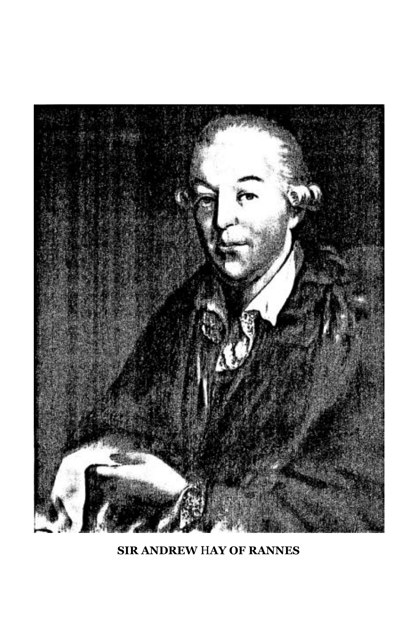

**SIR ANDREW** H**AY OF RANNES**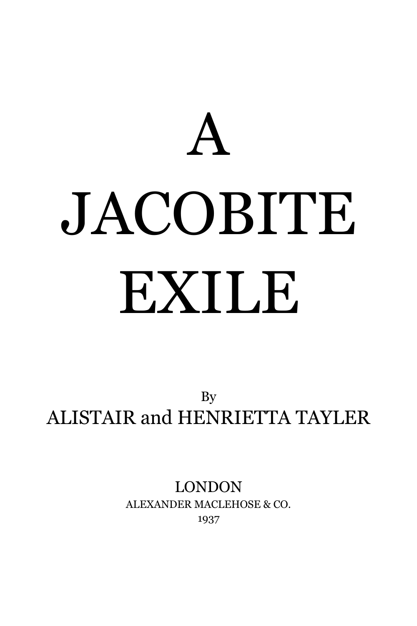A

# JACOBITE EXILE

By ALISTAIR and HENRIETTA TAYLER

> LONDON ALEXANDER MACLEHOSE & CO. 1937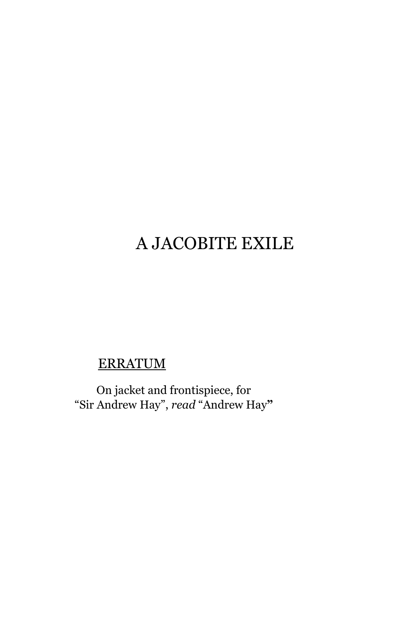# A JACOBITE EXILE

### ERRATUM

On jacket and frontispiece, for "Sir Andrew Hay", *read* "Andrew Hay**"**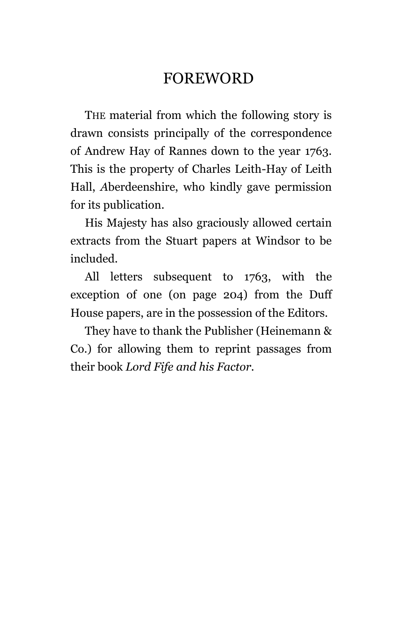## FOREWORD

THE material from which the following story is drawn consists principally of the correspondence of Andrew Hay of Rannes down to the year 1763. This is the property of Charles Leith-Hay of Leith Hall, *A*berdeenshire, who kindly gave permission for its publication.

His Majesty has also graciously allowed certain extracts from the Stuart papers at Windsor to be included.

All letters subsequent to 1763, with the exception of one (on page 204) from the Duff House papers, are in the possession of the Editors.

They have to thank the Publisher (Heinemann & Co.) for allowing them to reprint passages from their book *Lord Fife and his Factor.*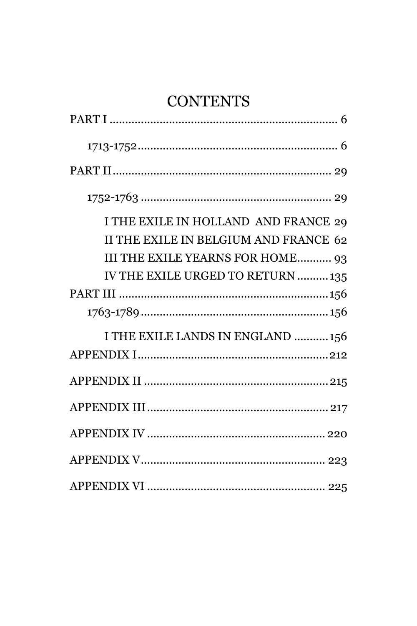# **CONTENTS**

| I THE EXILE IN HOLLAND AND FRANCE 29<br>II THE EXILE IN BELGIUM AND FRANCE 62 |
|-------------------------------------------------------------------------------|
| III THE EXILE YEARNS FOR HOME 93<br>IV THE EXILE URGED TO RETURN  135         |
|                                                                               |
|                                                                               |
| I THE EXILE LANDS IN ENGLAND  156                                             |
|                                                                               |
|                                                                               |
|                                                                               |
|                                                                               |
|                                                                               |
|                                                                               |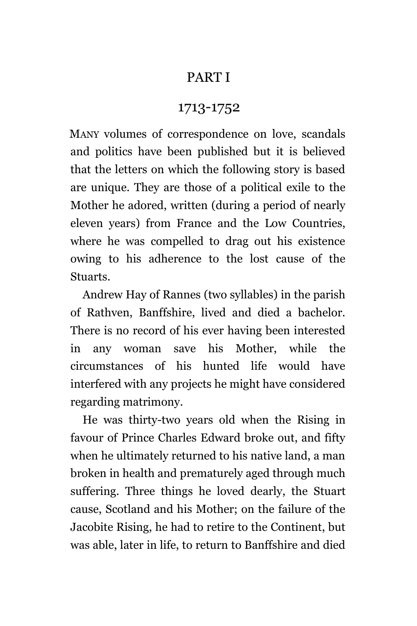#### PART I

#### 1713-1752

<span id="page-5-1"></span><span id="page-5-0"></span>MANY volumes of correspondence on love, scandals and politics have been published but it is believed that the letters on which the following story is based are unique. They are those of a political exile to the Mother he adored, written (during a period of nearly eleven years) from France and the Low Countries, where he was compelled to drag out his existence owing to his adherence to the lost cause of the Stuarts.

Andrew Hay of Rannes (two syllables) in the parish of Rathven, Banffshire, lived and died a bachelor. There is no record of his ever having been interested in any woman save his Mother, while the circumstances of his hunted life would have interfered with any projects he might have considered regarding matrimony.

He was thirty-two years old when the Rising in favour of Prince Charles Edward broke out, and fifty when he ultimately returned to his native land, a man broken in health and prematurely aged through much suffering. Three things he loved dearly, the Stuart cause, Scotland and his Mother; on the failure of the Jacobite Rising, he had to retire to the Continent, but was able, later in life, to return to Banffshire and died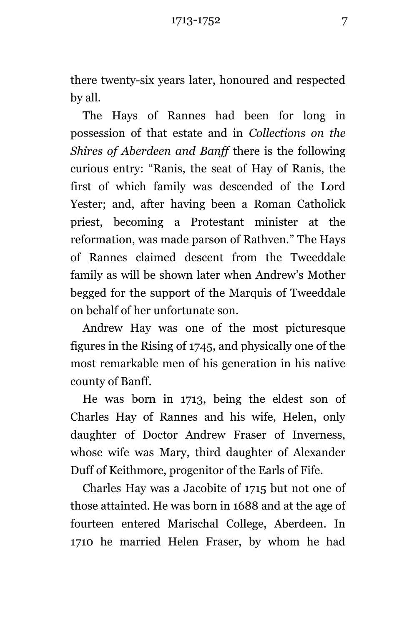there twenty-six years later, honoured and respected by all.

The Hays of Rannes had been for long in possession of that estate and in *Collections on the Shires of Aberdeen and Banff* there is the following curious entry: "Ranis, the seat of Hay of Ranis, the first of which family was descended of the Lord Yester; and, after having been a Roman Catholick priest, becoming a Protestant minister at the reformation, was made parson of Rathven." The Hays of Rannes claimed descent from the Tweeddale family as will be shown later when Andrew's Mother begged for the support of the Marquis of Tweeddale on behalf of her unfortunate son.

Andrew Hay was one of the most picturesque figures in the Rising of 1745, and physically one of the most remarkable men of his generation in his native county of Banff.

He was born in 1713, being the eldest son of Charles Hay of Rannes and his wife, Helen, only daughter of Doctor Andrew Fraser of Inverness, whose wife was Mary, third daughter of Alexander Duff of Keithmore, progenitor of the Earls of Fife.

Charles Hay was a Jacobite of 1715 but not one of those attainted. He was born in 1688 and at the age of fourteen entered Marischal College, Aberdeen. In 1710 he married Helen Fraser, by whom he had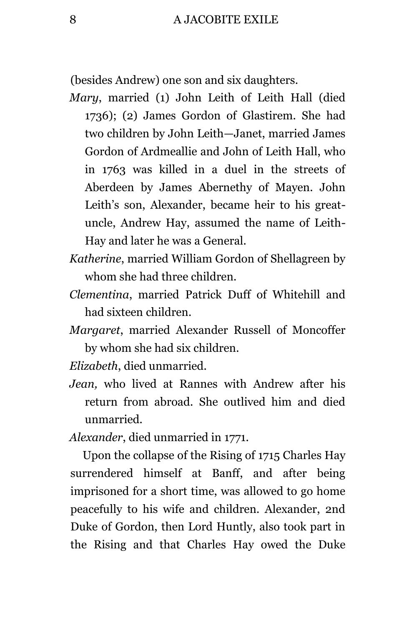(besides Andrew) one son and six daughters.

- *Mary*, married (1) John Leith of Leith Hall (died 1736); (2) James Gordon of Glastirem. She had two children by John Leith—Janet, married James Gordon of Ardmeallie and John of Leith Hall, who in 1763 was killed in a duel in the streets of Aberdeen by James Abernethy of Mayen. John Leith's son, Alexander, became heir to his greatuncle, Andrew Hay, assumed the name of Leith-Hay and later he was a General.
- *Katherine*, married William Gordon of Shellagreen by whom she had three children.
- *Clementina*, married Patrick Duff of Whitehill and had sixteen children.
- *Margaret*, married Alexander Russell of Moncoffer by whom she had six children.

*Elizabeth*, died unmarried.

*Jean,* who lived at Rannes with Andrew after his return from abroad. She outlived him and died unmarried.

*Alexander*, died unmarried in 1771.

Upon the collapse of the Rising of 1715 Charles Hay surrendered himself at Banff, and after being imprisoned for a short time, was allowed to go home peacefully to his wife and children. Alexander, 2nd Duke of Gordon, then Lord Huntly, also took part in the Rising and that Charles Hay owed the Duke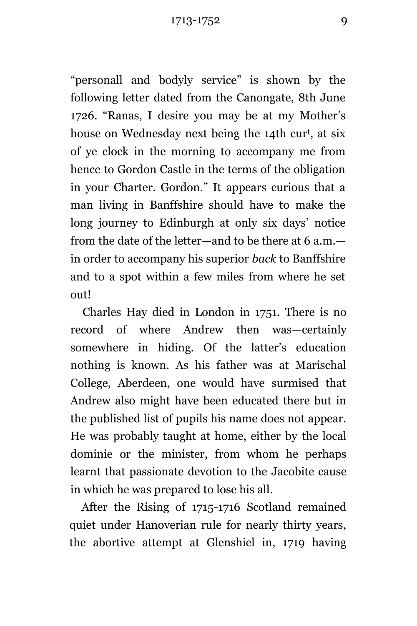"personall and bodyly service" is shown by the following letter dated from the Canongate, 8th June 1726. "Ranas, I desire you may be at my Mother's house on Wednesday next being the 14th cur<sup>t</sup>, at six of ye clock in the morning to accompany me from hence to Gordon Castle in the terms of the obligation in your Charter. Gordon." It appears curious that a man living in Banffshire should have to make the long journey to Edinburgh at only six days' notice from the date of the letter—and to be there at 6 a.m. in order to accompany his superior *back* to Banffshire and to a spot within a few miles from where he set out!

Charles Hay died in London in 1751. There is no record of where Andrew then was—certainly somewhere in hiding. Of the latter's education nothing is known. As his father was at Marischal College, Aberdeen, one would have surmised that Andrew also might have been educated there but in the published list of pupils his name does not appear. He was probably taught at home, either by the local dominie or the minister, from whom he perhaps learnt that passionate devotion to the Jacobite cause in which he was prepared to lose his all.

After the Rising of 1715-1716 Scotland remained quiet under Hanoverian rule for nearly thirty years, the abortive attempt at Glenshiel in, 1719 having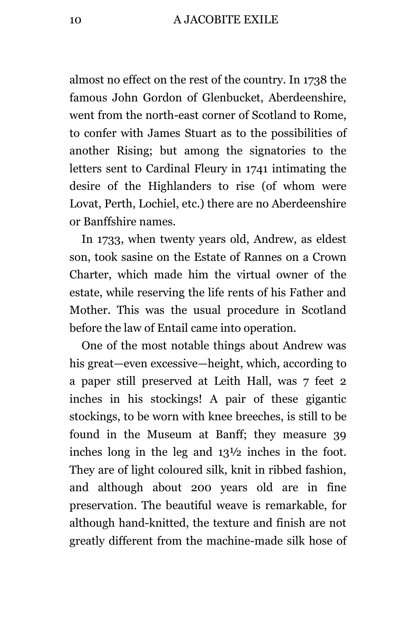almost no effect on the rest of the country. In 1738 the famous John Gordon of Glenbucket, Aberdeenshire, went from the north-east corner of Scotland to Rome, to confer with James Stuart as to the possibilities of another Rising; but among the signatories to the letters sent to Cardinal Fleury in 1741 intimating the desire of the Highlanders to rise (of whom were Lovat, Perth, Lochiel, etc.) there are no Aberdeenshire or Banffshire names.

In 1733, when twenty years old, Andrew, as eldest son, took sasine on the Estate of Rannes on a Crown Charter, which made him the virtual owner of the estate, while reserving the life rents of his Father and Mother. This was the usual procedure in Scotland before the law of Entail came into operation.

One of the most notable things about Andrew was his great—even excessive—height, which, according to a paper still preserved at Leith Hall, was 7 feet 2 inches in his stockings! A pair of these gigantic stockings, to be worn with knee breeches, is still to be found in the Museum at Banff; they measure 39 inches long in the leg and 13½ inches in the foot. They are of light coloured silk, knit in ribbed fashion, and although about 200 years old are in fine preservation. The beautiful weave is remarkable, for although hand-knitted, the texture and finish are not greatly different from the machine-made silk hose of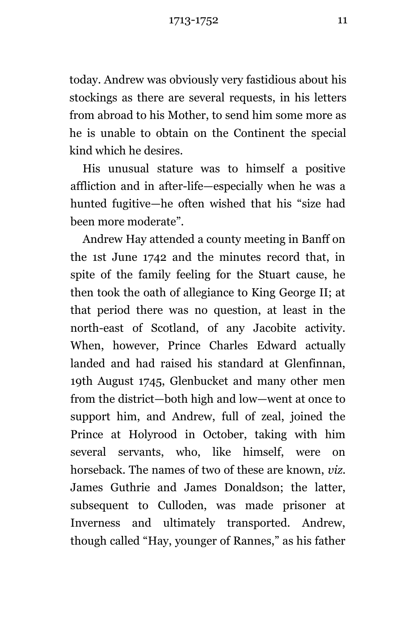1713-1752 11

today. Andrew was obviously very fastidious about his stockings as there are several requests, in his letters from abroad to his Mother, to send him some more as he is unable to obtain on the Continent the special kind which he desires.

His unusual stature was to himself a positive affliction and in after-life—especially when he was a hunted fugitive—he often wished that his "size had been more moderate".

Andrew Hay attended a county meeting in Banff on the 1st June 1742 and the minutes record that, in spite of the family feeling for the Stuart cause, he then took the oath of allegiance to King George II; at that period there was no question, at least in the north-east of Scotland, of any Jacobite activity. When, however, Prince Charles Edward actually landed and had raised his standard at Glenfinnan, 19th August 1745, Glenbucket and many other men from the district—both high and low—went at once to support him, and Andrew, full of zeal, joined the Prince at Holyrood in October, taking with him several servants, who, like himself, were on horseback. The names of two of these are known, *viz.* James Guthrie and James Donaldson; the latter, subsequent to Culloden, was made prisoner at Inverness and ultimately transported. Andrew, though called "Hay, younger of Rannes," as his father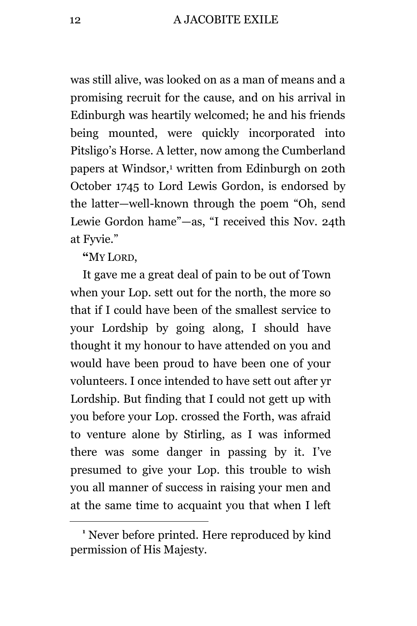was still alive, was looked on as a man of means and a promising recruit for the cause, and on his arrival in Edinburgh was heartily welcomed; he and his friends being mounted, were quickly incorporated into Pitsligo's Horse. A letter, now among the Cumberland papers at Windsor,<sup>1</sup> written from Edinburgh on 20th October 1745 to Lord Lewis Gordon, is endorsed by the latter—well-known through the poem "Oh, send Lewie Gordon hame"—as, "I received this Nov. 24th at Fyvie."

**"**MY LORD,

÷.

It gave me a great deal of pain to be out of Town when your Lop. sett out for the north, the more so that if I could have been of the smallest service to your Lordship by going along, I should have thought it my honour to have attended on you and would have been proud to have been one of your volunteers. I once intended to have sett out after yr Lordship. But finding that I could not gett up with you before your Lop. crossed the Forth, was afraid to venture alone by Stirling, as I was informed there was some danger in passing by it. I've presumed to give your Lop. this trouble to wish you all manner of success in raising your men and at the same time to acquaint you that when I left

**<sup>1</sup>** Never before printed. Here reproduced by kind permission of His Majesty.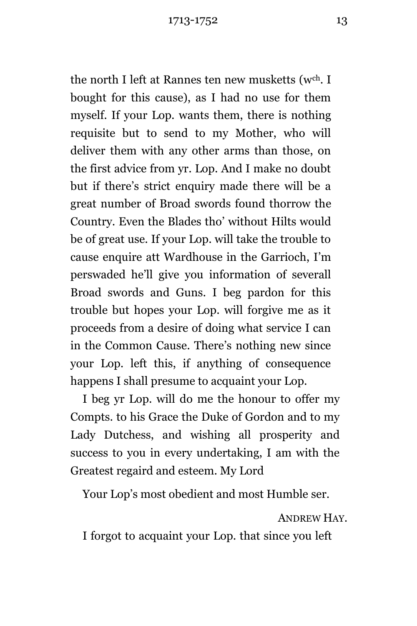the north I left at Rannes ten new musketts (w<sup>ch</sup>. I bought for this cause), as I had no use for them myself. If your Lop. wants them, there is nothing requisite but to send to my Mother, who will deliver them with any other arms than those, on the first advice from yr. Lop. And I make no doubt but if there's strict enquiry made there will be a great number of Broad swords found thorrow the Country. Even the Blades tho' without Hilts would be of great use. If your Lop. will take the trouble to cause enquire att Wardhouse in the Garrioch, I'm perswaded he'll give you information of severall Broad swords and Guns. I beg pardon for this trouble but hopes your Lop. will forgive me as it proceeds from a desire of doing what service I can in the Common Cause. There's nothing new since your Lop. left this, if anything of consequence happens I shall presume to acquaint your Lop.

I beg yr Lop. will do me the honour to offer my Compts. to his Grace the Duke of Gordon and to my Lady Dutchess, and wishing all prosperity and success to you in every undertaking, I am with the Greatest regaird and esteem. My Lord

Your Lop's most obedient and most Humble ser.

ANDREW HAY.

I forgot to acquaint your Lop. that since you left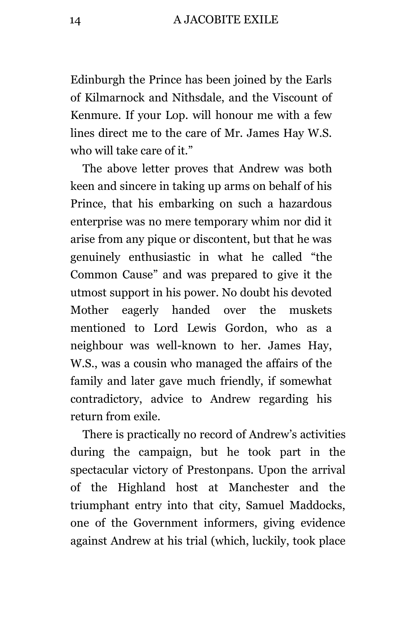Edinburgh the Prince has been joined by the Earls of Kilmarnock and Nithsdale, and the Viscount of Kenmure. If your Lop. will honour me with a few lines direct me to the care of Mr. James Hay W.S. who will take care of it."

The above letter proves that Andrew was both keen and sincere in taking up arms on behalf of his Prince, that his embarking on such a hazardous enterprise was no mere temporary whim nor did it arise from any pique or discontent, but that he was genuinely enthusiastic in what he called "the Common Cause" and was prepared to give it the utmost support in his power. No doubt his devoted Mother eagerly handed over the muskets mentioned to Lord Lewis Gordon, who as a neighbour was well-known to her. James Hay, W.S., was a cousin who managed the affairs of the family and later gave much friendly, if somewhat contradictory, advice to Andrew regarding his return from exile.

There is practically no record of Andrew's activities during the campaign, but he took part in the spectacular victory of Prestonpans. Upon the arrival of the Highland host at Manchester and the triumphant entry into that city, Samuel Maddocks, one of the Government informers, giving evidence against Andrew at his trial (which, luckily, took place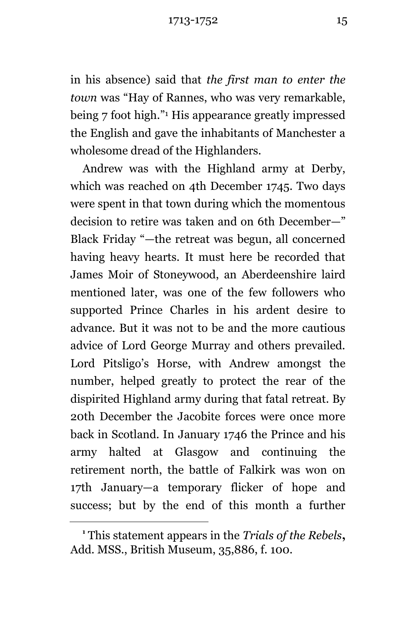1713-1752 15

in his absence) said that *the first man to enter the town* was "Hay of Rannes, who was very remarkable, being 7 foot high." <sup>1</sup> His appearance greatly impressed the English and gave the inhabitants of Manchester a wholesome dread of the Highlanders.

Andrew was with the Highland army at Derby, which was reached on 4th December 1745. Two days were spent in that town during which the momentous decision to retire was taken and on 6th December—" Black Friday "—the retreat was begun, all concerned having heavy hearts. It must here be recorded that James Moir of Stoneywood, an Aberdeenshire laird mentioned later, was one of the few followers who supported Prince Charles in his ardent desire to advance. But it was not to be and the more cautious advice of Lord George Murray and others prevailed. Lord Pitsligo's Horse, with Andrew amongst the number, helped greatly to protect the rear of the dispirited Highland army during that fatal retreat. By 20th December the Jacobite forces were once more back in Scotland. In January 1746 the Prince and his army halted at Glasgow and continuing the retirement north, the battle of Falkirk was won on 17th January—a temporary flicker of hope and success; but by the end of this month a further

÷.

**<sup>1</sup>** This statement appears in the *Trials of the Rebels***,**  Add. MSS., British Museum, 35,886, f. 100.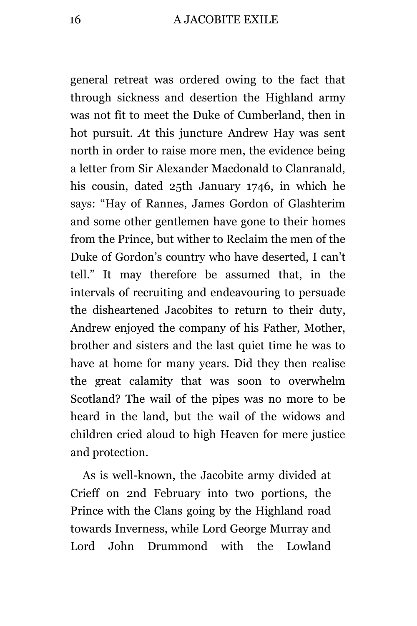general retreat was ordered owing to the fact that through sickness and desertion the Highland army was not fit to meet the Duke of Cumberland, then in hot pursuit. *A*t this juncture Andrew Hay was sent north in order to raise more men, the evidence being a letter from Sir Alexander Macdonald to Clanranald, his cousin, dated 25th January 1746, in which he says: "Hay of Rannes, James Gordon of Glashterim and some other gentlemen have gone to their homes from the Prince, but wither to Reclaim the men of the Duke of Gordon's country who have deserted, I can't tell." It may therefore be assumed that, in the intervals of recruiting and endeavouring to persuade the disheartened Jacobites to return to their duty, Andrew enjoyed the company of his Father, Mother, brother and sisters and the last quiet time he was to have at home for many years. Did they then realise the great calamity that was soon to overwhelm Scotland? The wail of the pipes was no more to be heard in the land, but the wail of the widows and children cried aloud to high Heaven for mere justice and protection.

As is well-known, the Jacobite army divided at Crieff on 2nd February into two portions, the Prince with the Clans going by the Highland road towards Inverness, while Lord George Murray and Lord John Drummond with the Lowland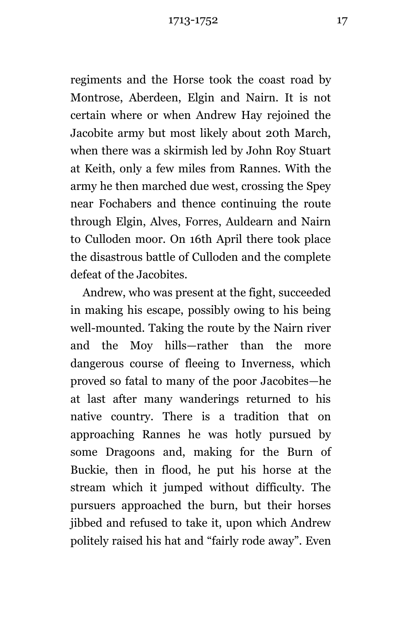regiments and the Horse took the coast road by Montrose, Aberdeen, Elgin and Nairn. It is not certain where or when Andrew Hay rejoined the Jacobite army but most likely about 20th March, when there was a skirmish led by John Roy Stuart at Keith, only a few miles from Rannes. With the army he then marched due west, crossing the Spey near Fochabers and thence continuing the route through Elgin, Alves, Forres, Auldearn and Nairn to Culloden moor. On 16th April there took place the disastrous battle of Culloden and the complete defeat of the Jacobites.

Andrew, who was present at the fight, succeeded in making his escape, possibly owing to his being well-mounted. Taking the route by the Nairn river and the Moy hills—rather than the more dangerous course of fleeing to Inverness, which proved so fatal to many of the poor Jacobites—he at last after many wanderings returned to his native country. There is a tradition that on approaching Rannes he was hotly pursued by some Dragoons and, making for the Burn of Buckie, then in flood, he put his horse at the stream which it jumped without difficulty. The pursuers approached the burn, but their horses jibbed and refused to take it, upon which Andrew politely raised his hat and "fairly rode away". Even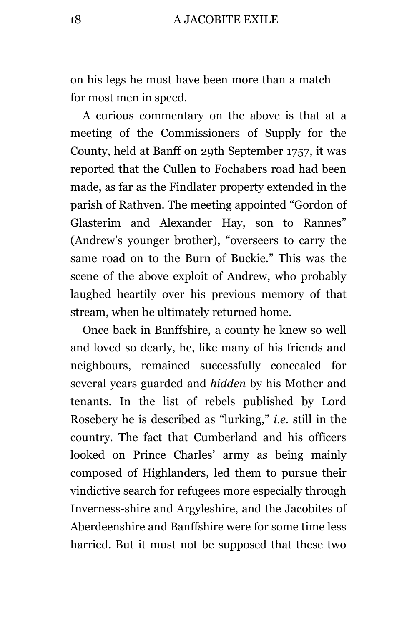on his legs he must have been more than a match for most men in speed.

A curious commentary on the above is that at a meeting of the Commissioners of Supply for the County, held at Banff on 29th September 1757, it was reported that the Cullen to Fochabers road had been made, as far as the Findlater property extended in the parish of Rathven. The meeting appointed "Gordon of Glasterim and Alexander Hay, son to Rannes" (Andrew's younger brother), "overseers to carry the same road on to the Burn of Buckie." This was the scene of the above exploit of Andrew, who probably laughed heartily over his previous memory of that stream, when he ultimately returned home.

Once back in Banffshire, a county he knew so well and loved so dearly, he, like many of his friends and neighbours, remained successfully concealed for several years guarded and *hidden* by his Mother and tenants. In the list of rebels published by Lord Rosebery he is described as "lurking," *i.e.* still in the country. The fact that Cumberland and his officers looked on Prince Charles' army as being mainly composed of Highlanders, led them to pursue their vindictive search for refugees more especially through Inverness-shire and Argyleshire, and the Jacobites of Aberdeenshire and Banffshire were for some time less harried. But it must not be supposed that these two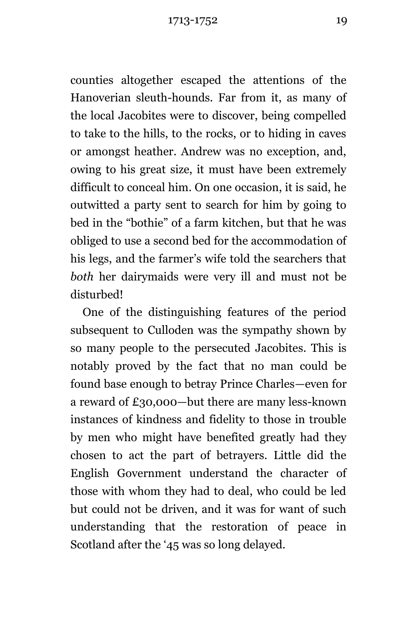counties altogether escaped the attentions of the Hanoverian sleuth-hounds. Far from it, as many of the local Jacobites were to discover, being compelled to take to the hills, to the rocks, or to hiding in caves or amongst heather. Andrew was no exception, and, owing to his great size, it must have been extremely difficult to conceal him. On one occasion, it is said, he outwitted a party sent to search for him by going to bed in the "bothie" of a farm kitchen, but that he was obliged to use a second bed for the accommodation of his legs, and the farmer's wife told the searchers that *both* her dairymaids were very ill and must not be disturbed!

One of the distinguishing features of the period subsequent to Culloden was the sympathy shown by so many people to the persecuted Jacobites. This is notably proved by the fact that no man could be found base enough to betray Prince Charles—even for a reward of £30,000—but there are many less-known instances of kindness and fidelity to those in trouble by men who might have benefited greatly had they chosen to act the part of betrayers. Little did the English Government understand the character of those with whom they had to deal, who could be led but could not be driven, and it was for want of such understanding that the restoration of peace in Scotland after the '45 was so long delayed.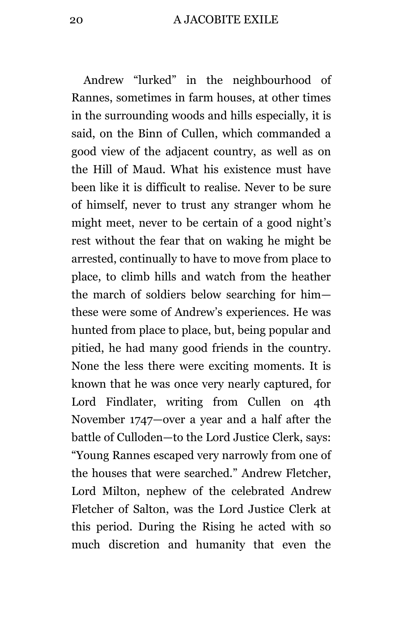Andrew "lurked" in the neighbourhood of Rannes, sometimes in farm houses, at other times in the surrounding woods and hills especially, it is said, on the Binn of Cullen, which commanded a good view of the adjacent country, as well as on the Hill of Maud. What his existence must have been like it is difficult to realise. Never to be sure of himself, never to trust any stranger whom he might meet, never to be certain of a good night's rest without the fear that on waking he might be arrested, continually to have to move from place to place, to climb hills and watch from the heather the march of soldiers below searching for him these were some of Andrew's experiences. He was hunted from place to place, but, being popular and pitied, he had many good friends in the country. None the less there were exciting moments. It is known that he was once very nearly captured, for Lord Findlater, writing from Cullen on 4th November 1747—over a year and a half after the battle of Culloden—to the Lord Justice Clerk, says: "Young Rannes escaped very narrowly from one of the houses that were searched." Andrew Fletcher, Lord Milton, nephew of the celebrated Andrew Fletcher of Salton, was the Lord Justice Clerk at this period. During the Rising he acted with so much discretion and humanity that even the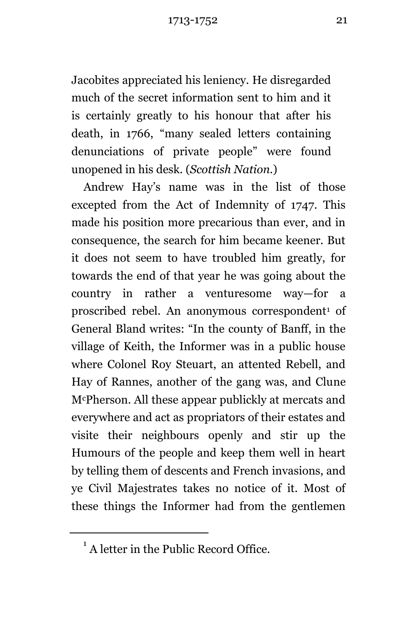Jacobites appreciated his leniency. He disregarded much of the secret information sent to him and it is certainly greatly to his honour that after his death, in 1766, "many sealed letters containing denunciations of private people" were found unopened in his desk. (*Scottish Nation.*)

Andrew Hay's name was in the list of those excepted from the Act of Indemnity of 1747. This made his position more precarious than ever, and in consequence, the search for him became keener. But it does not seem to have troubled him greatly, for towards the end of that year he was going about the country in rather a venturesome way—for a proscribed rebel. An anonymous correspondent<sup>1</sup> of General Bland writes: "In the county of Banff, in the village of Keith, the Informer was in a public house where Colonel Roy Steuart, an attented Rebell, and Hay of Rannes, another of the gang was, and Clune McPherson. All these appear publickly at mercats and everywhere and act as propriators of their estates and visite their neighbours openly and stir up the Humours of the people and keep them well in heart by telling them of descents and French invasions, and ye Civil Majestrates takes no notice of it. Most of these things the Informer had from the gentlemen

÷.

<sup>&</sup>lt;sup>1</sup> A letter in the Public Record Office.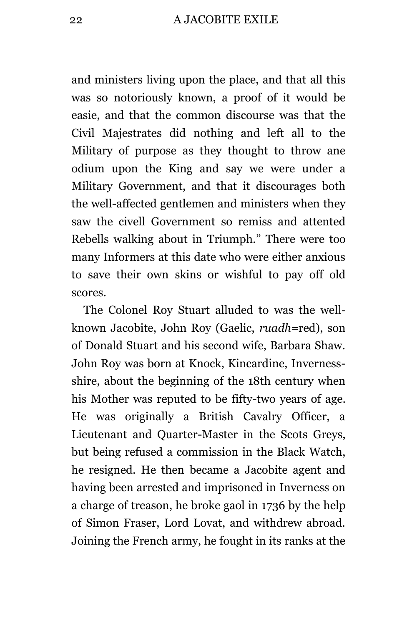and ministers living upon the place, and that all this was so notoriously known, a proof of it would be easie, and that the common discourse was that the Civil Majestrates did nothing and left all to the Military of purpose as they thought to throw ane odium upon the King and say we were under a Military Government, and that it discourages both the well-affected gentlemen and ministers when they saw the civell Government so remiss and attented Rebells walking about in Triumph." There were too many Informers at this date who were either anxious to save their own skins or wishful to pay off old scores.

The Colonel Roy Stuart alluded to was the wellknown Jacobite, John Roy (Gaelic, *ruadh=*red), son of Donald Stuart and his second wife, Barbara Shaw. John Roy was born at Knock, Kincardine, Invernessshire, about the beginning of the 18th century when his Mother was reputed to be fifty-two years of age. He was originally a British Cavalry Officer, a Lieutenant and Quarter-Master in the Scots Greys, but being refused a commission in the Black Watch, he resigned. He then became a Jacobite agent and having been arrested and imprisoned in Inverness on a charge of treason, he broke gaol in 1736 by the help of Simon Fraser, Lord Lovat, and withdrew abroad. Joining the French army, he fought in its ranks at the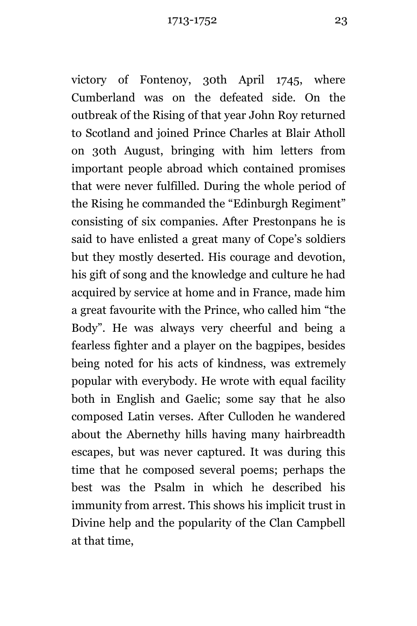victory of Fontenoy, 30th April 1745, where Cumberland was on the defeated side. On the outbreak of the Rising of that year John Roy returned to Scotland and joined Prince Charles at Blair Atholl on 30th August, bringing with him letters from important people abroad which contained promises that were never fulfilled. During the whole period of the Rising he commanded the "Edinburgh Regiment" consisting of six companies. After Prestonpans he is said to have enlisted a great many of Cope's soldiers but they mostly deserted. His courage and devotion, his gift of song and the knowledge and culture he had acquired by service at home and in France, made him a great favourite with the Prince, who called him "the Body". He was always very cheerful and being a fearless fighter and a player on the bagpipes, besides being noted for his acts of kindness, was extremely popular with everybody. He wrote with equal facility both in English and Gaelic; some say that he also composed Latin verses. After Culloden he wandered about the Abernethy hills having many hairbreadth escapes, but was never captured. It was during this time that he composed several poems; perhaps the best was the Psalm in which he described his immunity from arrest. This shows his implicit trust in Divine help and the popularity of the Clan Campbell at that time,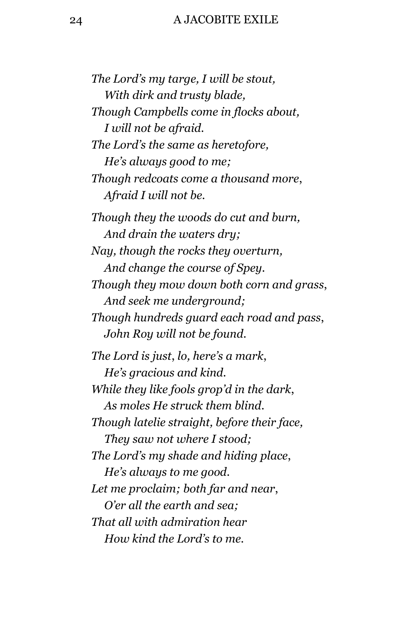#### 24 A JACOBITE EXILE

*The Lord's my targe, I will be stout, With dirk and trusty blade, Though Campbells come in flocks about, I will not be afraid. The Lord's the same as heretofore, He's always good to me; Though redcoats come a thousand more*, *Afraid I will not be. Though they the woods do cut and burn, And drain the waters dry; Nay, though the rocks they overturn, And change the course of Spey. Though they mow down both corn and grass*, *And seek me underground; Though hundreds guard each road and pass*, *John Roy will not be found. The Lord is just*, *lo, here's a mark*, *He's gracious and kind. While they like fools grop'd in the dark*, *As moles He struck them blind. Though latelie straight, before their face, They saw not where I stood; The Lord's my shade and hiding place*, *He's always to me good. Let me proclaim; both far and near*, *O'er all the earth and sea; That all with admiration hear How kind the Lord's to me.*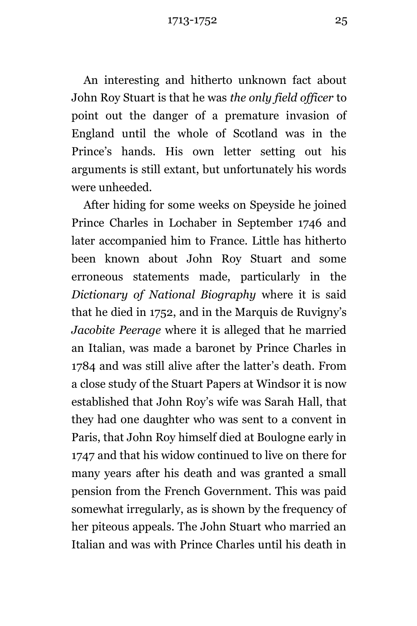An interesting and hitherto unknown fact about John Roy Stuart is that he was *the only field officer* to point out the danger of a premature invasion of England until the whole of Scotland was in the Prince's hands. His own letter setting out his arguments is still extant, but unfortunately his words were unheeded.

After hiding for some weeks on Speyside he joined Prince Charles in Lochaber in September 1746 and later accompanied him to France. Little has hitherto been known about John Roy Stuart and some erroneous statements made, particularly in the *Dictionary of National Biography* where it is said that he died in 1752, and in the Marquis de Ruvigny's *Jacobite Peerage* where it is alleged that he married an Italian, was made a baronet by Prince Charles in 1784 and was still alive after the latter's death. From a close study of the Stuart Papers at Windsor it is now established that John Roy's wife was Sarah Hall, that they had one daughter who was sent to a convent in Paris, that John Roy himself died at Boulogne early in 1747 and that his widow continued to live on there for many years after his death and was granted a small pension from the French Government. This was paid somewhat irregularly, as is shown by the frequency of her piteous appeals. The John Stuart who married an Italian and was with Prince Charles until his death in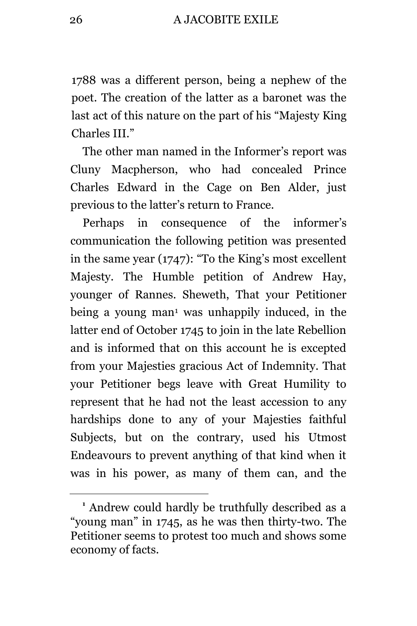1788 was a different person, being a nephew of the poet. The creation of the latter as a baronet was the last act of this nature on the part of his "Majesty King Charles III."

The other man named in the Informer's report was Cluny Macpherson, who had concealed Prince Charles Edward in the Cage on Ben Alder, just previous to the latter's return to France.

Perhaps in consequence of the informer's communication the following petition was presented in the same year (1747): "To the King's most excellent Majesty. The Humble petition of Andrew Hay, younger of Rannes. Sheweth, That your Petitioner being a young man<sup>1</sup> was unhappily induced, in the latter end of October 1745 to join in the late Rebellion and is informed that on this account he is excepted from your Majesties gracious Act of Indemnity. That your Petitioner begs leave with Great Humility to represent that he had not the least accession to any hardships done to any of your Majesties faithful Subjects, but on the contrary, used his Utmost Endeavours to prevent anything of that kind when it was in his power, as many of them can, and the

÷.

**<sup>1</sup>** Andrew could hardly be truthfully described as a "young man" in 1745, as he was then thirty-two. The Petitioner seems to protest too much and shows some economy of facts.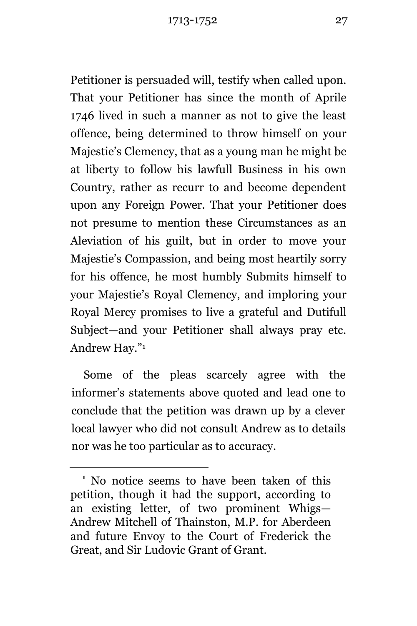Petitioner is persuaded will, testify when called upon. That your Petitioner has since the month of Aprile 1746 lived in such a manner as not to give the least offence, being determined to throw himself on your Majestie's Clemency, that as a young man he might be at liberty to follow his lawfull Business in his own Country, rather as recurr to and become dependent upon any Foreign Power. That your Petitioner does not presume to mention these Circumstances as an Aleviation of his guilt, but in order to move your Majestie's Compassion, and being most heartily sorry for his offence, he most humbly Submits himself to your Majestie's Royal Clemency, and imploring your Royal Mercy promises to live a grateful and Dutifull Subject—and your Petitioner shall always pray etc. Andrew Hay." 1

Some of the pleas scarcely agree with the informer's statements above quoted and lead one to conclude that the petition was drawn up by a clever local lawyer who did not consult Andrew as to details nor was he too particular as to accuracy.

÷.

**<sup>1</sup>** No notice seems to have been taken of this petition, though it had the support, according to an existing letter, of two prominent Whigs— Andrew Mitchell of Thainston, M.P. for Aberdeen and future Envoy to the Court of Frederick the Great, and Sir Ludovic Grant of Grant.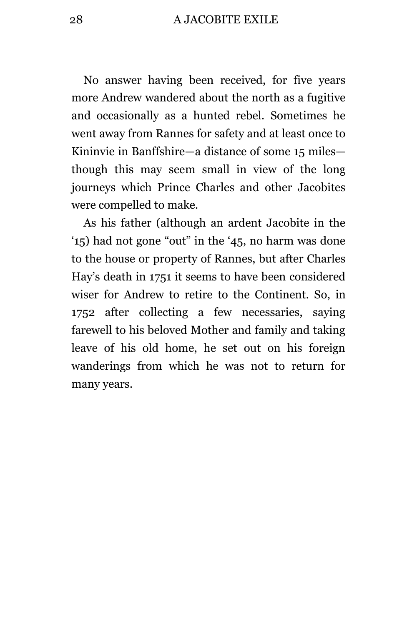28 A JACOBITE EXILE

No answer having been received, for five years more Andrew wandered about the north as a fugitive and occasionally as a hunted rebel. Sometimes he went away from Rannes for safety and at least once to Kininvie in Banffshire—a distance of some 15 miles though this may seem small in view of the long journeys which Prince Charles and other Jacobites were compelled to make.

As his father (although an ardent Jacobite in the '15) had not gone "out" in the '45, no harm was done to the house or property of Rannes, but after Charles Hay's death in 1751 it seems to have been considered wiser for Andrew to retire to the Continent. So, in 1752 after collecting a few necessaries, saying farewell to his beloved Mother and family and taking leave of his old home, he set out on his foreign wanderings from which he was not to return for many years.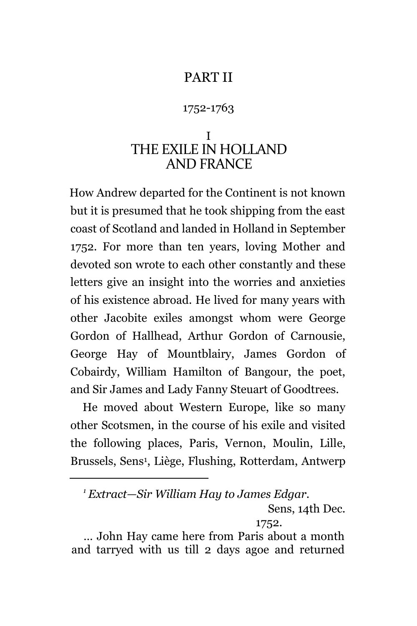#### PART II

#### 1752-1763

#### <span id="page-28-1"></span><span id="page-28-0"></span>I THE EXILE IN HOLLAND AND FRANCE

<span id="page-28-2"></span>How Andrew departed for the Continent is not known but it is presumed that he took shipping from the east coast of Scotland and landed in Holland in September 1752. For more than ten years, loving Mother and devoted son wrote to each other constantly and these letters give an insight into the worries and anxieties of his existence abroad. He lived for many years with other Jacobite exiles amongst whom were George Gordon of Hallhead, Arthur Gordon of Carnousie, George Hay of Mountblairy, James Gordon of Cobairdy, William Hamilton of Bangour, the poet, and Sir James and Lady Fanny Steuart of Goodtrees.

He moved about Western Europe, like so many other Scotsmen, in the course of his exile and visited the following places, Paris, Vernon, Moulin, Lille, Brussels, Sens<sup>1</sup> , Liège, Flushing, Rotterdam, Antwerp

÷.

*<sup>1</sup> Extract—Sir William Hay to James Edgar.*

Sens, 14th Dec.

<sup>1752.</sup>

<sup>…</sup> John Hay came here from Paris about a month and tarryed with us till 2 days agoe and returned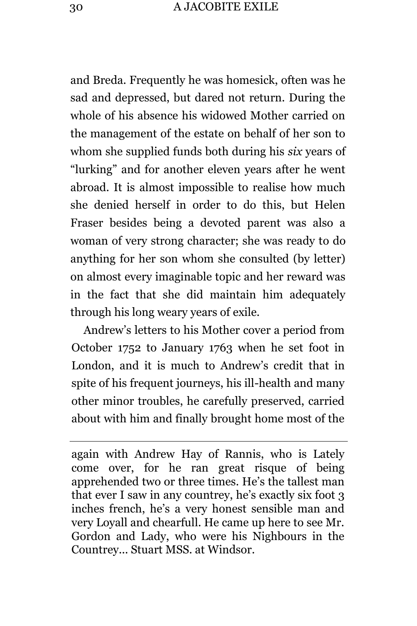and Breda. Frequently he was homesick, often was he sad and depressed, but dared not return. During the whole of his absence his widowed Mother carried on the management of the estate on behalf of her son to whom she supplied funds both during his *six* years of "lurking" and for another eleven years after he went abroad. It is almost impossible to realise how much she denied herself in order to do this, but Helen Fraser besides being a devoted parent was also a woman of very strong character; she was ready to do anything for her son whom she consulted (by letter) on almost every imaginable topic and her reward was in the fact that she did maintain him adequately through his long weary years of exile.

Andrew's letters to his Mother cover a period from October 1752 to January 1763 when he set foot in London, and it is much to Andrew's credit that in spite of his frequent journeys, his ill-health and many other minor troubles, he carefully preserved, carried about with him and finally brought home most of the

again with Andrew Hay of Rannis, who is Lately come over, for he ran great risque of being apprehended two or three times. He's the tallest man that ever I saw in any countrey, he's exactly six foot 3 inches french, he's a very honest sensible man and very Loyall and chearfull. He came up here to see Mr. Gordon and Lady, who were his Nighbours in the Countrey... Stuart MSS. at Windsor.

÷.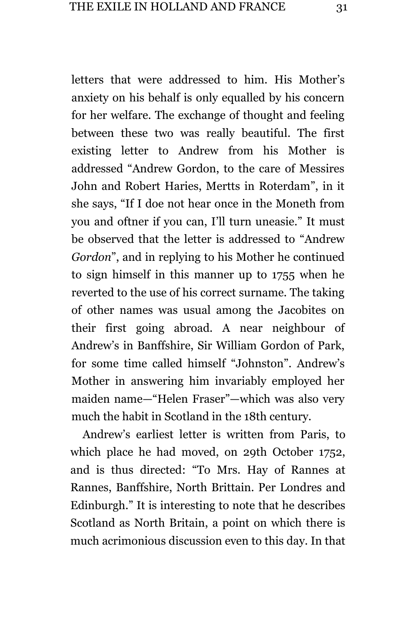letters that were addressed to him. His Mother's anxiety on his behalf is only equalled by his concern for her welfare. The exchange of thought and feeling between these two was really beautiful. The first existing letter to Andrew from his Mother is addressed "Andrew Gordon, to the care of Messires John and Robert Haries, Mertts in Roterdam", in it she says, "If I doe not hear once in the Moneth from you and oftner if you can, I'll turn uneasie." It must be observed that the letter is addressed to "Andrew *Gordon*", and in replying to his Mother he continued to sign himself in this manner up to 1755 when he reverted to the use of his correct surname. The taking of other names was usual among the Jacobites on their first going abroad. A near neighbour of Andrew's in Banffshire, Sir William Gordon of Park, for some time called himself "Johnston". Andrew's Mother in answering him invariably employed her maiden name—"Helen Fraser"—which was also very much the habit in Scotland in the 18th century.

Andrew's earliest letter is written from Paris, to which place he had moved, on 29th October 1752, and is thus directed: "To Mrs. Hay of Rannes at Rannes, Banffshire, North Brittain. Per Londres and Edinburgh." It is interesting to note that he describes Scotland as North Britain, a point on which there is much acrimonious discussion even to this day. In that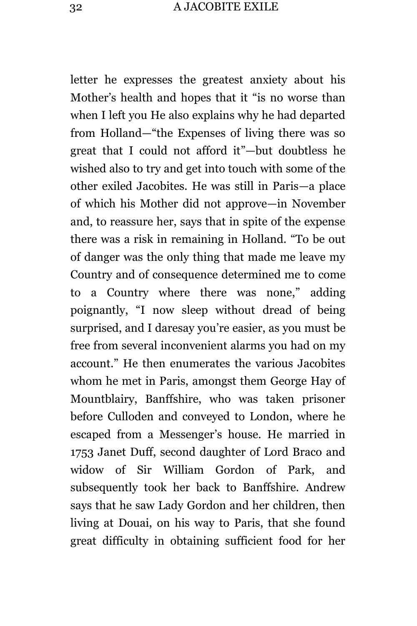letter he expresses the greatest anxiety about his Mother's health and hopes that it "is no worse than when I left you He also explains why he had departed from Holland—"the Expenses of living there was so great that I could not afford it"—but doubtless he wished also to try and get into touch with some of the other exiled Jacobites. He was still in Paris—a place of which his Mother did not approve—in November and, to reassure her, says that in spite of the expense there was a risk in remaining in Holland. "To be out of danger was the only thing that made me leave my Country and of consequence determined me to come to a Country where there was none," adding poignantly, "I now sleep without dread of being surprised, and I daresay you're easier, as you must be free from several inconvenient alarms you had on my account." He then enumerates the various Jacobites whom he met in Paris, amongst them George Hay of Mountblairy, Banffshire, who was taken prisoner before Culloden and conveyed to London, where he escaped from a Messenger's house. He married in 1753 Janet Duff, second daughter of Lord Braco and widow of Sir William Gordon of Park, and subsequently took her back to Banffshire. Andrew says that he saw Lady Gordon and her children, then living at Douai, on his way to Paris, that she found great difficulty in obtaining sufficient food for her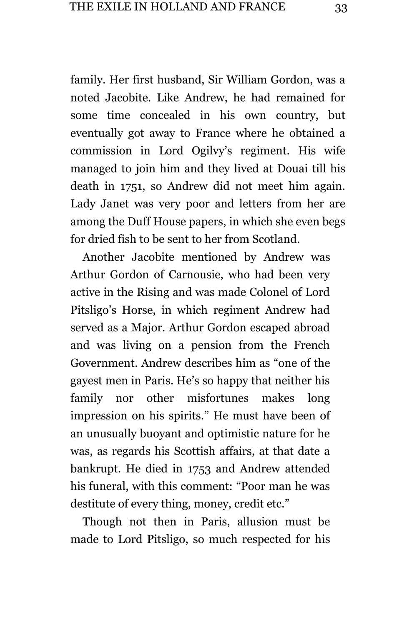family. Her first husband, Sir William Gordon, was a noted Jacobite. Like Andrew, he had remained for some time concealed in his own country, but eventually got away to France where he obtained a commission in Lord Ogilvy's regiment. His wife managed to join him and they lived at Douai till his death in 1751, so Andrew did not meet him again. Lady Janet was very poor and letters from her are among the Duff House papers, in which she even begs for dried fish to be sent to her from Scotland.

Another Jacobite mentioned by Andrew was Arthur Gordon of Carnousie, who had been very active in the Rising and was made Colonel of Lord Pitsligo's Horse, in which regiment Andrew had served as a Major. Arthur Gordon escaped abroad and was living on a pension from the French Government. Andrew describes him as "one of the gayest men in Paris. He's so happy that neither his family nor other misfortunes makes long impression on his spirits." He must have been of an unusually buoyant and optimistic nature for he was, as regards his Scottish affairs, at that date a bankrupt. He died in 1753 and Andrew attended his funeral, with this comment: "Poor man he was destitute of every thing, money, credit etc."

Though not then in Paris, allusion must be made to Lord Pitsligo, so much respected for his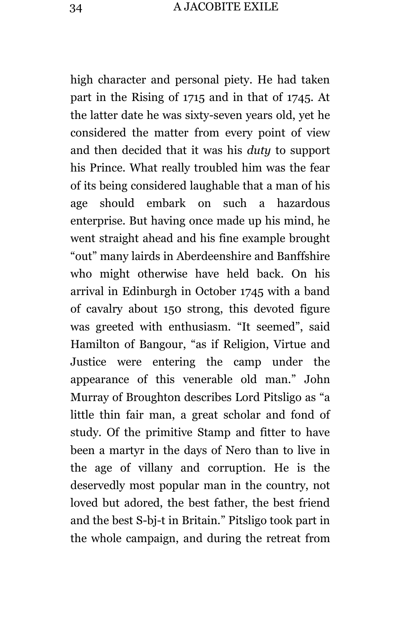high character and personal piety. He had taken part in the Rising of 1715 and in that of 1745. At the latter date he was sixty-seven years old, yet he considered the matter from every point of view and then decided that it was his *duty* to support his Prince. What really troubled him was the fear of its being considered laughable that a man of his age should embark on such a hazardous enterprise. But having once made up his mind, he went straight ahead and his fine example brought "out" many lairds in Aberdeenshire and Banffshire who might otherwise have held back. On his arrival in Edinburgh in October 1745 with a band of cavalry about 150 strong, this devoted figure was greeted with enthusiasm. "It seemed", said Hamilton of Bangour, "as if Religion, Virtue and Justice were entering the camp under the appearance of this venerable old man." John Murray of Broughton describes Lord Pitsligo as "a little thin fair man, a great scholar and fond of study. Of the primitive Stamp and fitter to have been a martyr in the days of Nero than to live in the age of villany and corruption. He is the deservedly most popular man in the country, not loved but adored, the best father, the best friend and the best S-bj-t in Britain." Pitsligo took part in the whole campaign, and during the retreat from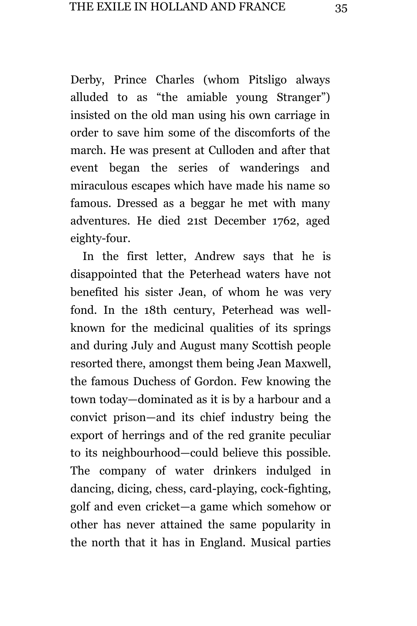Derby, Prince Charles (whom Pitsligo always alluded to as "the amiable young Stranger") insisted on the old man using his own carriage in order to save him some of the discomforts of the march. He was present at Culloden and after that event began the series of wanderings and miraculous escapes which have made his name so famous. Dressed as a beggar he met with many adventures. He died 21st December 1762, aged eighty-four.

In the first letter, Andrew says that he is disappointed that the Peterhead waters have not benefited his sister Jean, of whom he was very fond. In the 18th century, Peterhead was wellknown for the medicinal qualities of its springs and during July and August many Scottish people resorted there, amongst them being Jean Maxwell, the famous Duchess of Gordon. Few knowing the town today—dominated as it is by a harbour and a convict prison—and its chief industry being the export of herrings and of the red granite peculiar to its neighbourhood—could believe this possible. The company of water drinkers indulged in dancing, dicing, chess, card-playing, cock-fighting, golf and even cricket—a game which somehow or other has never attained the same popularity in the north that it has in England. Musical parties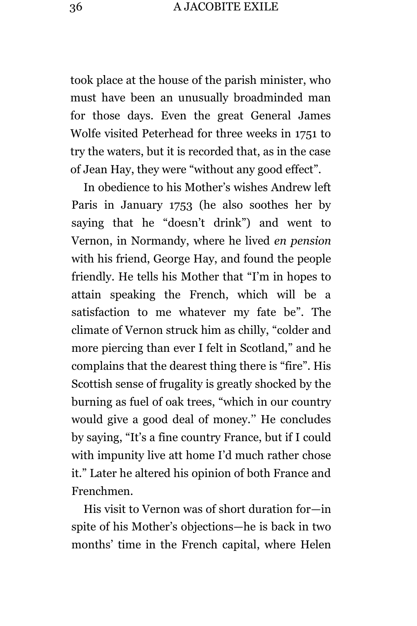took place at the house of the parish minister, who must have been an unusually broadminded man for those days. Even the great General James Wolfe visited Peterhead for three weeks in 1751 to try the waters, but it is recorded that, as in the case of Jean Hay, they were "without any good effect".

In obedience to his Mother's wishes Andrew left Paris in January 1753 (he also soothes her by saying that he "doesn't drink") and went to Vernon, in Normandy, where he lived *en pension* with his friend, George Hay, and found the people friendly. He tells his Mother that "I'm in hopes to attain speaking the French, which will be a satisfaction to me whatever my fate be". The climate of Vernon struck him as chilly, "colder and more piercing than ever I felt in Scotland," and he complains that the dearest thing there is "fire". His Scottish sense of frugality is greatly shocked by the burning as fuel of oak trees, "which in our country would give a good deal of money.'' He concludes by saying, "It's a fine country France, but if I could with impunity live att home I'd much rather chose it." Later he altered his opinion of both France and Frenchmen.

His visit to Vernon was of short duration for—in spite of his Mother's objections—he is back in two months' time in the French capital, where Helen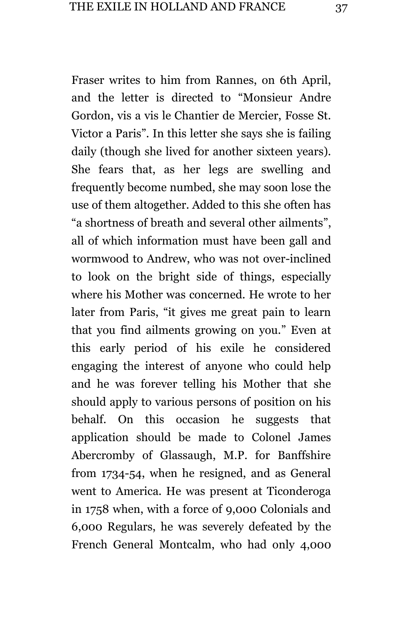Fraser writes to him from Rannes, on 6th April, and the letter is directed to "Monsieur Andre Gordon, vis a vis le Chantier de Mercier, Fosse St. Victor a Paris". In this letter she says she is failing daily (though she lived for another sixteen years). She fears that, as her legs are swelling and frequently become numbed, she may soon lose the use of them altogether. Added to this she often has "a shortness of breath and several other ailments", all of which information must have been gall and wormwood to Andrew, who was not over-inclined to look on the bright side of things, especially where his Mother was concerned. He wrote to her later from Paris, "it gives me great pain to learn that you find ailments growing on you." Even at this early period of his exile he considered engaging the interest of anyone who could help and he was forever telling his Mother that she should apply to various persons of position on his behalf. On this occasion he suggests that application should be made to Colonel James Abercromby of Glassaugh, M.P. for Banffshire from 1734-54, when he resigned, and as General went to America. He was present at Ticonderoga in 1758 when, with a force of 9,000 Colonials and 6,000 Regulars, he was severely defeated by the French General Montcalm, who had only 4,000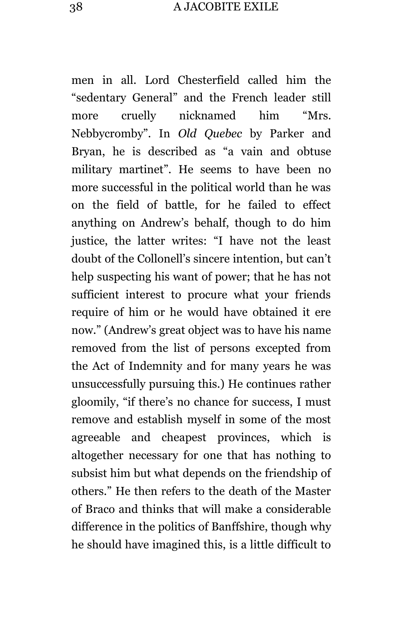men in all. Lord Chesterfield called him the "sedentary General" and the French leader still more cruelly nicknamed him "Mrs. Nebbycromby". In *Old Quebec* by Parker and Bryan, he is described as "a vain and obtuse military martinet". He seems to have been no more successful in the political world than he was on the field of battle, for he failed to effect anything on Andrew's behalf, though to do him justice, the latter writes: "I have not the least doubt of the Collonell's sincere intention, but can't help suspecting his want of power; that he has not sufficient interest to procure what your friends require of him or he would have obtained it ere now." (Andrew's great object was to have his name removed from the list of persons excepted from the Act of Indemnity and for many years he was unsuccessfully pursuing this.) He continues rather gloomily, "if there's no chance for success, I must remove and establish myself in some of the most agreeable and cheapest provinces, which is altogether necessary for one that has nothing to subsist him but what depends on the friendship of others." He then refers to the death of the Master of Braco and thinks that will make a considerable difference in the politics of Banffshire, though why he should have imagined this, is a little difficult to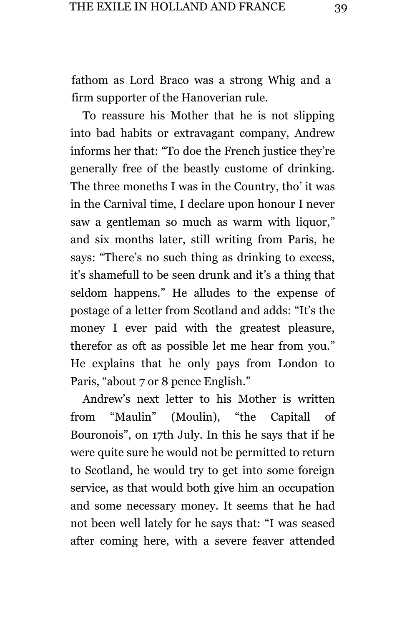fathom as Lord Braco was a strong Whig and a firm supporter of the Hanoverian rule.

To reassure his Mother that he is not slipping into bad habits or extravagant company, Andrew informs her that: "To doe the French justice they're generally free of the beastly custome of drinking. The three moneths I was in the Country, tho' it was in the Carnival time, I declare upon honour I never saw a gentleman so much as warm with liquor," and six months later, still writing from Paris, he says: "There's no such thing as drinking to excess, it's shamefull to be seen drunk and it's a thing that seldom happens." He alludes to the expense of postage of a letter from Scotland and adds: "It's the money I ever paid with the greatest pleasure, therefor as oft as possible let me hear from you." He explains that he only pays from London to Paris, "about 7 or 8 pence English."

Andrew's next letter to his Mother is written from "Maulin" (Moulin), "the Capitall of Bouronois", on 17th July. In this he says that if he were quite sure he would not be permitted to return to Scotland, he would try to get into some foreign service, as that would both give him an occupation and some necessary money. It seems that he had not been well lately for he says that: "I was seased after coming here, with a severe feaver attended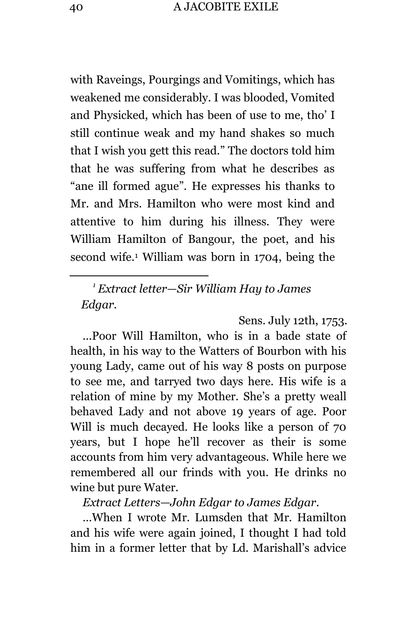with Raveings, Pourgings and Vomitings, which has weakened me considerably. I was blooded, Vomited and Physicked, which has been of use to me, tho' I still continue weak and my hand shakes so much that I wish you gett this read." The doctors told him that he was suffering from what he describes as "ane ill formed ague". He expresses his thanks to Mr. and Mrs. Hamilton who were most kind and attentive to him during his illness. They were William Hamilton of Bangour, the poet, and his second wife.<sup>1</sup> William was born in 1704, being the

*<sup>1</sup> Extract letter—Sir William Hay to James Edgar.*

Sens. July 12th, 1753.

...Poor Will Hamilton, who is in a bade state of health, in his way to the Watters of Bourbon with his young Lady, came out of his way 8 posts on purpose to see me, and tarryed two days here. His wife is a relation of mine by my Mother. She's a pretty weall behaved Lady and not above 19 years of age. Poor Will is much decayed. He looks like a person of 70 years, but I hope he'll recover as their is some accounts from him very advantageous. While here we remembered all our frinds with you. He drinks no wine but pure Water.

*Extract Letters—John Edgar to James Edgar.*

…When I wrote Mr. Lumsden that Mr. Hamilton and his wife were again joined, I thought I had told him in a former letter that by Ld. Marishall's advice

L,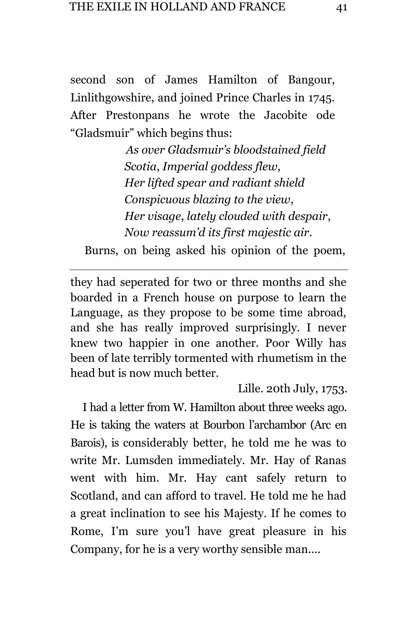second son of James Hamilton of Bangour, Linlithgowshire, and joined Prince Charles in 1745. After Prestonpans he wrote the Jacobite ode "Gladsmuir" which begins thus:

> *As over Gladsmuir's bloodstained field Scotia*, *Imperial goddess flew*, *Her lifted spear and radiant shield Conspicuous blazing to the view*, *Her visage*, *lately clouded with despair*, *Now reassum'd its first majestic air.*

Burns, on being asked his opinion of the poem,

a<br>B

they had seperated for two or three months and she boarded in a French house on purpose to learn the Language, as they propose to be some time abroad, and she has really improved surprisingly. I never knew two happier in one another. Poor Willy has been of late terribly tormented with rhumetism in the head but is now much better.

Lille. 20th July, 1753.

I had a letter from W. Hamilton about three weeks ago. He is taking the waters at Bourbon l'archambor (Arc en Barois), is considerably better, he told me he was to write Mr. Lumsden immediately. Mr. Hay of Ranas went with him. Mr. Hay cant safely return to Scotland, and can afford to travel. He told me he had a great inclination to see his Majesty. If he comes to Rome, I'm sure you'l have great pleasure in his Company, for he is a very worthy sensible man....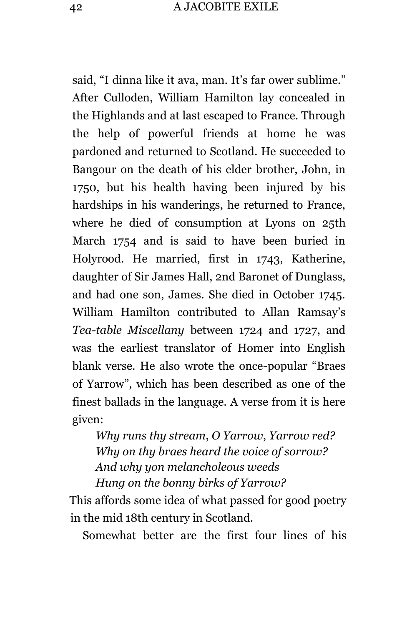said, "I dinna like it ava, man. It's far ower sublime." After Culloden, William Hamilton lay concealed in the Highlands and at last escaped to France. Through the help of powerful friends at home he was pardoned and returned to Scotland. He succeeded to Bangour on the death of his elder brother, John, in 1750, but his health having been injured by his hardships in his wanderings, he returned to France, where he died of consumption at Lyons on 25th March 1754 and is said to have been buried in Holyrood. He married, first in 1743, Katherine, daughter of Sir James Hall, 2nd Baronet of Dunglass, and had one son, James. She died in October 1745. William Hamilton contributed to Allan Ramsay's *Tea-table Miscellany* between 1724 and 1727, and was the earliest translator of Homer into English blank verse. He also wrote the once-popular "Braes of Yarrow", which has been described as one of the finest ballads in the language. A verse from it is here given:

*Why runs thy stream*, *O Yarrow*, *Yarrow red? Why on thy braes heard the voice of sorrow? And why yon melancholeous weeds Hung on the bonny birks of Yarrow?*

This affords some idea of what passed for good poetry in the mid 18th century in Scotland.

Somewhat better are the first four lines of his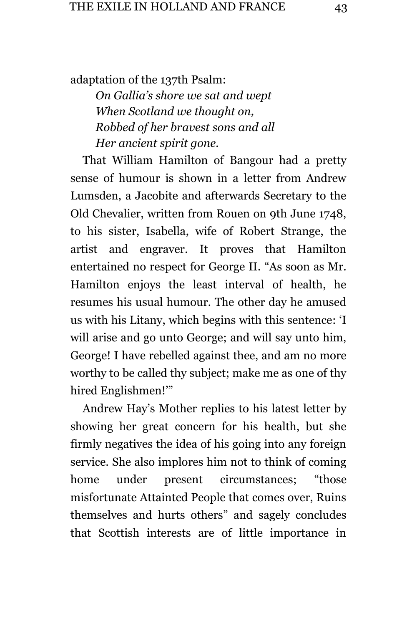adaptation of the 137th Psalm:

*On Gallia's shore we sat and wept When Scotland we thought on, Robbed of her bravest sons and all Her ancient spirit gone.*

That William Hamilton of Bangour had a pretty sense of humour is shown in a letter from Andrew Lumsden, a Jacobite and afterwards Secretary to the Old Chevalier, written from Rouen on 9th June 1748, to his sister, Isabella, wife of Robert Strange, the artist and engraver. It proves that Hamilton entertained no respect for George II. "As soon as Mr. Hamilton enjoys the least interval of health, he resumes his usual humour. The other day he amused us with his Litany, which begins with this sentence: 'I will arise and go unto George; and will say unto him, George! I have rebelled against thee, and am no more worthy to be called thy subject; make me as one of thy hired Englishmen!'"

Andrew Hay's Mother replies to his latest letter by showing her great concern for his health, but she firmly negatives the idea of his going into any foreign service. She also implores him not to think of coming home under present circumstances; "those misfortunate Attainted People that comes over, Ruins themselves and hurts others" and sagely concludes that Scottish interests are of little importance in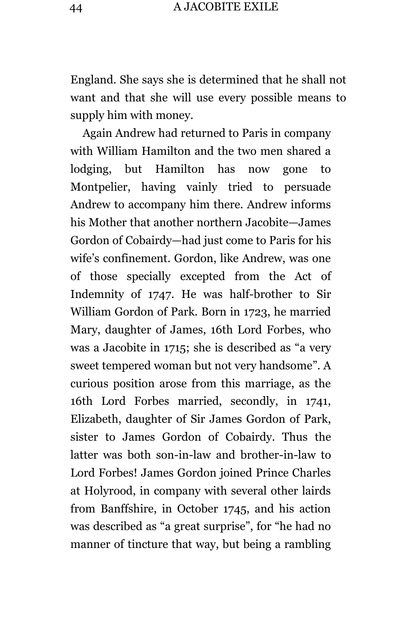England. She says she is determined that he shall not want and that she will use every possible means to supply him with money.

Again Andrew had returned to Paris in company with William Hamilton and the two men shared a lodging, but Hamilton has now gone to Montpelier, having vainly tried to persuade Andrew to accompany him there. Andrew informs his Mother that another northern Jacobite—James Gordon of Cobairdy—had just come to Paris for his wife's confinement. Gordon, like Andrew, was one of those specially excepted from the Act of Indemnity of 1747. He was half-brother to Sir William Gordon of Park. Born in 1723, he married Mary, daughter of James, 16th Lord Forbes, who was a Jacobite in 1715; she is described as "a very sweet tempered woman but not very handsome". A curious position arose from this marriage, as the 16th Lord Forbes married, secondly, in 1741, Elizabeth, daughter of Sir James Gordon of Park, sister to James Gordon of Cobairdy. Thus the latter was both son-in-law and brother-in-law to Lord Forbes! James Gordon joined Prince Charles at Holyrood, in company with several other lairds from Banffshire, in October 1745, and his action was described as "a great surprise", for "he had no manner of tincture that way, but being a rambling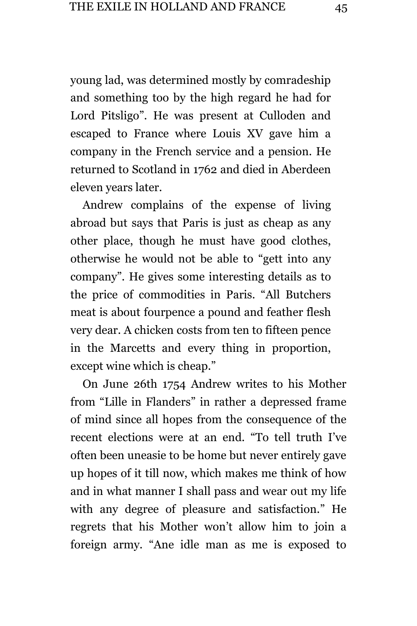young lad, was determined mostly by comradeship and something too by the high regard he had for Lord Pitsligo". He was present at Culloden and escaped to France where Louis XV gave him a company in the French service and a pension. He returned to Scotland in 1762 and died in Aberdeen eleven years later.

Andrew complains of the expense of living abroad but says that Paris is just as cheap as any other place, though he must have good clothes, otherwise he would not be able to "gett into any company". He gives some interesting details as to the price of commodities in Paris. "All Butchers meat is about fourpence a pound and feather flesh very dear. A chicken costs from ten to fifteen pence in the Marcetts and every thing in proportion, except wine which is cheap."

On June 26th 1754 Andrew writes to his Mother from "Lille in Flanders" in rather a depressed frame of mind since all hopes from the consequence of the recent elections were at an end. "To tell truth I've often been uneasie to be home but never entirely gave up hopes of it till now, which makes me think of how and in what manner I shall pass and wear out my life with any degree of pleasure and satisfaction." He regrets that his Mother won't allow him to join a foreign army. "Ane idle man as me is exposed to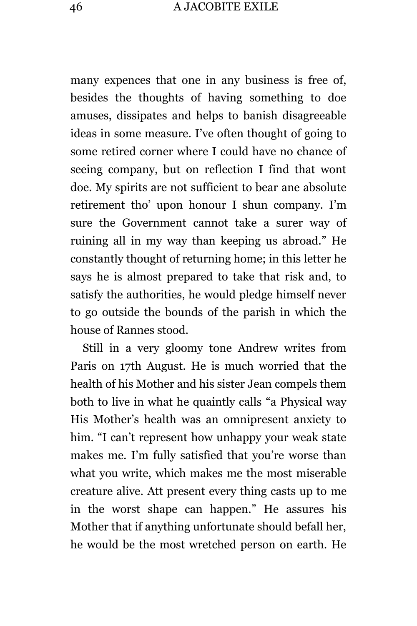many expences that one in any business is free of, besides the thoughts of having something to doe amuses, dissipates and helps to banish disagreeable ideas in some measure. I've often thought of going to some retired corner where I could have no chance of seeing company, but on reflection I find that wont doe. My spirits are not sufficient to bear ane absolute retirement tho' upon honour I shun company. I'm sure the Government cannot take a surer way of ruining all in my way than keeping us abroad." He constantly thought of returning home; in this letter he says he is almost prepared to take that risk and, to satisfy the authorities, he would pledge himself never to go outside the bounds of the parish in which the house of Rannes stood.

Still in a very gloomy tone Andrew writes from Paris on 17th August. He is much worried that the health of his Mother and his sister Jean compels them both to live in what he quaintly calls "a Physical way His Mother's health was an omnipresent anxiety to him. "I can't represent how unhappy your weak state makes me. I'm fully satisfied that you're worse than what you write, which makes me the most miserable creature alive. Att present every thing casts up to me in the worst shape can happen." He assures his Mother that if anything unfortunate should befall her, he would be the most wretched person on earth. He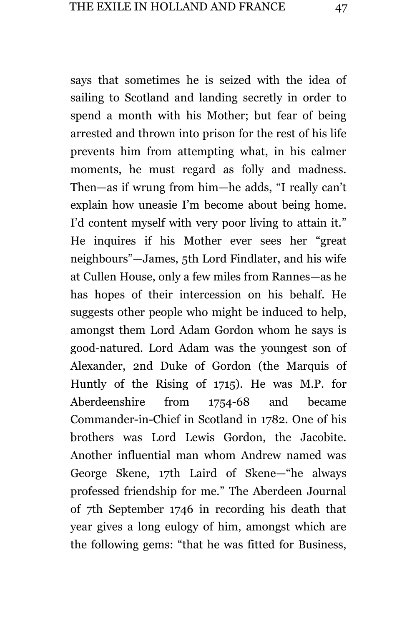says that sometimes he is seized with the idea of sailing to Scotland and landing secretly in order to spend a month with his Mother; but fear of being arrested and thrown into prison for the rest of his life prevents him from attempting what, in his calmer moments, he must regard as folly and madness. Then—as if wrung from him—he adds, "I really can't explain how uneasie I'm become about being home. I'd content myself with very poor living to attain it." He inquires if his Mother ever sees her "great neighbours"—James, 5th Lord Findlater, and his wife at Cullen House, only a few miles from Rannes—as he has hopes of their intercession on his behalf. He suggests other people who might be induced to help, amongst them Lord Adam Gordon whom he says is good-natured. Lord Adam was the youngest son of Alexander, 2nd Duke of Gordon (the Marquis of Huntly of the Rising of 1715). He was M.P. for Aberdeenshire from 1754-68 and became Commander-in-Chief in Scotland in 1782. One of his brothers was Lord Lewis Gordon, the Jacobite. Another influential man whom Andrew named was George Skene, 17th Laird of Skene—"he always professed friendship for me." The Aberdeen Journal of 7th September 1746 in recording his death that year gives a long eulogy of him, amongst which are the following gems: "that he was fitted for Business,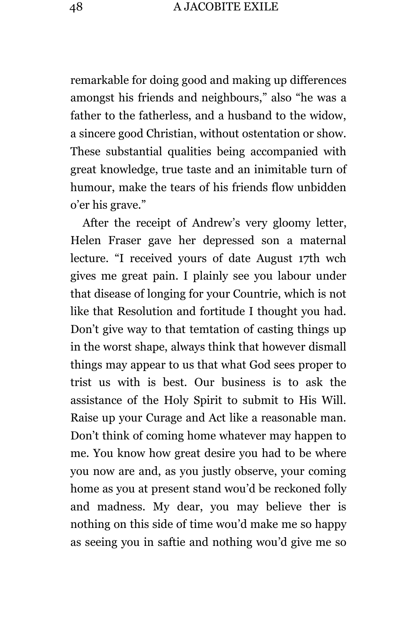remarkable for doing good and making up differences amongst his friends and neighbours," also "he was a father to the fatherless, and a husband to the widow, a sincere good Christian, without ostentation or show. These substantial qualities being accompanied with great knowledge, true taste and an inimitable turn of humour, make the tears of his friends flow unbidden o'er his grave."

After the receipt of Andrew's very gloomy letter, Helen Fraser gave her depressed son a maternal lecture. "I received yours of date August 17th wch gives me great pain. I plainly see you labour under that disease of longing for your Countrie, which is not like that Resolution and fortitude I thought you had. Don't give way to that temtation of casting things up in the worst shape, always think that however dismall things may appear to us that what God sees proper to trist us with is best. Our business is to ask the assistance of the Holy Spirit to submit to His Will. Raise up your Curage and Act like a reasonable man. Don't think of coming home whatever may happen to me. You know how great desire you had to be where you now are and, as you justly observe, your coming home as you at present stand wou'd be reckoned folly and madness. My dear, you may believe ther is nothing on this side of time wou'd make me so happy as seeing you in saftie and nothing wou'd give me so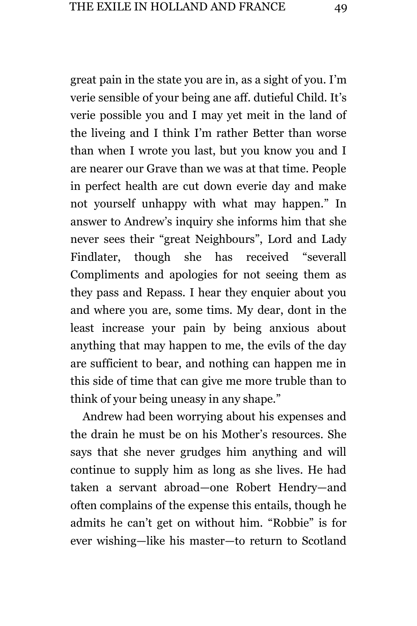great pain in the state you are in, as a sight of you. I'm verie sensible of your being ane aff. dutieful Child. It's verie possible you and I may yet meit in the land of the liveing and I think I'm rather Better than worse than when I wrote you last, but you know you and I are nearer our Grave than we was at that time. People in perfect health are cut down everie day and make not yourself unhappy with what may happen." In answer to Andrew's inquiry she informs him that she never sees their "great Neighbours", Lord and Lady Findlater, though she has received "severall Compliments and apologies for not seeing them as they pass and Repass. I hear they enquier about you and where you are, some tims. My dear, dont in the least increase your pain by being anxious about anything that may happen to me, the evils of the day are sufficient to bear, and nothing can happen me in this side of time that can give me more truble than to think of your being uneasy in any shape."

Andrew had been worrying about his expenses and the drain he must be on his Mother's resources. She says that she never grudges him anything and will continue to supply him as long as she lives. He had taken a servant abroad—one Robert Hendry—and often complains of the expense this entails, though he admits he can't get on without him. "Robbie" is for ever wishing—like his master—to return to Scotland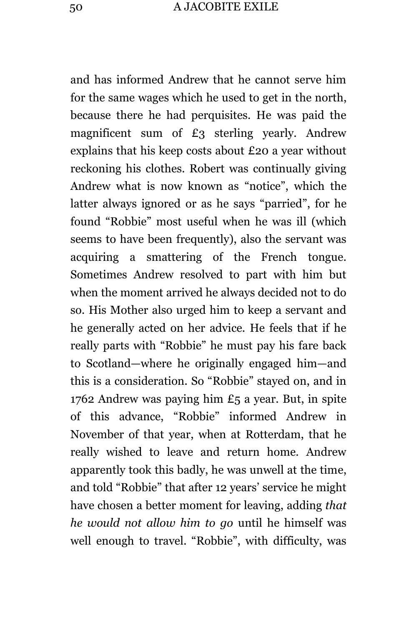and has informed Andrew that he cannot serve him for the same wages which he used to get in the north, because there he had perquisites. He was paid the magnificent sum of £3 sterling yearly. Andrew explains that his keep costs about £20 a year without reckoning his clothes. Robert was continually giving Andrew what is now known as "notice", which the latter always ignored or as he says "parried", for he found "Robbie" most useful when he was ill (which seems to have been frequently), also the servant was acquiring a smattering of the French tongue. Sometimes Andrew resolved to part with him but when the moment arrived he always decided not to do so. His Mother also urged him to keep a servant and he generally acted on her advice. He feels that if he really parts with "Robbie" he must pay his fare back to Scotland—where he originally engaged him—and this is a consideration. So "Robbie" stayed on, and in 1762 Andrew was paying him £5 a year. But, in spite of this advance, "Robbie" informed Andrew in November of that year, when at Rotterdam, that he really wished to leave and return home. Andrew apparently took this badly, he was unwell at the time, and told "Robbie" that after 12 years' service he might have chosen a better moment for leaving, adding *that he would not allow him to go* until he himself was well enough to travel. "Robbie", with difficulty, was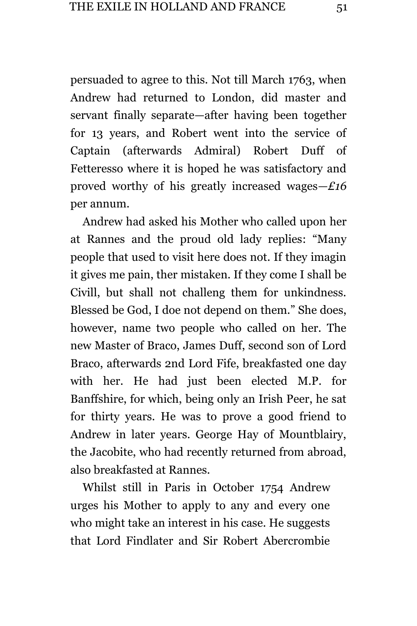persuaded to agree to this. Not till March 1763, when Andrew had returned to London, did master and servant finally separate—after having been together for 13 years, and Robert went into the service of Captain (afterwards Admiral) Robert Duff of Fetteresso where it is hoped he was satisfactory and proved worthy of his greatly increased wages*—£16*  per annum.

Andrew had asked his Mother who called upon her at Rannes and the proud old lady replies: "Many people that used to visit here does not. If they imagin it gives me pain, ther mistaken. If they come I shall be Civill, but shall not challeng them for unkindness. Blessed be God, I doe not depend on them." She does, however, name two people who called on her. The new Master of Braco, James Duff, second son of Lord Braco, afterwards 2nd Lord Fife, breakfasted one day with her. He had just been elected M.P. for Banffshire, for which, being only an Irish Peer, he sat for thirty years. He was to prove a good friend to Andrew in later years. George Hay of Mountblairy, the Jacobite, who had recently returned from abroad, also breakfasted at Rannes.

Whilst still in Paris in October 1754 Andrew urges his Mother to apply to any and every one who might take an interest in his case. He suggests that Lord Findlater and Sir Robert Abercrombie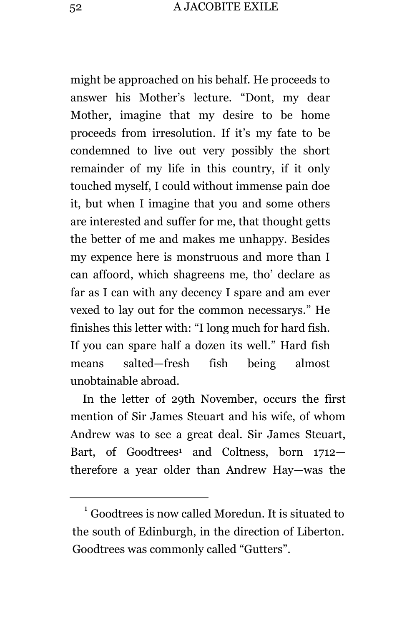might be approached on his behalf. He proceeds to answer his Mother's lecture. "Dont, my dear Mother, imagine that my desire to be home proceeds from irresolution. If it's my fate to be condemned to live out very possibly the short remainder of my life in this country, if it only touched myself, I could without immense pain doe it, but when I imagine that you and some others are interested and suffer for me, that thought getts the better of me and makes me unhappy. Besides my expence here is monstruous and more than I can affoord, which shagreens me, tho' declare as far as I can with any decency I spare and am ever vexed to lay out for the common necessarys." He finishes this letter with: "I long much for hard fish. If you can spare half a dozen its well." Hard fish means salted—fresh fish being almost unobtainable abroad.

In the letter of 29th November, occurs the first mention of Sir James Steuart and his wife, of whom Andrew was to see a great deal. Sir James Steuart, Bart, of Goodtrees<sup>1</sup> and Coltness, born 1712– therefore a year older than Andrew Hay—was the

L,

 $1$  Goodtrees is now called Moredun. It is situated to the south of Edinburgh, in the direction of Liberton. Goodtrees was commonly called "Gutters".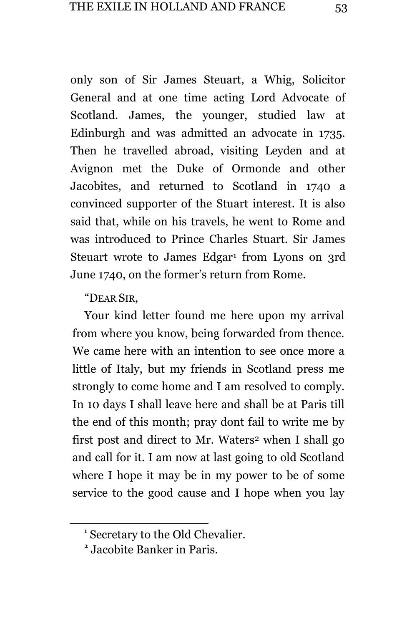only son of Sir James Steuart, a Whig, Solicitor General and at one time acting Lord Advocate of Scotland. James, the younger, studied law at Edinburgh and was admitted an advocate in 1735. Then he travelled abroad, visiting Leyden and at Avignon met the Duke of Ormonde and other Jacobites, and returned to Scotland in 1740 a convinced supporter of the Stuart interest. It is also said that, while on his travels, he went to Rome and was introduced to Prince Charles Stuart. Sir James Steuart wrote to James Edgar<sup>1</sup> from Lyons on 3rd June 1740, on the former's return from Rome.

"DEAR SIR,

a<br>B

Your kind letter found me here upon my arrival from where you know, being forwarded from thence. We came here with an intention to see once more a little of Italy, but my friends in Scotland press me strongly to come home and I am resolved to comply. In 10 days I shall leave here and shall be at Paris till the end of this month; pray dont fail to write me by first post and direct to Mr. Waters<sup>2</sup> when I shall go and call for it. I am now at last going to old Scotland where I hope it may be in my power to be of some service to the good cause and I hope when you lay

**<sup>1</sup>** Secretary to the Old Chevalier.

**<sup>2</sup>** Jacobite Banker in Paris.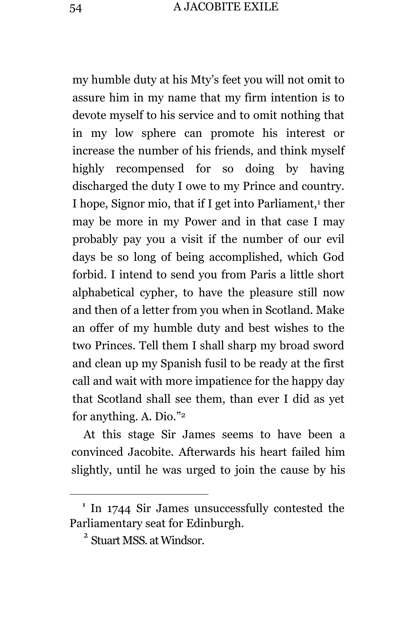my humble duty at his Mty's feet you will not omit to assure him in my name that my firm intention is to devote myself to his service and to omit nothing that in my low sphere can promote his interest or increase the number of his friends, and think myself highly recompensed for so doing by having discharged the duty I owe to my Prince and country. I hope, Signor mio, that if I get into Parliament,<sup>1</sup> ther may be more in my Power and in that case I may probably pay you a visit if the number of our evil days be so long of being accomplished, which God forbid. I intend to send you from Paris a little short alphabetical cypher, to have the pleasure still now and then of a letter from you when in Scotland. Make an offer of my humble duty and best wishes to the two Princes. Tell them I shall sharp my broad sword and clean up my Spanish fusil to be ready at the first call and wait with more impatience for the happy day that Scotland shall see them, than ever I did as yet for anything. A. Dio." 2

At this stage Sir James seems to have been a convinced Jacobite. Afterwards his heart failed him slightly, until he was urged to join the cause by his

L,

<sup>&</sup>lt;sup>1</sup> In 1744 Sir James unsuccessfully contested the Parliamentary seat for Edinburgh.

<sup>&</sup>lt;sup>2</sup> Stuart MSS. at Windsor.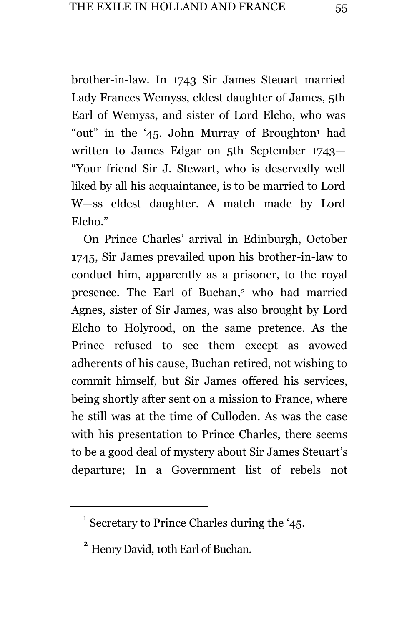brother-in-law. In 1743 Sir James Steuart married Lady Frances Wemyss, eldest daughter of James, 5th Earl of Wemyss, and sister of Lord Elcho, who was "out" in the '45. John Murray of Broughton<sup>1</sup> had written to James Edgar on 5th September 1743— "Your friend Sir J. Stewart, who is deservedly well liked by all his acquaintance, is to be married to Lord W—ss eldest daughter. A match made by Lord Elcho."

On Prince Charles' arrival in Edinburgh, October 1745, Sir James prevailed upon his brother-in-law to conduct him, apparently as a prisoner, to the royal presence. The Earl of Buchan,<sup>2</sup> who had married Agnes, sister of Sir James, was also brought by Lord Elcho to Holyrood, on the same pretence. As the Prince refused to see them except as avowed adherents of his cause, Buchan retired, not wishing to commit himself, but Sir James offered his services, being shortly after sent on a mission to France, where he still was at the time of Culloden. As was the case with his presentation to Prince Charles, there seems to be a good deal of mystery about Sir James Steuart's departure; In a Government list of rebels not

<sup>&</sup>lt;sup>1</sup> Secretary to Prince Charles during the '45.

<sup>2</sup> Henry David, 10th Earl of Buchan.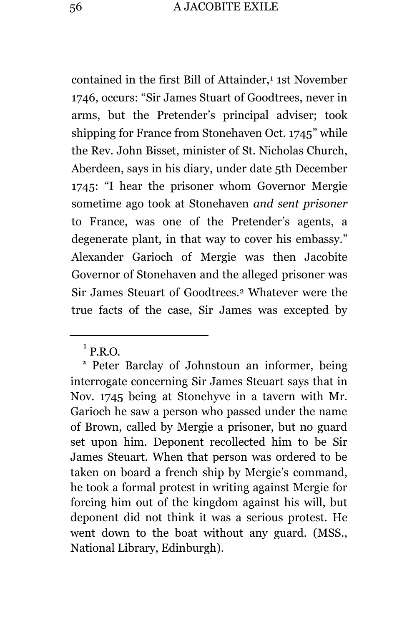contained in the first Bill of Attainder,<sup>1</sup> 1st November 1746, occurs: "Sir James Stuart of Goodtrees, never in arms, but the Pretender's principal adviser; took shipping for France from Stonehaven Oct. 1745" while the Rev. John Bisset, minister of St. Nicholas Church, Aberdeen, says in his diary, under date 5th December 1745: "I hear the prisoner whom Governor Mergie sometime ago took at Stonehaven *and sent prisoner* to France, was one of the Pretender's agents, a degenerate plant, in that way to cover his embassy." Alexander Garioch of Mergie was then Jacobite Governor of Stonehaven and the alleged prisoner was Sir James Steuart of Goodtrees.<sup>2</sup> Whatever were the true facts of the case, Sir James was excepted by

 $<sup>1</sup>$  P.R.O.</sup>

<sup>&</sup>lt;sup>2</sup> Peter Barclay of Johnstoun an informer, being interrogate concerning Sir James Steuart says that in Nov. 1745 being at Stonehyve in a tavern with Mr. Garioch he saw a person who passed under the name of Brown, called by Mergie a prisoner, but no guard set upon him. Deponent recollected him to be Sir James Steuart. When that person was ordered to be taken on board a french ship by Mergie's command, he took a formal protest in writing against Mergie for forcing him out of the kingdom against his will, but deponent did not think it was a serious protest. He went down to the boat without any guard. (MSS., National Library, Edinburgh).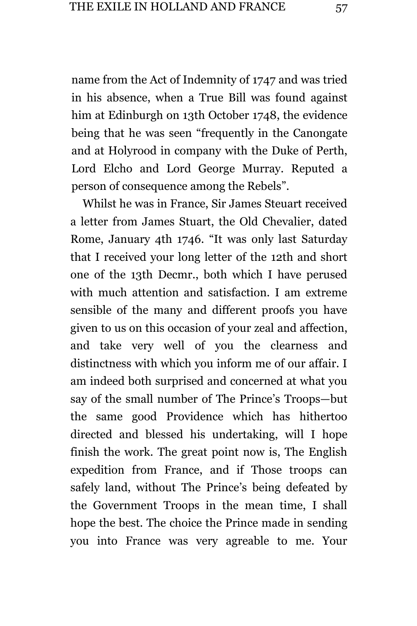name from the Act of Indemnity of 1747 and was tried in his absence, when a True Bill was found against him at Edinburgh on 13th October 1748, the evidence being that he was seen "frequently in the Canongate and at Holyrood in company with the Duke of Perth, Lord Elcho and Lord George Murray. Reputed a person of consequence among the Rebels".

Whilst he was in France, Sir James Steuart received a letter from James Stuart, the Old Chevalier, dated Rome, January 4th 1746. "It was only last Saturday that I received your long letter of the 12th and short one of the 13th Decmr., both which I have perused with much attention and satisfaction. I am extreme sensible of the many and different proofs you have given to us on this occasion of your zeal and affection, and take very well of you the clearness and distinctness with which you inform me of our affair. I am indeed both surprised and concerned at what you say of the small number of The Prince's Troops—but the same good Providence which has hithertoo directed and blessed his undertaking, will I hope finish the work. The great point now is, The English expedition from France, and if Those troops can safely land, without The Prince's being defeated by the Government Troops in the mean time, I shall hope the best. The choice the Prince made in sending you into France was very agreable to me. Your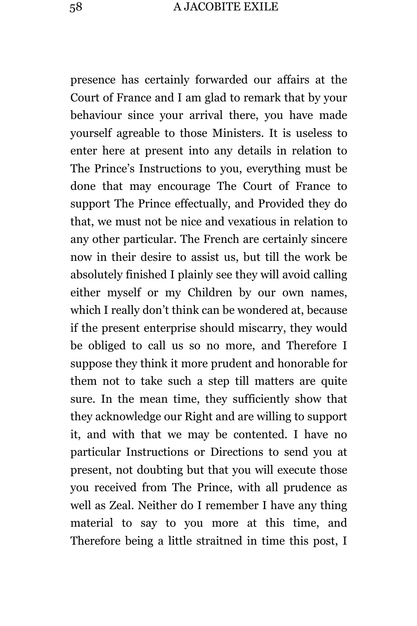presence has certainly forwarded our affairs at the Court of France and I am glad to remark that by your behaviour since your arrival there, you have made yourself agreable to those Ministers. It is useless to enter here at present into any details in relation to The Prince's Instructions to you, everything must be done that may encourage The Court of France to support The Prince effectually, and Provided they do that, we must not be nice and vexatious in relation to any other particular. The French are certainly sincere now in their desire to assist us, but till the work be absolutely finished I plainly see they will avoid calling either myself or my Children by our own names, which I really don't think can be wondered at, because if the present enterprise should miscarry, they would be obliged to call us so no more, and Therefore I suppose they think it more prudent and honorable for them not to take such a step till matters are quite sure. In the mean time, they sufficiently show that they acknowledge our Right and are willing to support it, and with that we may be contented. I have no particular Instructions or Directions to send you at present, not doubting but that you will execute those you received from The Prince, with all prudence as well as Zeal. Neither do I remember I have any thing material to say to you more at this time, and Therefore being a little straitned in time this post, I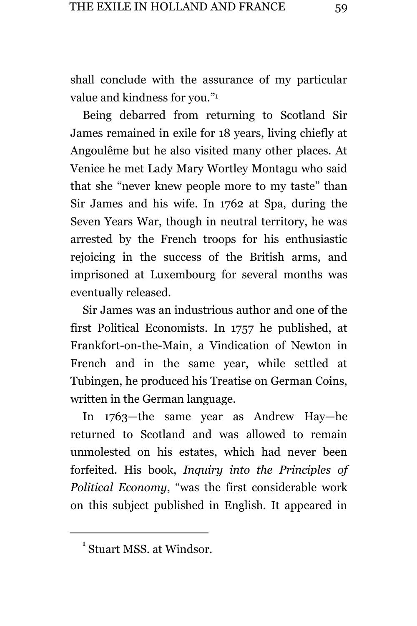shall conclude with the assurance of my particular value and kindness for you." 1

Being debarred from returning to Scotland Sir James remained in exile for 18 years, living chiefly at Angoulême but he also visited many other places. At Venice he met Lady Mary Wortley Montagu who said that she "never knew people more to my taste" than Sir James and his wife. In 1762 at Spa, during the Seven Years War, though in neutral territory, he was arrested by the French troops for his enthusiastic rejoicing in the success of the British arms, and imprisoned at Luxembourg for several months was eventually released.

Sir James was an industrious author and one of the first Political Economists. In 1757 he published, at Frankfort-on-the-Main, a Vindication of Newton in French and in the same year, while settled at Tubingen, he produced his Treatise on German Coins, written in the German language.

In 1763—the same year as Andrew Hay—he returned to Scotland and was allowed to remain unmolested on his estates, which had never been forfeited. His book, *Inquiry into the Principles of Political Economy*, "was the first considerable work on this subject published in English. It appeared in

<sup>&</sup>lt;sup>1</sup> Stuart MSS. at Windsor.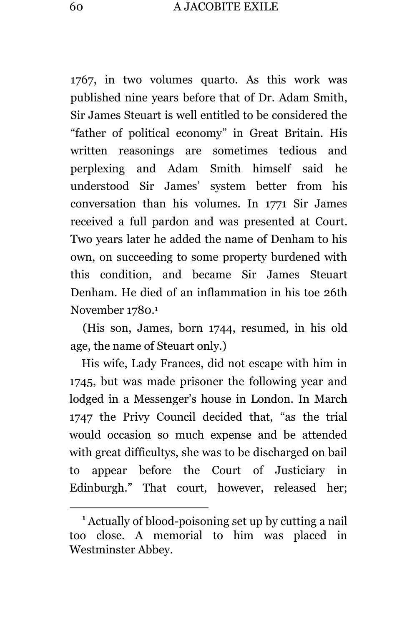1767, in two volumes quarto. As this work was published nine years before that of Dr. Adam Smith, Sir James Steuart is well entitled to be considered the "father of political economy" in Great Britain. His written reasonings are sometimes tedious and perplexing and Adam Smith himself said he understood Sir James' system better from his conversation than his volumes. In 1771 Sir James received a full pardon and was presented at Court. Two years later he added the name of Denham to his own, on succeeding to some property burdened with this condition, and became Sir James Steuart Denham. He died of an inflammation in his toe 26th November 1780.<sup>1</sup>

(His son, James, born 1744, resumed, in his old age, the name of Steuart only.)

His wife, Lady Frances, did not escape with him in 1745, but was made prisoner the following year and lodged in a Messenger's house in London. In March 1747 the Privy Council decided that, "as the trial would occasion so much expense and be attended with great difficultys, she was to be discharged on bail to appear before the Court of Justiciary in Edinburgh." That court, however, released her;

**<sup>1</sup>** Actually of blood-poisoning set up by cutting a nail too close. A memorial to him was placed in Westminster Abbey.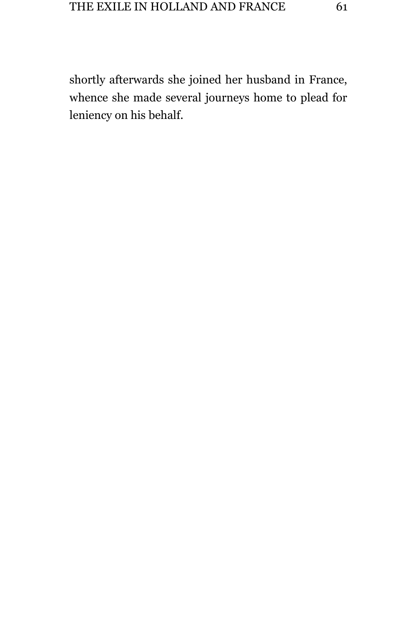shortly afterwards she joined her husband in France, whence she made several journeys home to plead for leniency on his behalf.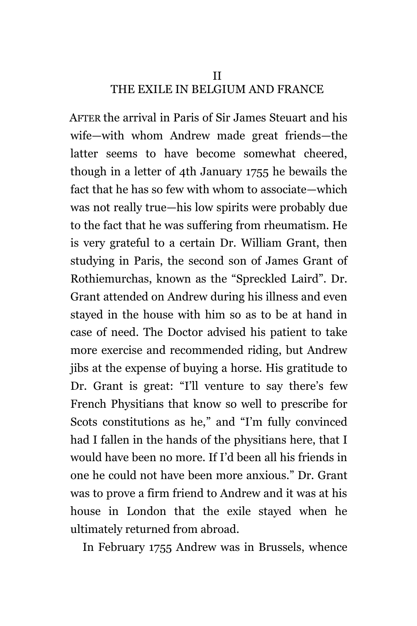## II THE EXILE IN BELGIUM AND FRANCE

AFTER the arrival in Paris of Sir James Steuart and his wife—with whom Andrew made great friends—the latter seems to have become somewhat cheered, though in a letter of 4th January 1755 he bewails the fact that he has so few with whom to associate—which was not really true—his low spirits were probably due to the fact that he was suffering from rheumatism. He is very grateful to a certain Dr. William Grant, then studying in Paris, the second son of James Grant of Rothiemurchas, known as the "Spreckled Laird". Dr. Grant attended on Andrew during his illness and even stayed in the house with him so as to be at hand in case of need. The Doctor advised his patient to take more exercise and recommended riding, but Andrew jibs at the expense of buying a horse. His gratitude to Dr. Grant is great: "I'll venture to say there's few French Physitians that know so well to prescribe for Scots constitutions as he," and "I'm fully convinced had I fallen in the hands of the physitians here, that I would have been no more. If I'd been all his friends in one he could not have been more anxious." Dr. Grant was to prove a firm friend to Andrew and it was at his house in London that the exile stayed when he ultimately returned from abroad.

In February 1755 Andrew was in Brussels, whence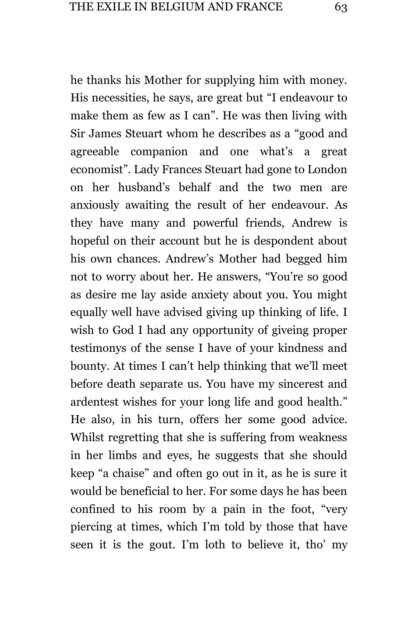he thanks his Mother for supplying him with money. His necessities, he says, are great but "I endeavour to make them as few as I can". He was then living with Sir James Steuart whom he describes as a "good and agreeable companion and one what's a great economist". Lady Frances Steuart had gone to London on her husband's behalf and the two men are anxiously awaiting the result of her endeavour. As they have many and powerful friends, Andrew is hopeful on their account but he is despondent about his own chances. Andrew's Mother had begged him not to worry about her. He answers, "You're so good as desire me lay aside anxiety about you. You might equally well have advised giving up thinking of life. I wish to God I had any opportunity of giveing proper testimonys of the sense I have of your kindness and bounty. At times I can't help thinking that we'll meet before death separate us. You have my sincerest and ardentest wishes for your long life and good health." He also, in his turn, offers her some good advice. Whilst regretting that she is suffering from weakness in her limbs and eyes, he suggests that she should keep "a chaise" and often go out in it, as he is sure it would be beneficial to her. For some days he has been confined to his room by a pain in the foot, "very piercing at times, which I'm told by those that have seen it is the gout. I'm loth to believe it, tho' my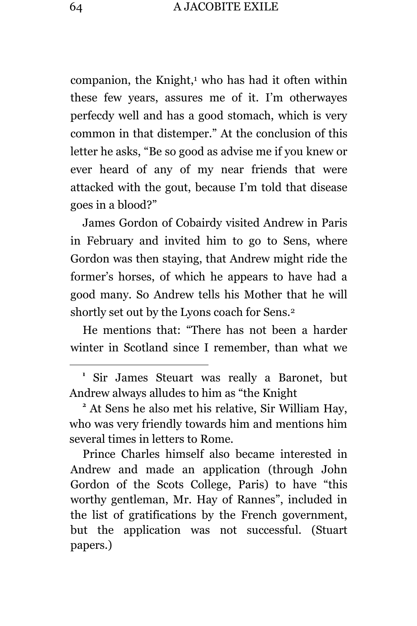companion, the Knight, $1$  who has had it often within these few years, assures me of it. I'm otherwayes perfecdy well and has a good stomach, which is very common in that distemper." At the conclusion of this letter he asks, "Be so good as advise me if you knew or ever heard of any of my near friends that were attacked with the gout, because I'm told that disease goes in a blood?"

James Gordon of Cobairdy visited Andrew in Paris in February and invited him to go to Sens, where Gordon was then staying, that Andrew might ride the former's horses, of which he appears to have had a good many. So Andrew tells his Mother that he will shortly set out by the Lyons coach for Sens.<sup>2</sup>

He mentions that: "There has not been a harder winter in Scotland since I remember, than what we

**1** Sir James Steuart was really a Baronet, but Andrew always alludes to him as "the Knight

**<sup>2</sup>** At Sens he also met his relative, Sir William Hay, who was very friendly towards him and mentions him several times in letters to Rome.

Prince Charles himself also became interested in Andrew and made an application (through John Gordon of the Scots College, Paris) to have "this worthy gentleman, Mr. Hay of Rannes", included in the list of gratifications by the French government, but the application was not successful. (Stuart papers.)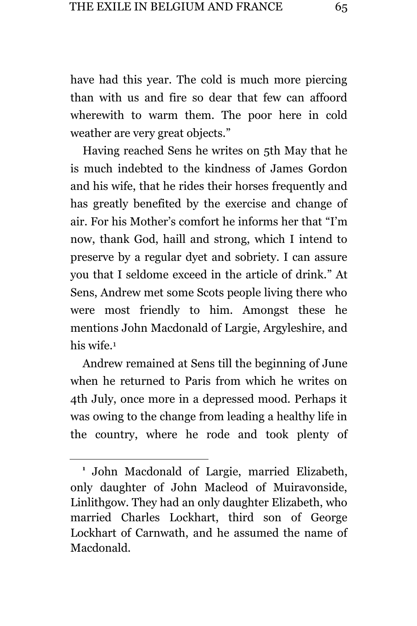have had this year. The cold is much more piercing than with us and fire so dear that few can affoord wherewith to warm them. The poor here in cold weather are very great objects."

Having reached Sens he writes on 5th May that he is much indebted to the kindness of James Gordon and his wife, that he rides their horses frequently and has greatly benefited by the exercise and change of air. For his Mother's comfort he informs her that "I'm now, thank God, haill and strong, which I intend to preserve by a regular dyet and sobriety. I can assure you that I seldome exceed in the article of drink." At Sens, Andrew met some Scots people living there who were most friendly to him. Amongst these he mentions John Macdonald of Largie, Argyleshire, and his wife.<sup>1</sup>

Andrew remained at Sens till the beginning of June when he returned to Paris from which he writes on 4th July, once more in a depressed mood. Perhaps it was owing to the change from leading a healthy life in the country, where he rode and took plenty of

**<sup>1</sup>** John Macdonald of Largie, married Elizabeth, only daughter of John Macleod of Muiravonside, Linlithgow. They had an only daughter Elizabeth, who married Charles Lockhart, third son of George Lockhart of Carnwath, and he assumed the name of Macdonald.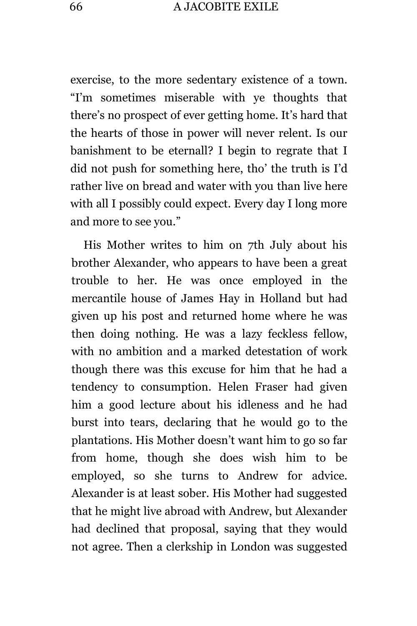exercise, to the more sedentary existence of a town. "I'm sometimes miserable with ye thoughts that there's no prospect of ever getting home. It's hard that the hearts of those in power will never relent. Is our banishment to be eternall? I begin to regrate that I did not push for something here, tho' the truth is I'd rather live on bread and water with you than live here with all I possibly could expect. Every day I long more and more to see you."

His Mother writes to him on 7th July about his brother Alexander, who appears to have been a great trouble to her. He was once employed in the mercantile house of James Hay in Holland but had given up his post and returned home where he was then doing nothing. He was a lazy feckless fellow, with no ambition and a marked detestation of work though there was this excuse for him that he had a tendency to consumption. Helen Fraser had given him a good lecture about his idleness and he had burst into tears, declaring that he would go to the plantations. His Mother doesn't want him to go so far from home, though she does wish him to be employed, so she turns to Andrew for advice. Alexander is at least sober. His Mother had suggested that he might live abroad with Andrew, but Alexander had declined that proposal, saying that they would not agree. Then a clerkship in London was suggested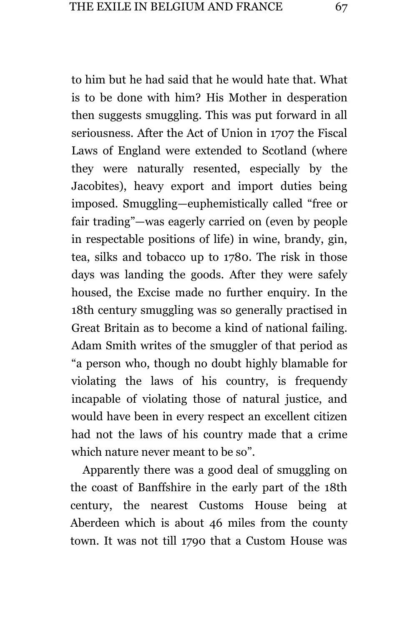to him but he had said that he would hate that. What is to be done with him? His Mother in desperation then suggests smuggling. This was put forward in all seriousness. After the Act of Union in 1707 the Fiscal Laws of England were extended to Scotland (where they were naturally resented, especially by the Jacobites), heavy export and import duties being imposed. Smuggling—euphemistically called "free or fair trading"—was eagerly carried on (even by people in respectable positions of life) in wine, brandy, gin, tea, silks and tobacco up to 1780. The risk in those days was landing the goods. After they were safely housed, the Excise made no further enquiry. In the 18th century smuggling was so generally practised in Great Britain as to become a kind of national failing. Adam Smith writes of the smuggler of that period as "a person who, though no doubt highly blamable for violating the laws of his country, is frequendy incapable of violating those of natural justice, and would have been in every respect an excellent citizen had not the laws of his country made that a crime which nature never meant to be so".

Apparently there was a good deal of smuggling on the coast of Banffshire in the early part of the 18th century, the nearest Customs House being at Aberdeen which is about 46 miles from the county town. It was not till 1790 that a Custom House was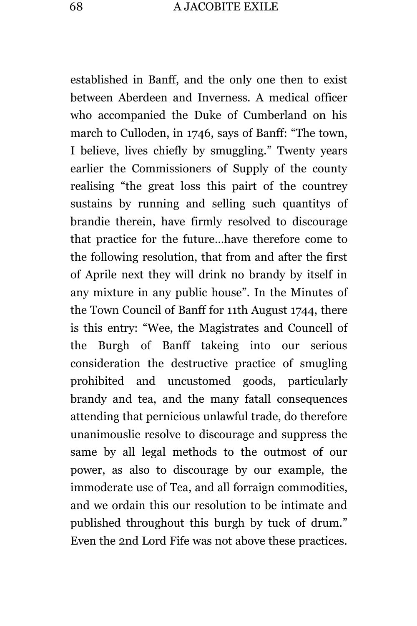established in Banff, and the only one then to exist between Aberdeen and Inverness. A medical officer who accompanied the Duke of Cumberland on his march to Culloden, in 1746, says of Banff: "The town, I believe, lives chiefly by smuggling." Twenty years earlier the Commissioners of Supply of the county realising "the great loss this pairt of the countrey sustains by running and selling such quantitys of brandie therein, have firmly resolved to discourage that practice for the future…have therefore come to the following resolution, that from and after the first of Aprile next they will drink no brandy by itself in any mixture in any public house". In the Minutes of the Town Council of Banff for 11th August 1744, there is this entry: "Wee, the Magistrates and Councell of the Burgh of Banff takeing into our serious consideration the destructive practice of smugling prohibited and uncustomed goods, particularly brandy and tea, and the many fatall consequences attending that pernicious unlawful trade, do therefore unanimouslie resolve to discourage and suppress the same by all legal methods to the outmost of our power, as also to discourage by our example, the immoderate use of Tea, and all forraign commodities, and we ordain this our resolution to be intimate and published throughout this burgh by tuck of drum." Even the 2nd Lord Fife was not above these practices.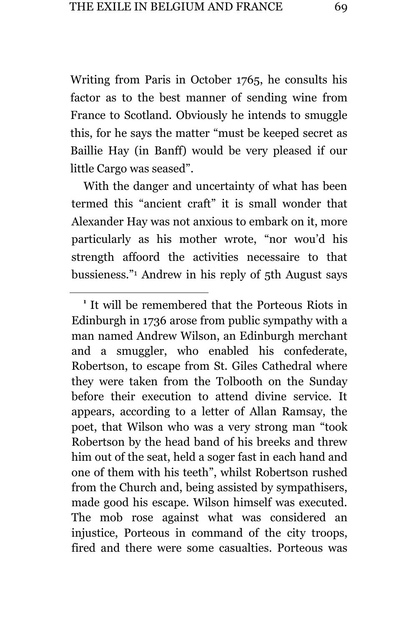Writing from Paris in October 1765, he consults his factor as to the best manner of sending wine from France to Scotland. Obviously he intends to smuggle this, for he says the matter "must be keeped secret as Baillie Hay (in Banff) would be very pleased if our little Cargo was seased".

With the danger and uncertainty of what has been termed this "ancient craft" it is small wonder that Alexander Hay was not anxious to embark on it, more particularly as his mother wrote, "nor wou'd his strength affoord the activities necessaire to that bussieness." <sup>1</sup> Andrew in his reply of 5th August says

a<br>B

**1** It will be remembered that the Porteous Riots in Edinburgh in 1736 arose from public sympathy with a man named Andrew Wilson, an Edinburgh merchant and a smuggler, who enabled his confederate, Robertson, to escape from St. Giles Cathedral where they were taken from the Tolbooth on the Sunday before their execution to attend divine service. It appears, according to a letter of Allan Ramsay, the poet, that Wilson who was a very strong man "took Robertson by the head band of his breeks and threw him out of the seat, held a soger fast in each hand and one of them with his teeth", whilst Robertson rushed from the Church and, being assisted by sympathisers, made good his escape. Wilson himself was executed. The mob rose against what was considered an injustice, Porteous in command of the city troops, fired and there were some casualties. Porteous was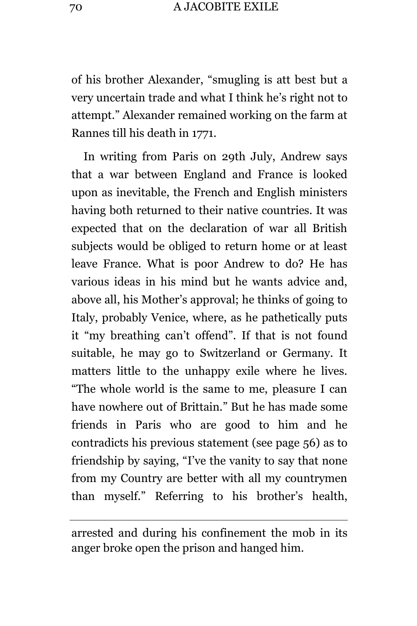of his brother Alexander, "smugling is att best but a very uncertain trade and what I think he's right not to attempt." Alexander remained working on the farm at Rannes till his death in 1771.

In writing from Paris on 29th July, Andrew says that a war between England and France is looked upon as inevitable, the French and English ministers having both returned to their native countries. It was expected that on the declaration of war all British subjects would be obliged to return home or at least leave France. What is poor Andrew to do? He has various ideas in his mind but he wants advice and, above all, his Mother's approval; he thinks of going to Italy, probably Venice, where, as he pathetically puts it "my breathing can't offend". If that is not found suitable, he may go to Switzerland or Germany. It matters little to the unhappy exile where he lives. "The whole world is the same to me, pleasure I can have nowhere out of Brittain." But he has made some friends in Paris who are good to him and he contradicts his previous statement (see page 56) as to friendship by saying, "I've the vanity to say that none from my Country are better with all my countrymen than myself." Referring to his brother's health,

arrested and during his confinement the mob in its anger broke open the prison and hanged him.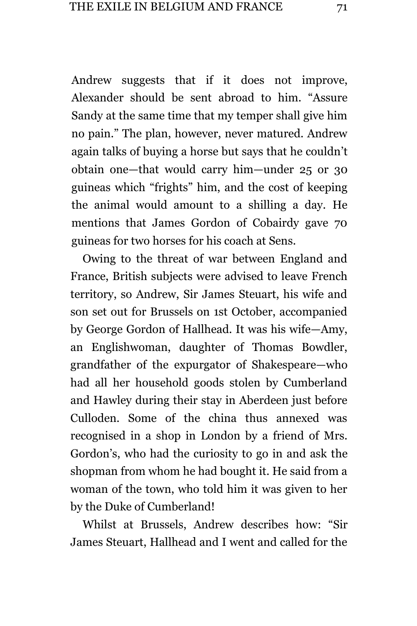Andrew suggests that if it does not improve, Alexander should be sent abroad to him. "Assure Sandy at the same time that my temper shall give him no pain." The plan, however, never matured. Andrew again talks of buying a horse but says that he couldn't obtain one—that would carry him—under 25 or 30 guineas which "frights" him, and the cost of keeping the animal would amount to a shilling a day. He mentions that James Gordon of Cobairdy gave 70 guineas for two horses for his coach at Sens.

Owing to the threat of war between England and France, British subjects were advised to leave French territory, so Andrew, Sir James Steuart, his wife and son set out for Brussels on 1st October, accompanied by George Gordon of Hallhead. It was his wife—Amy, an Englishwoman, daughter of Thomas Bowdler, grandfather of the expurgator of Shakespeare—who had all her household goods stolen by Cumberland and Hawley during their stay in Aberdeen just before Culloden. Some of the china thus annexed was recognised in a shop in London by a friend of Mrs. Gordon's, who had the curiosity to go in and ask the shopman from whom he had bought it. He said from a woman of the town, who told him it was given to her by the Duke of Cumberland!

Whilst at Brussels, Andrew describes how: "Sir James Steuart, Hallhead and I went and called for the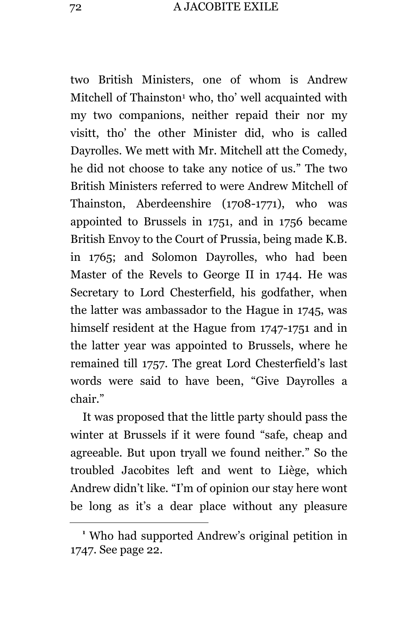two British Ministers, one of whom is Andrew Mitchell of Thainston<sup>1</sup> who, tho' well acquainted with my two companions, neither repaid their nor my visitt, tho' the other Minister did, who is called Dayrolles. We mett with Mr. Mitchell att the Comedy, he did not choose to take any notice of us." The two British Ministers referred to were Andrew Mitchell of Thainston, Aberdeenshire (1708-1771), who was appointed to Brussels in 1751, and in 1756 became British Envoy to the Court of Prussia, being made K.B. in 1765; and Solomon Dayrolles, who had been Master of the Revels to George II in 1744. He was Secretary to Lord Chesterfield, his godfather, when the latter was ambassador to the Hague in 1745, was himself resident at the Hague from 1747-1751 and in the latter year was appointed to Brussels, where he remained till 1757. The great Lord Chesterfield's last words were said to have been, "Give Dayrolles a chair."

It was proposed that the little party should pass the winter at Brussels if it were found "safe, cheap and agreeable. But upon tryall we found neither." So the troubled Jacobites left and went to Liège, which Andrew didn't like. "I'm of opinion our stay here wont be long as it's a dear place without any pleasure

**<sup>1</sup>** Who had supported Andrew's original petition in 1747. See page 22.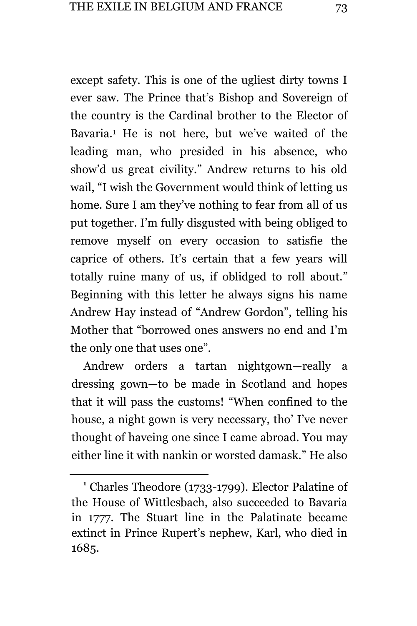except safety. This is one of the ugliest dirty towns I ever saw. The Prince that's Bishop and Sovereign of the country is the Cardinal brother to the Elector of Bavaria.<sup>1</sup> He is not here, but we've waited of the leading man, who presided in his absence, who show'd us great civility." Andrew returns to his old wail, "I wish the Government would think of letting us home. Sure I am they've nothing to fear from all of us put together. I'm fully disgusted with being obliged to remove myself on every occasion to satisfie the caprice of others. It's certain that a few years will totally ruine many of us, if oblidged to roll about." Beginning with this letter he always signs his name Andrew Hay instead of "Andrew Gordon", telling his Mother that "borrowed ones answers no end and I'm the only one that uses one".

Andrew orders a tartan nightgown—really a dressing gown—to be made in Scotland and hopes that it will pass the customs! "When confined to the house, a night gown is very necessary, tho' I've never thought of haveing one since I came abroad. You may either line it with nankin or worsted damask." He also

**<sup>1</sup>** Charles Theodore (1733-1799). Elector Palatine of the House of Wittlesbach, also succeeded to Bavaria in 1777. The Stuart line in the Palatinate became extinct in Prince Rupert's nephew, Karl, who died in 1685.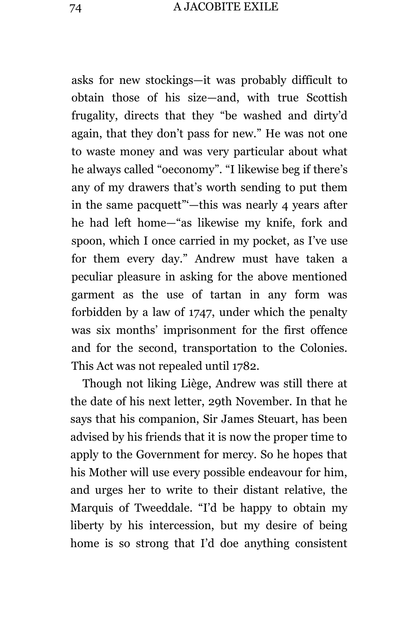asks for new stockings—it was probably difficult to obtain those of his size—and, with true Scottish frugality, directs that they "be washed and dirty'd again, that they don't pass for new." He was not one to waste money and was very particular about what he always called "oeconomy". "I likewise beg if there's any of my drawers that's worth sending to put them in the same pacquett"'—this was nearly 4 years after he had left home—"as likewise my knife, fork and spoon, which I once carried in my pocket, as I've use for them every day." Andrew must have taken a peculiar pleasure in asking for the above mentioned garment as the use of tartan in any form was forbidden by a law of 1747, under which the penalty was six months' imprisonment for the first offence and for the second, transportation to the Colonies. This Act was not repealed until 1782.

Though not liking Liège, Andrew was still there at the date of his next letter, 29th November. In that he says that his companion, Sir James Steuart, has been advised by his friends that it is now the proper time to apply to the Government for mercy. So he hopes that his Mother will use every possible endeavour for him, and urges her to write to their distant relative, the Marquis of Tweeddale. "I'd be happy to obtain my liberty by his intercession, but my desire of being home is so strong that I'd doe anything consistent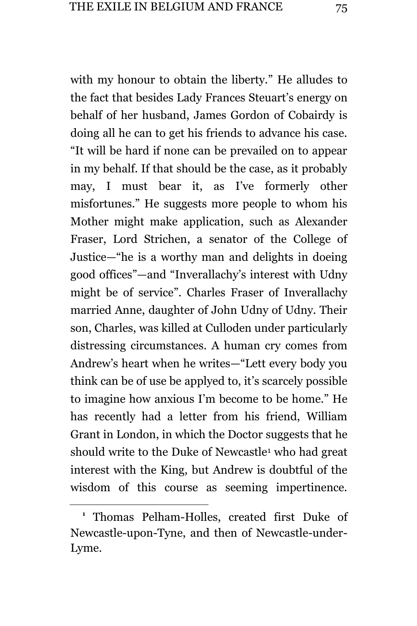with my honour to obtain the liberty." He alludes to the fact that besides Lady Frances Steuart's energy on behalf of her husband, James Gordon of Cobairdy is doing all he can to get his friends to advance his case. "It will be hard if none can be prevailed on to appear in my behalf. If that should be the case, as it probably may, I must bear it, as I've formerly other misfortunes." He suggests more people to whom his Mother might make application, such as Alexander Fraser, Lord Strichen, a senator of the College of Justice—"he is a worthy man and delights in doeing good offices"—and "Inverallachy's interest with Udny might be of service". Charles Fraser of Inverallachy married Anne, daughter of John Udny of Udny. Their son, Charles, was killed at Culloden under particularly distressing circumstances. A human cry comes from Andrew's heart when he writes—"Lett every body you think can be of use be applyed to, it's scarcely possible to imagine how anxious I'm become to be home." He has recently had a letter from his friend, William Grant in London, in which the Doctor suggests that he should write to the Duke of Newcastle<sup>1</sup> who had great interest with the King, but Andrew is doubtful of the wisdom of this course as seeming impertinence.

**<sup>1</sup>** Thomas Pelham-Holles, created first Duke of Newcastle-upon-Tyne, and then of Newcastle-under-Lyme.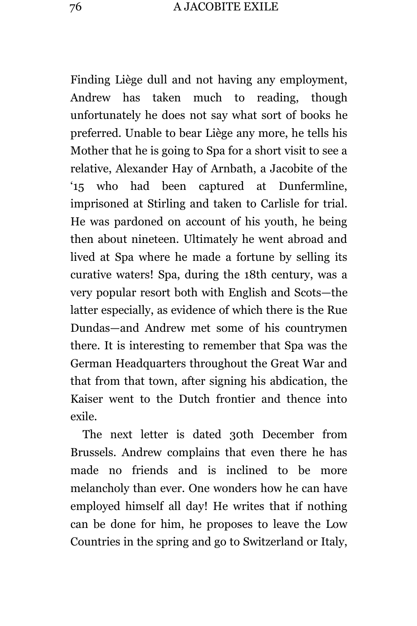Finding Liège dull and not having any employment, Andrew has taken much to reading, though unfortunately he does not say what sort of books he preferred. Unable to bear Liège any more, he tells his Mother that he is going to Spa for a short visit to see a relative, Alexander Hay of Arnbath, a Jacobite of the '15 who had been captured at Dunfermline, imprisoned at Stirling and taken to Carlisle for trial. He was pardoned on account of his youth, he being then about nineteen. Ultimately he went abroad and lived at Spa where he made a fortune by selling its curative waters! Spa, during the 18th century, was a very popular resort both with English and Scots—the latter especially, as evidence of which there is the Rue Dundas—and Andrew met some of his countrymen there. It is interesting to remember that Spa was the German Headquarters throughout the Great War and that from that town, after signing his abdication, the Kaiser went to the Dutch frontier and thence into exile.

The next letter is dated 30th December from Brussels. Andrew complains that even there he has made no friends and is inclined to be more melancholy than ever. One wonders how he can have employed himself all day! He writes that if nothing can be done for him, he proposes to leave the Low Countries in the spring and go to Switzerland or Italy,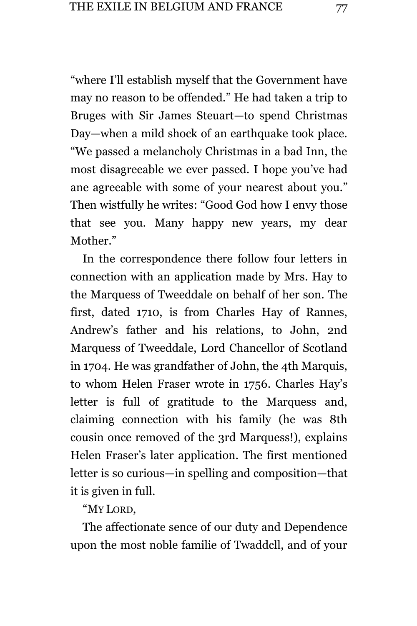"where I'll establish myself that the Government have may no reason to be offended." He had taken a trip to Bruges with Sir James Steuart—to spend Christmas Day—when a mild shock of an earthquake took place. "We passed a melancholy Christmas in a bad Inn, the most disagreeable we ever passed. I hope you've had ane agreeable with some of your nearest about you." Then wistfully he writes: "Good God how I envy those that see you. Many happy new years, my dear Mother."

In the correspondence there follow four letters in connection with an application made by Mrs. Hay to the Marquess of Tweeddale on behalf of her son. The first, dated 1710, is from Charles Hay of Rannes, Andrew's father and his relations, to John, 2nd Marquess of Tweeddale, Lord Chancellor of Scotland in 1704. He was grandfather of John, the 4th Marquis, to whom Helen Fraser wrote in 1756. Charles Hay's letter is full of gratitude to the Marquess and, claiming connection with his family (he was 8th cousin once removed of the 3rd Marquess!), explains Helen Fraser's later application. The first mentioned letter is so curious—in spelling and composition—that it is given in full.

"MY LORD,

The affectionate sence of our duty and Dependence upon the most noble familie of Twaddcll, and of your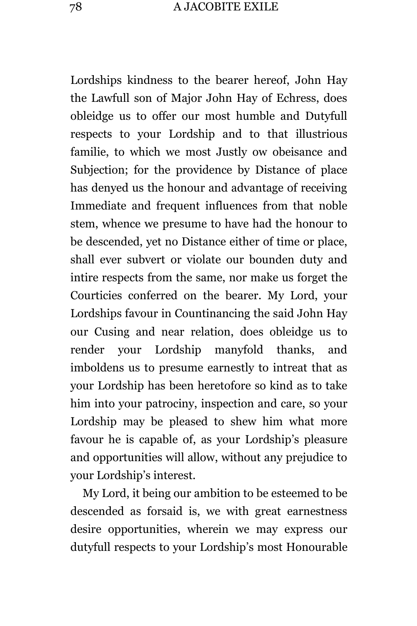Lordships kindness to the bearer hereof, John Hay the Lawfull son of Major John Hay of Echress, does obleidge us to offer our most humble and Dutyfull respects to your Lordship and to that illustrious familie, to which we most Justly ow obeisance and Subjection; for the providence by Distance of place has denyed us the honour and advantage of receiving Immediate and frequent influences from that noble stem, whence we presume to have had the honour to be descended, yet no Distance either of time or place, shall ever subvert or violate our bounden duty and intire respects from the same, nor make us forget the Courticies conferred on the bearer. My Lord, your Lordships favour in Countinancing the said John Hay our Cusing and near relation, does obleidge us to render your Lordship manyfold thanks, and imboldens us to presume earnestly to intreat that as your Lordship has been heretofore so kind as to take him into your patrociny, inspection and care, so your Lordship may be pleased to shew him what more favour he is capable of, as your Lordship's pleasure and opportunities will allow, without any prejudice to your Lordship's interest.

My Lord, it being our ambition to be esteemed to be descended as forsaid is, we with great earnestness desire opportunities, wherein we may express our dutyfull respects to your Lordship's most Honourable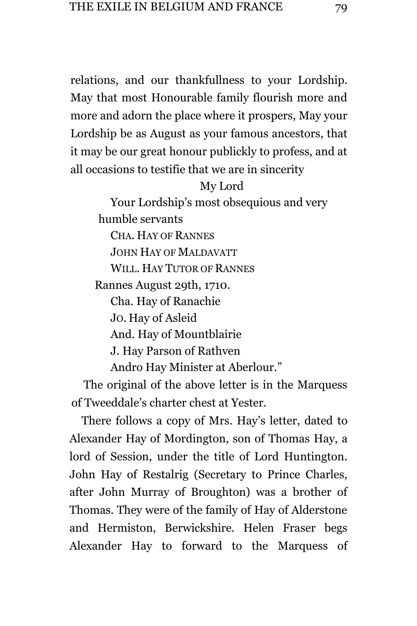relations, and our thankfullness to your Lordship. May that most Honourable family flourish more and more and adorn the place where it prospers, May your Lordship be as August as your famous ancestors, that it may be our great honour publickly to profess, and at all occasions to testifie that we are in sincerity

## My Lord

Your Lordship's most obsequious and very humble servants CHA. HAY OF RANNES JOHN HAY OF MALDAVATT WILL. HAY TUTOR OF RANNES Rannes August 29th, 1710. Cha. Hay of Ranachie JO. Hay of Asleid And. Hay of Mountblairie J. Hay Parson of Rathven Andro Hay Minister at Aberlour."

The original of the above letter is in the Marquess of Tweeddale's charter chest at Yester.

There follows a copy of Mrs. Hay's letter, dated to Alexander Hay of Mordington, son of Thomas Hay, a lord of Session, under the title of Lord Huntington. John Hay of Restalrig (Secretary to Prince Charles, after John Murray of Broughton) was a brother of Thomas. They were of the family of Hay of Alderstone and Hermiston, Berwickshire. Helen Fraser begs Alexander Hay to forward to the Marquess of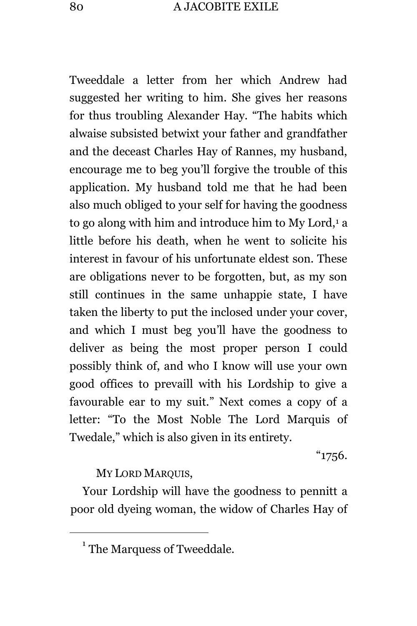Tweeddale a letter from her which Andrew had suggested her writing to him. She gives her reasons for thus troubling Alexander Hay. "The habits which alwaise subsisted betwixt your father and grandfather and the deceast Charles Hay of Rannes, my husband, encourage me to beg you'll forgive the trouble of this application. My husband told me that he had been also much obliged to your self for having the goodness to go along with him and introduce him to My Lord,<sup>1</sup> a little before his death, when he went to solicite his interest in favour of his unfortunate eldest son. These are obligations never to be forgotten, but, as my son still continues in the same unhappie state, I have taken the liberty to put the inclosed under your cover, and which I must beg you'll have the goodness to deliver as being the most proper person I could possibly think of, and who I know will use your own good offices to prevaill with his Lordship to give a favourable ear to my suit." Next comes a copy of a letter: "To the Most Noble The Lord Marquis of Twedale," which is also given in its entirety.

"1756.

## MY LORD MARQUIS,

L,

Your Lordship will have the goodness to pennitt a poor old dyeing woman, the widow of Charles Hay of

<sup>&</sup>lt;sup>1</sup> The Marquess of Tweeddale.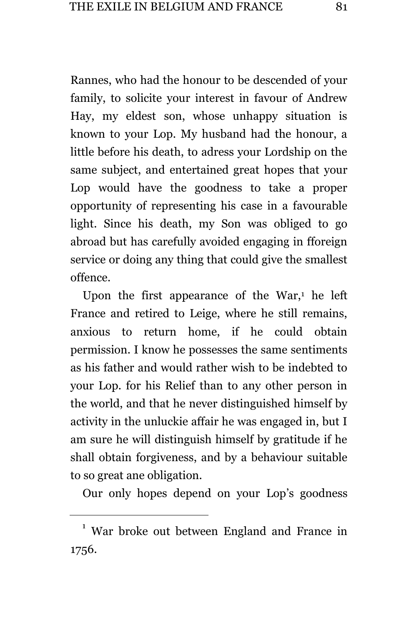Rannes, who had the honour to be descended of your family, to solicite your interest in favour of Andrew Hay, my eldest son, whose unhappy situation is known to your Lop. My husband had the honour, a little before his death, to adress your Lordship on the same subject, and entertained great hopes that your Lop would have the goodness to take a proper opportunity of representing his case in a favourable light. Since his death, my Son was obliged to go abroad but has carefully avoided engaging in fforeign service or doing any thing that could give the smallest offence.

Upon the first appearance of the War, $<sup>1</sup>$  he left</sup> France and retired to Leige, where he still remains, anxious to return home, if he could obtain permission. I know he possesses the same sentiments as his father and would rather wish to be indebted to your Lop. for his Relief than to any other person in the world, and that he never distinguished himself by activity in the unluckie affair he was engaged in, but I am sure he will distinguish himself by gratitude if he shall obtain forgiveness, and by a behaviour suitable to so great ane obligation.

Our only hopes depend on your Lop's goodness

<sup>&</sup>lt;sup>1</sup> War broke out between England and France in 1756.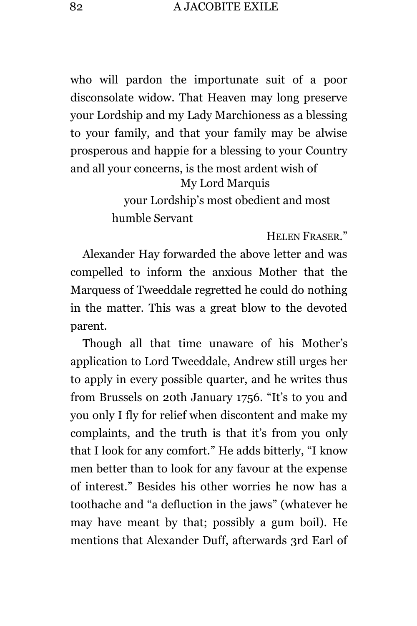who will pardon the importunate suit of a poor disconsolate widow. That Heaven may long preserve your Lordship and my Lady Marchioness as a blessing to your family, and that your family may be alwise prosperous and happie for a blessing to your Country and all your concerns, is the most ardent wish of My Lord Marquis your Lordship's most obedient and most humble Servant

HELEN FRASER."

Alexander Hay forwarded the above letter and was compelled to inform the anxious Mother that the Marquess of Tweeddale regretted he could do nothing in the matter. This was a great blow to the devoted parent.

Though all that time unaware of his Mother's application to Lord Tweeddale, Andrew still urges her to apply in every possible quarter, and he writes thus from Brussels on 20th January 1756. "It's to you and you only I fly for relief when discontent and make my complaints, and the truth is that it's from you only that I look for any comfort." He adds bitterly, "I know men better than to look for any favour at the expense of interest." Besides his other worries he now has a toothache and "a defluction in the jaws" (whatever he may have meant by that; possibly a gum boil). He mentions that Alexander Duff, afterwards 3rd Earl of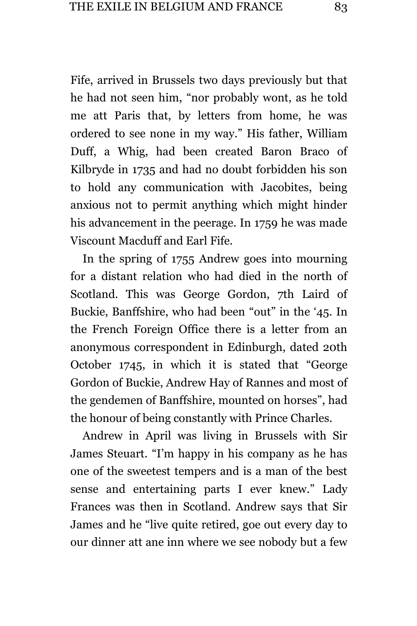Fife, arrived in Brussels two days previously but that he had not seen him, "nor probably wont, as he told me att Paris that, by letters from home, he was ordered to see none in my way." His father, William Duff, a Whig, had been created Baron Braco of Kilbryde in 1735 and had no doubt forbidden his son to hold any communication with Jacobites, being anxious not to permit anything which might hinder his advancement in the peerage. In 1759 he was made Viscount Macduff and Earl Fife.

In the spring of 1755 Andrew goes into mourning for a distant relation who had died in the north of Scotland. This was George Gordon, 7th Laird of Buckie, Banffshire, who had been "out" in the '45. In the French Foreign Office there is a letter from an anonymous correspondent in Edinburgh, dated 20th October 1745, in which it is stated that "George Gordon of Buckie, Andrew Hay of Rannes and most of the gendemen of Banffshire, mounted on horses", had the honour of being constantly with Prince Charles.

Andrew in April was living in Brussels with Sir James Steuart. "I'm happy in his company as he has one of the sweetest tempers and is a man of the best sense and entertaining parts I ever knew." Lady Frances was then in Scotland. Andrew says that Sir James and he "live quite retired, goe out every day to our dinner att ane inn where we see nobody but a few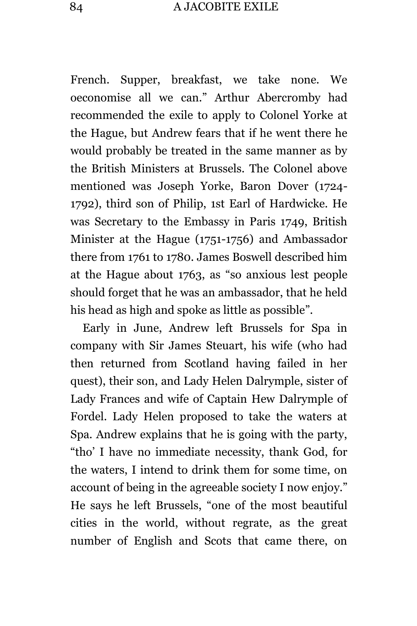French. Supper, breakfast, we take none. We oeconomise all we can." Arthur Abercromby had recommended the exile to apply to Colonel Yorke at the Hague, but Andrew fears that if he went there he would probably be treated in the same manner as by the British Ministers at Brussels. The Colonel above mentioned was Joseph Yorke, Baron Dover (1724- 1792), third son of Philip, 1st Earl of Hardwicke. He was Secretary to the Embassy in Paris 1749, British Minister at the Hague (1751-1756) and Ambassador there from 1761 to 1780. James Boswell described him at the Hague about 1763, as "so anxious lest people should forget that he was an ambassador, that he held his head as high and spoke as little as possible".

Early in June, Andrew left Brussels for Spa in company with Sir James Steuart, his wife (who had then returned from Scotland having failed in her quest), their son, and Lady Helen Dalrymple, sister of Lady Frances and wife of Captain Hew Dalrymple of Fordel. Lady Helen proposed to take the waters at Spa. Andrew explains that he is going with the party, "tho' I have no immediate necessity, thank God, for the waters, I intend to drink them for some time, on account of being in the agreeable society I now enjoy." He says he left Brussels, "one of the most beautiful cities in the world, without regrate, as the great number of English and Scots that came there, on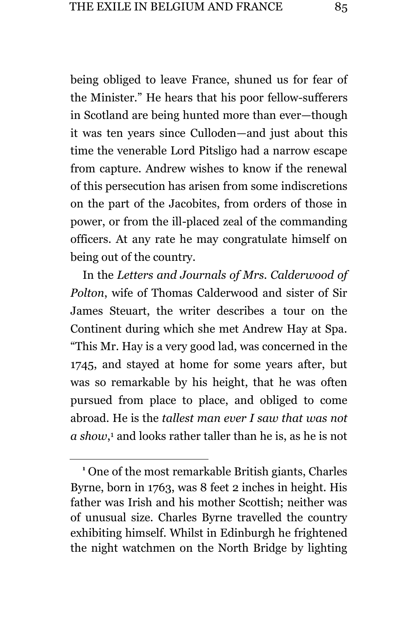being obliged to leave France, shuned us for fear of the Minister." He hears that his poor fellow-sufferers in Scotland are being hunted more than ever—though it was ten years since Culloden—and just about this time the venerable Lord Pitsligo had a narrow escape from capture. Andrew wishes to know if the renewal of this persecution has arisen from some indiscretions on the part of the Jacobites, from orders of those in power, or from the ill-placed zeal of the commanding officers. At any rate he may congratulate himself on being out of the country.

In the *Letters and Journals of Mrs. Calderwood of Polton*, wife of Thomas Calderwood and sister of Sir James Steuart, the writer describes a tour on the Continent during which she met Andrew Hay at Spa. "This Mr. Hay is a very good lad, was concerned in the 1745, and stayed at home for some years after, but was so remarkable by his height, that he was often pursued from place to place, and obliged to come abroad. He is the *tallest man ever I saw that was not a show*, <sup>1</sup> and looks rather taller than he is, as he is not

**<sup>1</sup>** One of the most remarkable British giants, Charles Byrne, born in 1763, was 8 feet 2 inches in height. His father was Irish and his mother Scottish; neither was of unusual size. Charles Byrne travelled the country exhibiting himself. Whilst in Edinburgh he frightened the night watchmen on the North Bridge by lighting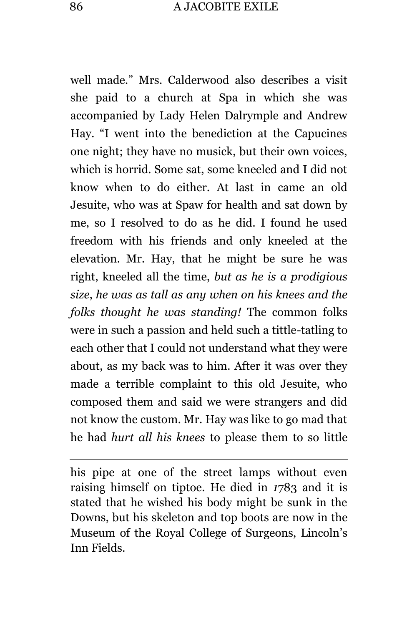well made." Mrs. Calderwood also describes a visit she paid to a church at Spa in which she was accompanied by Lady Helen Dalrymple and Andrew Hay. "I went into the benediction at the Capucines one night; they have no musick, but their own voices, which is horrid. Some sat, some kneeled and I did not know when to do either. At last in came an old Jesuite, who was at Spaw for health and sat down by me, so I resolved to do as he did. I found he used freedom with his friends and only kneeled at the elevation. Mr. Hay, that he might be sure he was right, kneeled all the time, *but as he is a prodigious size*, *he was as tall as any when on his knees and the folks thought he was standing!* The common folks were in such a passion and held such a tittle-tatling to each other that I could not understand what they were about, as my back was to him. After it was over they made a terrible complaint to this old Jesuite, who composed them and said we were strangers and did not know the custom. Mr. Hay was like to go mad that he had *hurt all his knees* to please them to so little

his pipe at one of the street lamps without even raising himself on tiptoe. He died in *1*783 and it is stated that he wished his body might be sunk in the Downs, but his skeleton and top boots are now in the Museum of the Royal College of Surgeons, Lincoln's Inn Fields.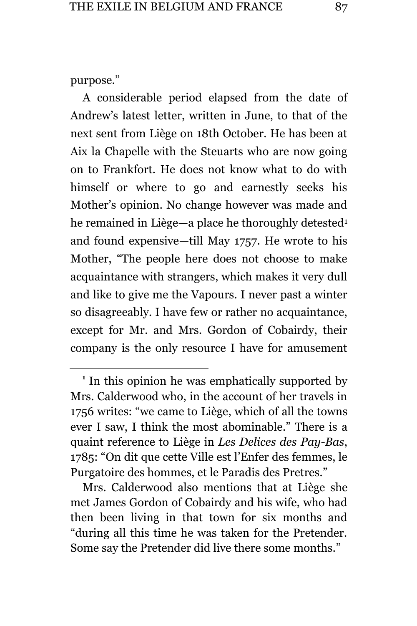purpose."

÷.

A considerable period elapsed from the date of Andrew's latest letter, written in June, to that of the next sent from Liège on 18th October. He has been at Aix la Chapelle with the Steuarts who are now going on to Frankfort. He does not know what to do with himself or where to go and earnestly seeks his Mother's opinion. No change however was made and he remained in Liège—a place he thoroughly detested<sup>1</sup> and found expensive—till May 1757. He wrote to his Mother, "The people here does not choose to make acquaintance with strangers, which makes it very dull and like to give me the Vapours. I never past a winter so disagreeably. I have few or rather no acquaintance, except for Mr. and Mrs. Gordon of Cobairdy, their company is the only resource I have for amusement

Mrs. Calderwood also mentions that at Liège she met James Gordon of Cobairdy and his wife, who had then been living in that town for six months and "during all this time he was taken for the Pretender. Some say the Pretender did live there some months."

**<sup>1</sup>** In this opinion he was emphatically supported by Mrs. Calderwood who, in the account of her travels in 1756 writes: "we came to Liège, which of all the towns ever I saw, I think the most abominable." There is a quaint reference to Liège in *Les Delices des Pay-Bas*, 1785: "On dit que cette Ville est l'Enfer des femmes, le Purgatoire des hommes, et le Paradis des Pretres."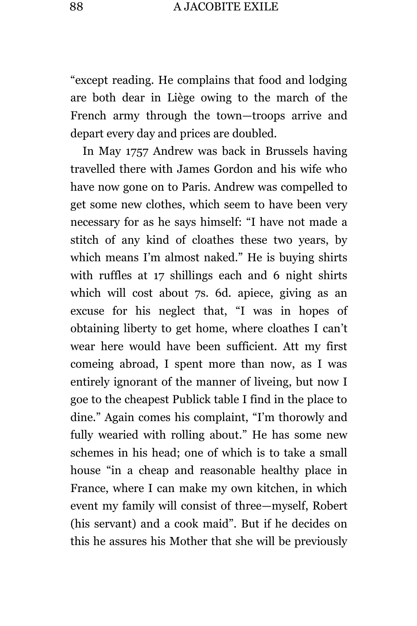"except reading. He complains that food and lodging are both dear in Liège owing to the march of the French army through the town—troops arrive and depart every day and prices are doubled.

In May 1757 Andrew was back in Brussels having travelled there with James Gordon and his wife who have now gone on to Paris. Andrew was compelled to get some new clothes, which seem to have been very necessary for as he says himself: "I have not made a stitch of any kind of cloathes these two years, by which means I'm almost naked." He is buying shirts with ruffles at 17 shillings each and 6 night shirts which will cost about 7s. 6d. apiece, giving as an excuse for his neglect that, "I was in hopes of obtaining liberty to get home, where cloathes I can't wear here would have been sufficient. Att my first comeing abroad, I spent more than now, as I was entirely ignorant of the manner of liveing, but now I goe to the cheapest Publick table I find in the place to dine." Again comes his complaint, "I'm thorowly and fully wearied with rolling about." He has some new schemes in his head; one of which is to take a small house "in a cheap and reasonable healthy place in France, where I can make my own kitchen, in which event my family will consist of three—myself, Robert (his servant) and a cook maid". But if he decides on this he assures his Mother that she will be previously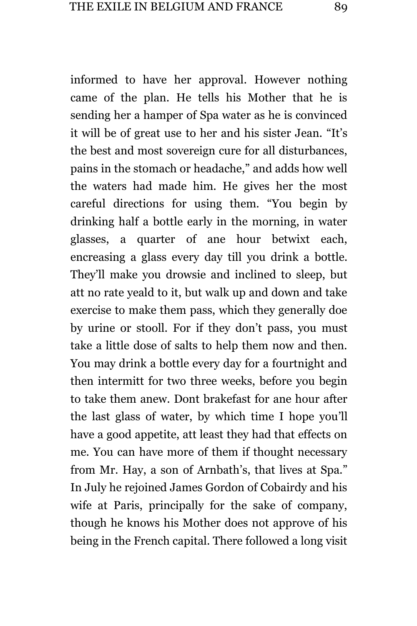informed to have her approval. However nothing came of the plan. He tells his Mother that he is sending her a hamper of Spa water as he is convinced it will be of great use to her and his sister Jean. "It's the best and most sovereign cure for all disturbances, pains in the stomach or headache," and adds how well the waters had made him. He gives her the most careful directions for using them. "You begin by drinking half a bottle early in the morning, in water glasses, a quarter of ane hour betwixt each, encreasing a glass every day till you drink a bottle. They'll make you drowsie and inclined to sleep, but att no rate yeald to it, but walk up and down and take exercise to make them pass, which they generally doe by urine or stooll. For if they don't pass, you must take a little dose of salts to help them now and then. You may drink a bottle every day for a fourtnight and then intermitt for two three weeks, before you begin to take them anew. Dont brakefast for ane hour after the last glass of water, by which time I hope you'll have a good appetite, att least they had that effects on me. You can have more of them if thought necessary from Mr. Hay, a son of Arnbath's, that lives at Spa." In July he rejoined James Gordon of Cobairdy and his wife at Paris, principally for the sake of company, though he knows his Mother does not approve of his being in the French capital. There followed a long visit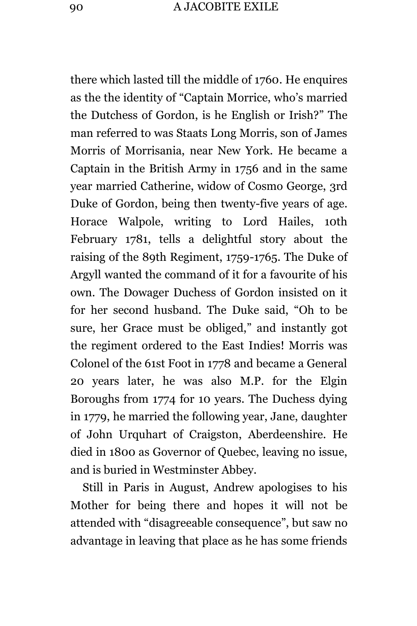there which lasted till the middle of 1760. He enquires as the the identity of "Captain Morrice, who's married the Dutchess of Gordon, is he English or Irish?" The man referred to was Staats Long Morris, son of James Morris of Morrisania, near New York. He became a Captain in the British Army in 1756 and in the same year married Catherine, widow of Cosmo George, 3rd Duke of Gordon, being then twenty-five years of age. Horace Walpole, writing to Lord Hailes, 10th February 1781, tells a delightful story about the raising of the 89th Regiment, 1759-1765. The Duke of Argyll wanted the command of it for a favourite of his own. The Dowager Duchess of Gordon insisted on it for her second husband. The Duke said, "Oh to be sure, her Grace must be obliged," and instantly got the regiment ordered to the East Indies! Morris was Colonel of the 61st Foot in 1778 and became a General 20 years later, he was also M.P. for the Elgin Boroughs from 1774 for 10 years. The Duchess dying in 1779, he married the following year, Jane, daughter of John Urquhart of Craigston, Aberdeenshire. He died in 1800 as Governor of Quebec, leaving no issue, and is buried in Westminster Abbey.

Still in Paris in August, Andrew apologises to his Mother for being there and hopes it will not be attended with "disagreeable consequence", but saw no advantage in leaving that place as he has some friends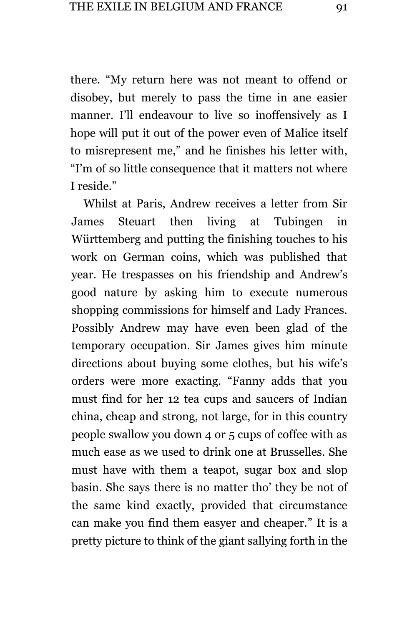there. "My return here was not meant to offend or disobey, but merely to pass the time in ane easier manner. I'll endeavour to live so inoffensively as I hope will put it out of the power even of Malice itself to misrepresent me," and he finishes his letter with, "I'm of so little consequence that it matters not where I reside."

Whilst at Paris, Andrew receives a letter from Sir James Steuart then living at Tubingen in Württemberg and putting the finishing touches to his work on German coins, which was published that year. He trespasses on his friendship and Andrew's good nature by asking him to execute numerous shopping commissions for himself and Lady Frances. Possibly Andrew may have even been glad of the temporary occupation. Sir James gives him minute directions about buying some clothes, but his wife's orders were more exacting. "Fanny adds that you must find for her 12 tea cups and saucers of Indian china, cheap and strong, not large, for in this country people swallow you down 4 or 5 cups of coffee with as much ease as we used to drink one at Brusselles. She must have with them a teapot, sugar box and slop basin. She says there is no matter tho' they be not of the same kind exactly, provided that circumstance can make you find them easyer and cheaper." It is a pretty picture to think of the giant sallying forth in the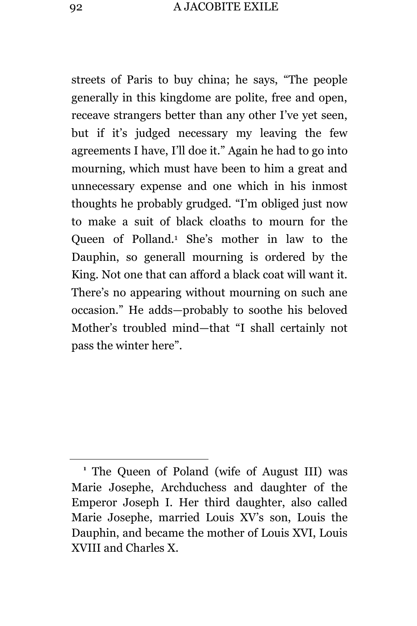streets of Paris to buy china; he says, "The people generally in this kingdome are polite, free and open, receave strangers better than any other I've yet seen, but if it's judged necessary my leaving the few agreements I have, I'll doe it." Again he had to go into mourning, which must have been to him a great and unnecessary expense and one which in his inmost thoughts he probably grudged. "I'm obliged just now to make a suit of black cloaths to mourn for the Queen of Polland.<sup>1</sup> She's mother in law to the Dauphin, so generall mourning is ordered by the King. Not one that can afford a black coat will want it. There's no appearing without mourning on such ane occasion." He adds—probably to soothe his beloved Mother's troubled mind—that "I shall certainly not pass the winter here".

**<sup>1</sup>** The Queen of Poland (wife of August III) was Marie Josephe, Archduchess and daughter of the Emperor Joseph I. Her third daughter, also called Marie Josephe, married Louis XV's son, Louis the Dauphin, and became the mother of Louis XVI, Louis XVIII and Charles X.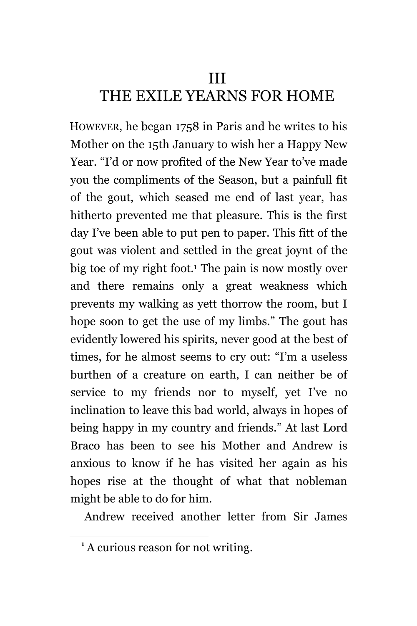## III THE EXILE YEARNS FOR HOME

HOWEVER, he began 1758 in Paris and he writes to his Mother on the 15th January to wish her a Happy New Year. "I'd or now profited of the New Year to've made you the compliments of the Season, but a painfull fit of the gout, which seased me end of last year, has hitherto prevented me that pleasure. This is the first day I've been able to put pen to paper. This fitt of the gout was violent and settled in the great joynt of the big toe of my right foot.<sup>1</sup> The pain is now mostly over and there remains only a great weakness which prevents my walking as yett thorrow the room, but I hope soon to get the use of my limbs." The gout has evidently lowered his spirits, never good at the best of times, for he almost seems to cry out: "I'm a useless burthen of a creature on earth, I can neither be of service to my friends nor to myself, yet I've no inclination to leave this bad world, always in hopes of being happy in my country and friends." At last Lord Braco has been to see his Mother and Andrew is anxious to know if he has visited her again as his hopes rise at the thought of what that nobleman might be able to do for him.

Andrew received another letter from Sir James

**<sup>1</sup>** A curious reason for not writing.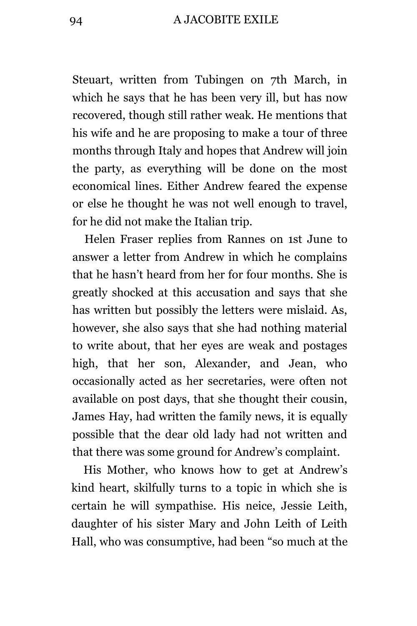## 94 A JACOBITE EXILE

Steuart, written from Tubingen on 7th March, in which he says that he has been very ill, but has now recovered, though still rather weak. He mentions that his wife and he are proposing to make a tour of three months through Italy and hopes that Andrew will join the party, as everything will be done on the most economical lines. Either Andrew feared the expense or else he thought he was not well enough to travel, for he did not make the Italian trip.

Helen Fraser replies from Rannes on 1st June to answer a letter from Andrew in which he complains that he hasn't heard from her for four months. She is greatly shocked at this accusation and says that she has written but possibly the letters were mislaid. As, however, she also says that she had nothing material to write about, that her eyes are weak and postages high, that her son, Alexander, and Jean, who occasionally acted as her secretaries, were often not available on post days, that she thought their cousin, James Hay, had written the family news, it is equally possible that the dear old lady had not written and that there was some ground for Andrew's complaint.

His Mother, who knows how to get at Andrew's kind heart, skilfully turns to a topic in which she is certain he will sympathise. His neice, Jessie Leith, daughter of his sister Mary and John Leith of Leith Hall, who was consumptive, had been "so much at the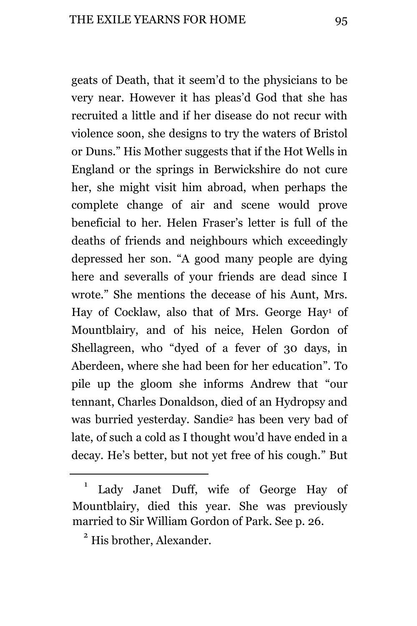geats of Death, that it seem'd to the physicians to be very near. However it has pleas'd God that she has recruited a little and if her disease do not recur with violence soon, she designs to try the waters of Bristol or Duns." His Mother suggests that if the Hot Wells in England or the springs in Berwickshire do not cure her, she might visit him abroad, when perhaps the complete change of air and scene would prove beneficial to her. Helen Fraser's letter is full of the deaths of friends and neighbours which exceedingly depressed her son. "A good many people are dying here and severalls of your friends are dead since I wrote." She mentions the decease of his Aunt, Mrs. Hay of Cocklaw, also that of Mrs. George Hay<sup>1</sup> of Mountblairy, and of his neice, Helen Gordon of Shellagreen, who "dyed of a fever of 30 days, in Aberdeen, where she had been for her education". To pile up the gloom she informs Andrew that "our tennant, Charles Donaldson, died of an Hydropsy and was burried yesterday. Sandie<sup>2</sup> has been very bad of late, of such a cold as I thought wou'd have ended in a decay. He's better, but not yet free of his cough." But

L,

<sup>1</sup> Lady Janet Duff, wife of George Hay of Mountblairy, died this year. She was previously married to Sir William Gordon of Park. See p. 26.

<sup>&</sup>lt;sup>2</sup> His brother, Alexander.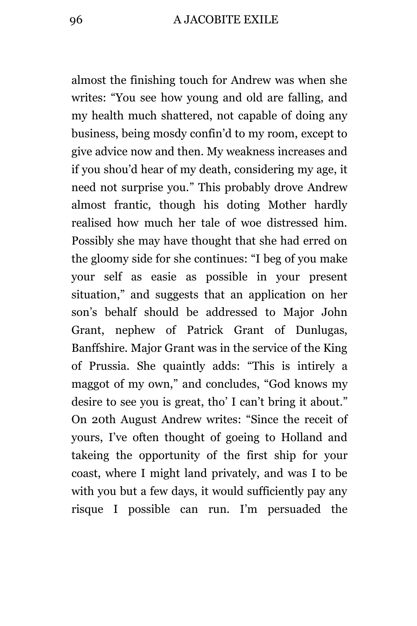almost the finishing touch for Andrew was when she writes: "You see how young and old are falling, and my health much shattered, not capable of doing any business, being mosdy confin'd to my room, except to give advice now and then. My weakness increases and if you shou'd hear of my death, considering my age, it need not surprise you." This probably drove Andrew almost frantic, though his doting Mother hardly realised how much her tale of woe distressed him. Possibly she may have thought that she had erred on the gloomy side for she continues: "I beg of you make your self as easie as possible in your present situation," and suggests that an application on her son's behalf should be addressed to Major John Grant, nephew of Patrick Grant of Dunlugas, Banffshire. Major Grant was in the service of the King of Prussia. She quaintly adds: "This is intirely a maggot of my own," and concludes, "God knows my desire to see you is great, tho' I can't bring it about." On 20th August Andrew writes: "Since the receit of yours, I've often thought of goeing to Holland and takeing the opportunity of the first ship for your coast, where I might land privately, and was I to be with you but a few days, it would sufficiently pay any risque I possible can run. I'm persuaded the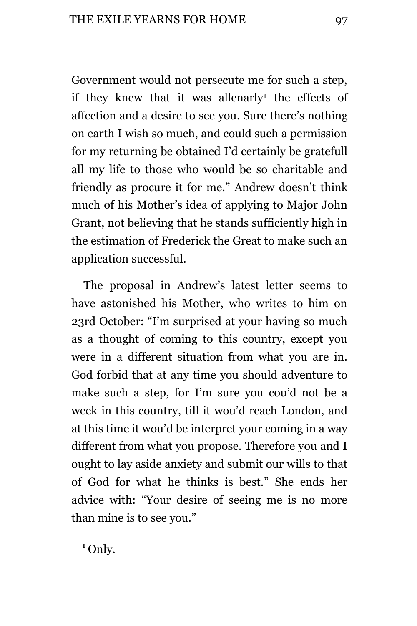Government would not persecute me for such a step, if they knew that it was allenarly<sup>1</sup> the effects of affection and a desire to see you. Sure there's nothing on earth I wish so much, and could such a permission for my returning be obtained I'd certainly be gratefull all my life to those who would be so charitable and friendly as procure it for me." Andrew doesn't think much of his Mother's idea of applying to Major John Grant, not believing that he stands sufficiently high in the estimation of Frederick the Great to make such an application successful.

The proposal in Andrew's latest letter seems to have astonished his Mother, who writes to him on 23rd October: "I'm surprised at your having so much as a thought of coming to this country, except you were in a different situation from what you are in. God forbid that at any time you should adventure to make such a step, for I'm sure you cou'd not be a week in this country, till it wou'd reach London, and at this time it wou'd be interpret your coming in a way different from what you propose. Therefore you and I ought to lay aside anxiety and submit our wills to that of God for what he thinks is best." She ends her advice with: "Your desire of seeing me is no more than mine is to see you."

**<sup>1</sup>** Only.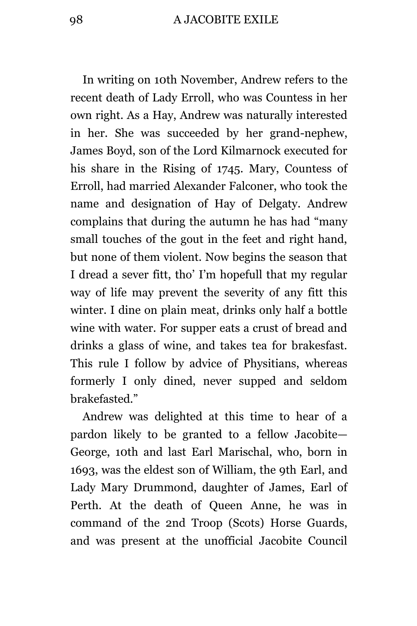In writing on 10th November, Andrew refers to the recent death of Lady Erroll, who was Countess in her own right. As a Hay, Andrew was naturally interested in her. She was succeeded by her grand-nephew, James Boyd, son of the Lord Kilmarnock executed for his share in the Rising of 1745. Mary, Countess of Erroll, had married Alexander Falconer, who took the name and designation of Hay of Delgaty. Andrew complains that during the autumn he has had "many small touches of the gout in the feet and right hand, but none of them violent. Now begins the season that I dread a sever fitt, tho' I'm hopefull that my regular way of life may prevent the severity of any fitt this winter. I dine on plain meat, drinks only half a bottle wine with water. For supper eats a crust of bread and drinks a glass of wine, and takes tea for brakesfast. This rule I follow by advice of Physitians, whereas formerly I only dined, never supped and seldom brakefasted."

Andrew was delighted at this time to hear of a pardon likely to be granted to a fellow Jacobite— George, 10th and last Earl Marischal, who, born in 1693, was the eldest son of William, the 9th Earl, and Lady Mary Drummond, daughter of James, Earl of Perth. At the death of Queen Anne, he was in command of the 2nd Troop (Scots) Horse Guards, and was present at the unofficial Jacobite Council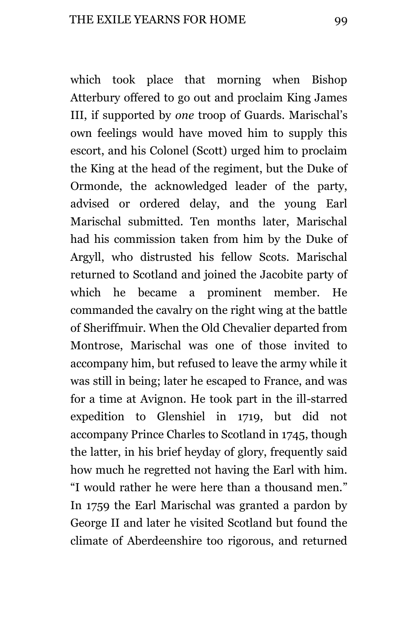which took place that morning when Bishop Atterbury offered to go out and proclaim King James III, if supported by *one* troop of Guards. Marischal's own feelings would have moved him to supply this escort, and his Colonel (Scott) urged him to proclaim the King at the head of the regiment, but the Duke of Ormonde, the acknowledged leader of the party, advised or ordered delay, and the young Earl Marischal submitted. Ten months later, Marischal had his commission taken from him by the Duke of Argyll, who distrusted his fellow Scots. Marischal returned to Scotland and joined the Jacobite party of which he became a prominent member. He commanded the cavalry on the right wing at the battle of Sheriffmuir. When the Old Chevalier departed from Montrose, Marischal was one of those invited to accompany him, but refused to leave the army while it was still in being; later he escaped to France, and was for a time at Avignon. He took part in the ill-starred expedition to Glenshiel in 1719, but did not accompany Prince Charles to Scotland in 1745, though the latter, in his brief heyday of glory, frequently said how much he regretted not having the Earl with him. "I would rather he were here than a thousand men." In 1759 the Earl Marischal was granted a pardon by George II and later he visited Scotland but found the climate of Aberdeenshire too rigorous, and returned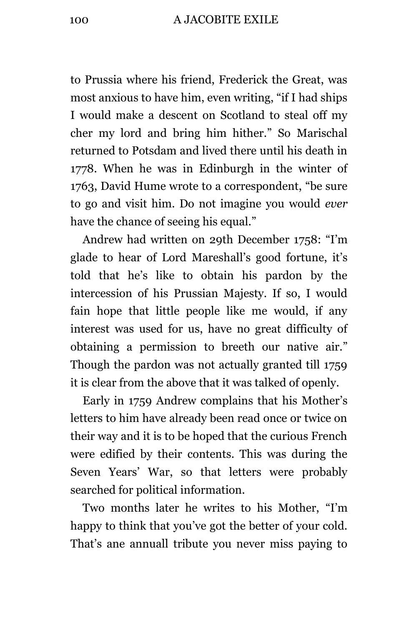to Prussia where his friend, Frederick the Great, was most anxious to have him, even writing, "if I had ships I would make a descent on Scotland to steal off my cher my lord and bring him hither." So Marischal returned to Potsdam and lived there until his death in 1778. When he was in Edinburgh in the winter of 1763, David Hume wrote to a correspondent, "be sure to go and visit him. Do not imagine you would *ever* have the chance of seeing his equal."

Andrew had written on 29th December 1758: "I'm glade to hear of Lord Mareshall's good fortune, it's told that he's like to obtain his pardon by the intercession of his Prussian Majesty. If so, I would fain hope that little people like me would, if any interest was used for us, have no great difficulty of obtaining a permission to breeth our native air." Though the pardon was not actually granted till 1759 it is clear from the above that it was talked of openly.

Early in 1759 Andrew complains that his Mother's letters to him have already been read once or twice on their way and it is to be hoped that the curious French were edified by their contents. This was during the Seven Years' War, so that letters were probably searched for political information.

Two months later he writes to his Mother, "I'm happy to think that you've got the better of your cold. That's ane annuall tribute you never miss paying to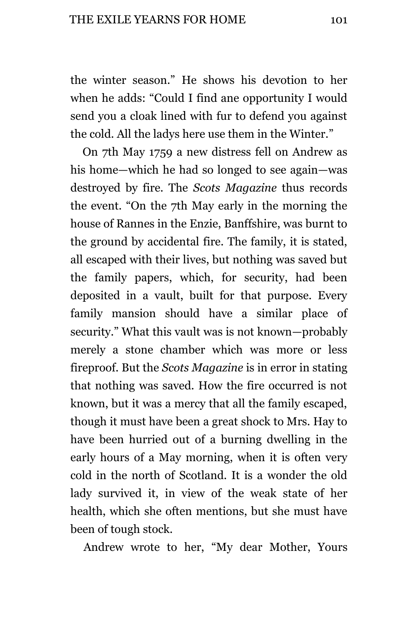the winter season." He shows his devotion to her when he adds: "Could I find ane opportunity I would send you a cloak lined with fur to defend you against the cold. All the ladys here use them in the Winter."

On 7th May 1759 a new distress fell on Andrew as his home—which he had so longed to see again—was destroyed by fire. The *Scots Magazine* thus records the event. "On the 7th May early in the morning the house of Rannes in the Enzie, Banffshire, was burnt to the ground by accidental fire. The family, it is stated, all escaped with their lives, but nothing was saved but the family papers, which, for security, had been deposited in a vault, built for that purpose. Every family mansion should have a similar place of security." What this vault was is not known—probably merely a stone chamber which was more or less fireproof. But the *Scots Magazine* is in error in stating that nothing was saved. How the fire occurred is not known, but it was a mercy that all the family escaped, though it must have been a great shock to Mrs. Hay to have been hurried out of a burning dwelling in the early hours of a May morning, when it is often very cold in the north of Scotland. It is a wonder the old lady survived it, in view of the weak state of her health, which she often mentions, but she must have been of tough stock.

Andrew wrote to her, "My dear Mother, Yours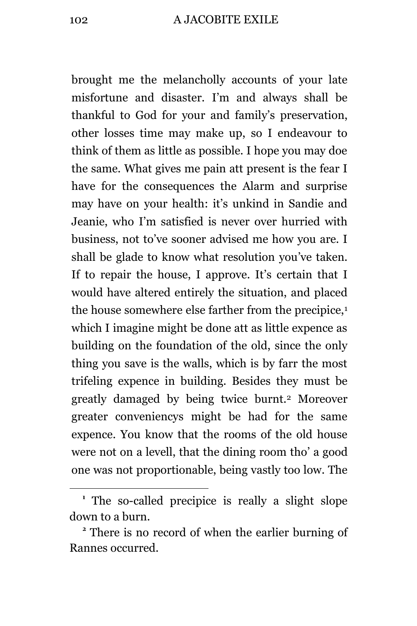brought me the melancholly accounts of your late misfortune and disaster. I'm and always shall be thankful to God for your and family's preservation, other losses time may make up, so I endeavour to think of them as little as possible. I hope you may doe the same. What gives me pain att present is the fear I have for the consequences the Alarm and surprise may have on your health: it's unkind in Sandie and Jeanie, who I'm satisfied is never over hurried with business, not to've sooner advised me how you are. I shall be glade to know what resolution you've taken. If to repair the house, I approve. It's certain that I would have altered entirely the situation, and placed the house somewhere else farther from the precipice,<sup>1</sup> which I imagine might be done att as little expence as building on the foundation of the old, since the only thing you save is the walls, which is by farr the most trifeling expence in building. Besides they must be greatly damaged by being twice burnt.<sup>2</sup> Moreover greater conveniencys might be had for the same expence. You know that the rooms of the old house were not on a levell, that the dining room tho' a good one was not proportionable, being vastly too low. The

**<sup>1</sup>** The so-called precipice is really a slight slope down to a burn.

**<sup>2</sup>** There is no record of when the earlier burning of Rannes occurred.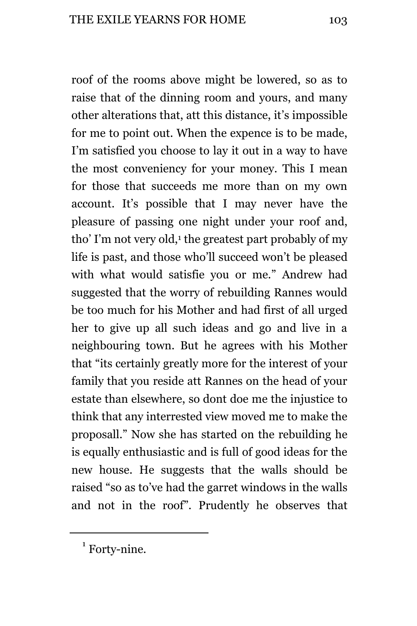roof of the rooms above might be lowered, so as to raise that of the dinning room and yours, and many other alterations that, att this distance, it's impossible for me to point out. When the expence is to be made, I'm satisfied you choose to lay it out in a way to have the most conveniency for your money. This I mean for those that succeeds me more than on my own account. It's possible that I may never have the pleasure of passing one night under your roof and, tho' I'm not very old,<sup>1</sup> the greatest part probably of my life is past, and those who'll succeed won't be pleased with what would satisfie you or me." Andrew had suggested that the worry of rebuilding Rannes would be too much for his Mother and had first of all urged her to give up all such ideas and go and live in a neighbouring town. But he agrees with his Mother that "its certainly greatly more for the interest of your family that you reside att Rannes on the head of your estate than elsewhere, so dont doe me the injustice to think that any interrested view moved me to make the proposall." Now she has started on the rebuilding he is equally enthusiastic and is full of good ideas for the new house. He suggests that the walls should be raised "so as to've had the garret windows in the walls and not in the roof". Prudently he observes that

 $1$  Forty-nine.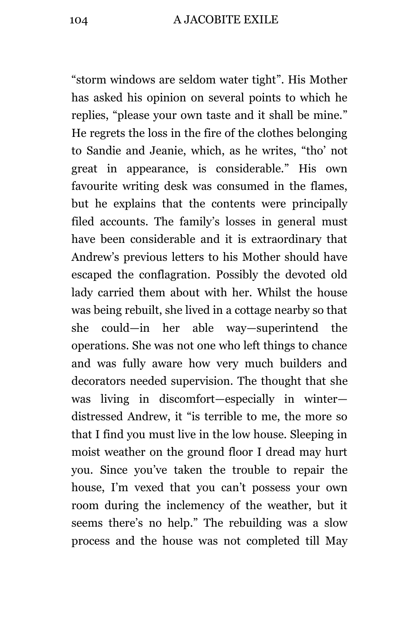"storm windows are seldom water tight". His Mother has asked his opinion on several points to which he replies, "please your own taste and it shall be mine." He regrets the loss in the fire of the clothes belonging to Sandie and Jeanie, which, as he writes, "tho' not great in appearance, is considerable." His own favourite writing desk was consumed in the flames, but he explains that the contents were principally filed accounts. The family's losses in general must have been considerable and it is extraordinary that Andrew's previous letters to his Mother should have escaped the conflagration. Possibly the devoted old lady carried them about with her. Whilst the house was being rebuilt, she lived in a cottage nearby so that she could—in her able way—superintend the operations. She was not one who left things to chance and was fully aware how very much builders and decorators needed supervision. The thought that she was living in discomfort—especially in winter distressed Andrew, it "is terrible to me, the more so that I find you must live in the low house. Sleeping in moist weather on the ground floor I dread may hurt you. Since you've taken the trouble to repair the house, I'm vexed that you can't possess your own room during the inclemency of the weather, but it seems there's no help." The rebuilding was a slow process and the house was not completed till May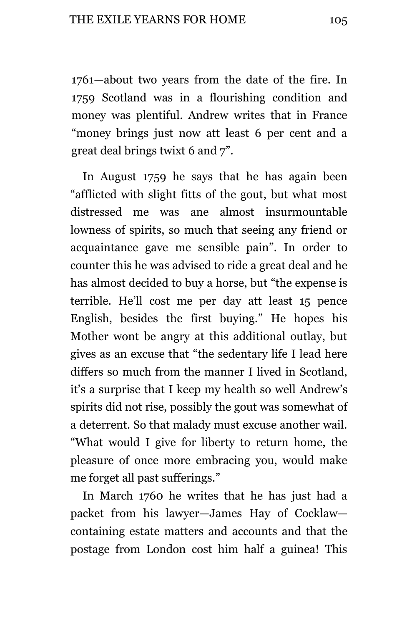1761—about two years from the date of the fire. In 1759 Scotland was in a flourishing condition and money was plentiful. Andrew writes that in France "money brings just now att least 6 per cent and a great deal brings twixt 6 and 7".

In August 1759 he says that he has again been "afflicted with slight fitts of the gout, but what most distressed me was ane almost insurmountable lowness of spirits, so much that seeing any friend or acquaintance gave me sensible pain". In order to counter this he was advised to ride a great deal and he has almost decided to buy a horse, but "the expense is terrible. He'll cost me per day att least 15 pence English, besides the first buying." He hopes his Mother wont be angry at this additional outlay, but gives as an excuse that "the sedentary life I lead here differs so much from the manner I lived in Scotland, it's a surprise that I keep my health so well Andrew's spirits did not rise, possibly the gout was somewhat of a deterrent. So that malady must excuse another wail. "What would I give for liberty to return home, the pleasure of once more embracing you, would make me forget all past sufferings."

In March 1760 he writes that he has just had a packet from his lawyer—James Hay of Cocklaw containing estate matters and accounts and that the postage from London cost him half a guinea! This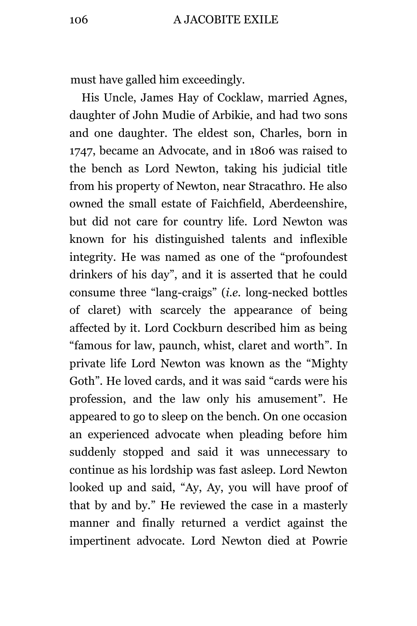must have galled him exceedingly.

His Uncle, James Hay of Cocklaw, married Agnes, daughter of John Mudie of Arbikie, and had two sons and one daughter. The eldest son, Charles, born in 1747, became an Advocate, and in 1806 was raised to the bench as Lord Newton, taking his judicial title from his property of Newton, near Stracathro. He also owned the small estate of Faichfield, Aberdeenshire, but did not care for country life. Lord Newton was known for his distinguished talents and inflexible integrity. He was named as one of the "profoundest drinkers of his day", and it is asserted that he could consume three "lang-craigs" (*i.e.* long-necked bottles of claret) with scarcely the appearance of being affected by it. Lord Cockburn described him as being "famous for law, paunch, whist, claret and worth". In private life Lord Newton was known as the "Mighty Goth". He loved cards, and it was said "cards were his profession, and the law only his amusement". He appeared to go to sleep on the bench. On one occasion an experienced advocate when pleading before him suddenly stopped and said it was unnecessary to continue as his lordship was fast asleep. Lord Newton looked up and said, "Ay, Ay, you will have proof of that by and by." He reviewed the case in a masterly manner and finally returned a verdict against the impertinent advocate. Lord Newton died at Powrie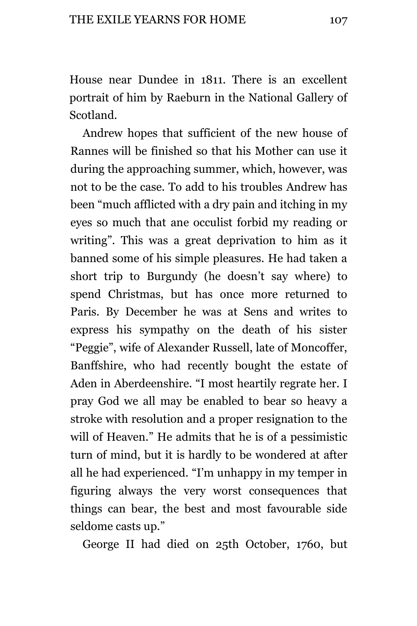House near Dundee in 1811. There is an excellent portrait of him by Raeburn in the National Gallery of Scotland.

Andrew hopes that sufficient of the new house of Rannes will be finished so that his Mother can use it during the approaching summer, which, however, was not to be the case. To add to his troubles Andrew has been "much afflicted with a dry pain and itching in my eyes so much that ane occulist forbid my reading or writing". This was a great deprivation to him as it banned some of his simple pleasures. He had taken a short trip to Burgundy (he doesn't say where) to spend Christmas, but has once more returned to Paris. By December he was at Sens and writes to express his sympathy on the death of his sister "Peggie", wife of Alexander Russell, late of Moncoffer, Banffshire, who had recently bought the estate of Aden in Aberdeenshire. "I most heartily regrate her. I pray God we all may be enabled to bear so heavy a stroke with resolution and a proper resignation to the will of Heaven." He admits that he is of a pessimistic turn of mind, but it is hardly to be wondered at after all he had experienced. "I'm unhappy in my temper in figuring always the very worst consequences that things can bear, the best and most favourable side seldome casts up."

George II had died on 25th October, 1760, but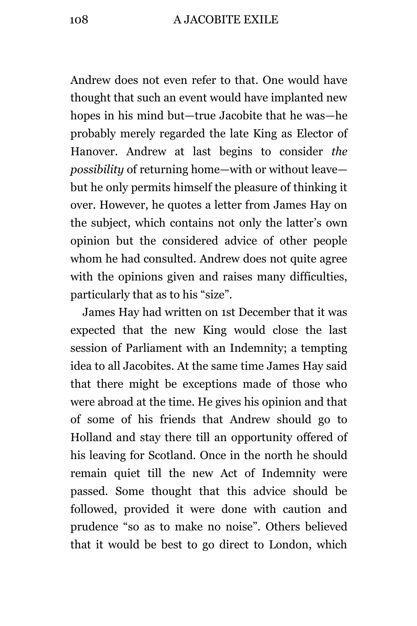Andrew does not even refer to that. One would have thought that such an event would have implanted new hopes in his mind but—true Jacobite that he was—he probably merely regarded the late King as Elector of Hanover. Andrew at last begins to consider *the possibility* of returning home—with or without leave but he only permits himself the pleasure of thinking it over. However, he quotes a letter from James Hay on the subject, which contains not only the latter's own opinion but the considered advice of other people whom he had consulted. Andrew does not quite agree with the opinions given and raises many difficulties, particularly that as to his "size".

James Hay had written on 1st December that it was expected that the new King would close the last session of Parliament with an Indemnity; a tempting idea to all Jacobites. At the same time James Hay said that there might be exceptions made of those who were abroad at the time. He gives his opinion and that of some of his friends that Andrew should go to Holland and stay there till an opportunity offered of his leaving for Scotland. Once in the north he should remain quiet till the new Act of Indemnity were passed. Some thought that this advice should be followed, provided it were done with caution and prudence "so as to make no noise". Others believed that it would be best to go direct to London, which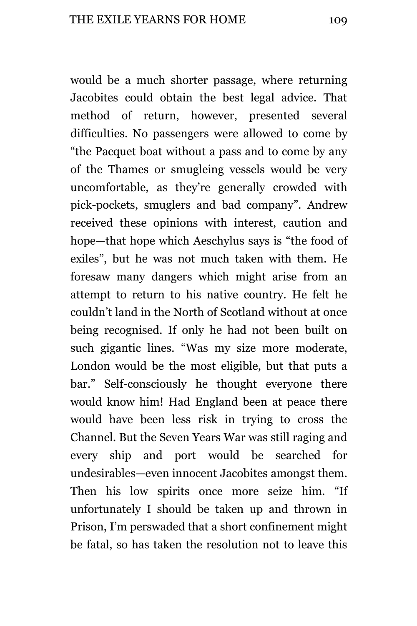would be a much shorter passage, where returning Jacobites could obtain the best legal advice. That method of return, however, presented several difficulties. No passengers were allowed to come by "the Pacquet boat without a pass and to come by any of the Thames or smugleing vessels would be very uncomfortable, as they're generally crowded with pick-pockets, smuglers and bad company". Andrew received these opinions with interest, caution and hope—that hope which Aeschylus says is "the food of exiles", but he was not much taken with them. He foresaw many dangers which might arise from an attempt to return to his native country. He felt he couldn't land in the North of Scotland without at once being recognised. If only he had not been built on such gigantic lines. "Was my size more moderate, London would be the most eligible, but that puts a bar." Self-consciously he thought everyone there would know him! Had England been at peace there would have been less risk in trying to cross the Channel. But the Seven Years War was still raging and every ship and port would be searched for undesirables—even innocent Jacobites amongst them. Then his low spirits once more seize him. "If unfortunately I should be taken up and thrown in Prison, I'm perswaded that a short confinement might be fatal, so has taken the resolution not to leave this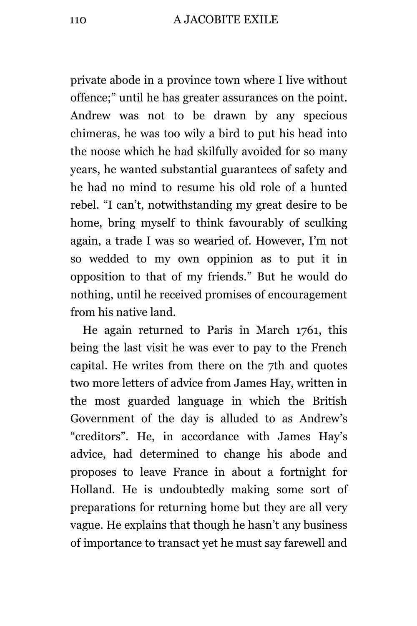private abode in a province town where I live without offence;" until he has greater assurances on the point. Andrew was not to be drawn by any specious chimeras, he was too wily a bird to put his head into the noose which he had skilfully avoided for so many years, he wanted substantial guarantees of safety and he had no mind to resume his old role of a hunted rebel. "I can't, notwithstanding my great desire to be home, bring myself to think favourably of sculking again, a trade I was so wearied of. However, I'm not so wedded to my own oppinion as to put it in opposition to that of my friends." But he would do nothing, until he received promises of encouragement from his native land.

He again returned to Paris in March 1761, this being the last visit he was ever to pay to the French capital. He writes from there on the 7th and quotes two more letters of advice from James Hay, written in the most guarded language in which the British Government of the day is alluded to as Andrew's "creditors". He, in accordance with James Hay's advice, had determined to change his abode and proposes to leave France in about a fortnight for Holland. He is undoubtedly making some sort of preparations for returning home but they are all very vague. He explains that though he hasn't any business of importance to transact yet he must say farewell and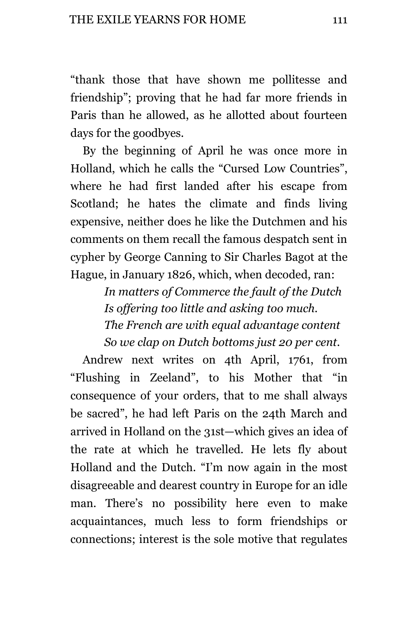"thank those that have shown me pollitesse and friendship"; proving that he had far more friends in Paris than he allowed, as he allotted about fourteen days for the goodbyes.

By the beginning of April he was once more in Holland, which he calls the "Cursed Low Countries", where he had first landed after his escape from Scotland; he hates the climate and finds living expensive, neither does he like the Dutchmen and his comments on them recall the famous despatch sent in cypher by George Canning to Sir Charles Bagot at the Hague, in January 1826, which, when decoded, ran:

> *In matters of Commerce the fault of the Dutch Is offering too little and asking too much. The French are with equal advantage content So we clap on Dutch bottoms just 20 per cent.*

Andrew next writes on 4th April, 1761, from "Flushing in Zeeland", to his Mother that "in consequence of your orders, that to me shall always be sacred", he had left Paris on the 24th March and arrived in Holland on the 31st—which gives an idea of the rate at which he travelled. He lets fly about Holland and the Dutch. "I'm now again in the most disagreeable and dearest country in Europe for an idle man. There's no possibility here even to make acquaintances, much less to form friendships or connections; interest is the sole motive that regulates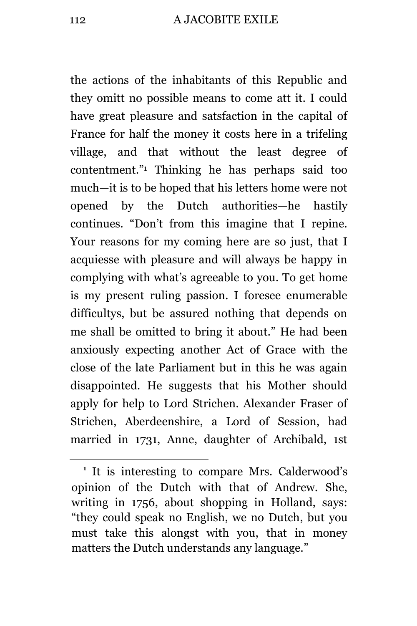the actions of the inhabitants of this Republic and they omitt no possible means to come att it. I could have great pleasure and satsfaction in the capital of France for half the money it costs here in a trifeling village, and that without the least degree of contentment." <sup>1</sup> Thinking he has perhaps said too much—it is to be hoped that his letters home were not opened by the Dutch authorities—he hastily continues. "Don't from this imagine that I repine. Your reasons for my coming here are so just, that I acquiesse with pleasure and will always be happy in complying with what's agreeable to you. To get home is my present ruling passion. I foresee enumerable difficultys, but be assured nothing that depends on me shall be omitted to bring it about." He had been anxiously expecting another Act of Grace with the close of the late Parliament but in this he was again disappointed. He suggests that his Mother should apply for help to Lord Strichen. Alexander Fraser of Strichen, Aberdeenshire, a Lord of Session, had married in 1731, Anne, daughter of Archibald, 1st

i<br>L

**<sup>1</sup>** It is interesting to compare Mrs. Calderwood's opinion of the Dutch with that of Andrew. She, writing in 1756, about shopping in Holland, says: "they could speak no English, we no Dutch, but you must take this alongst with you, that in money matters the Dutch understands any language."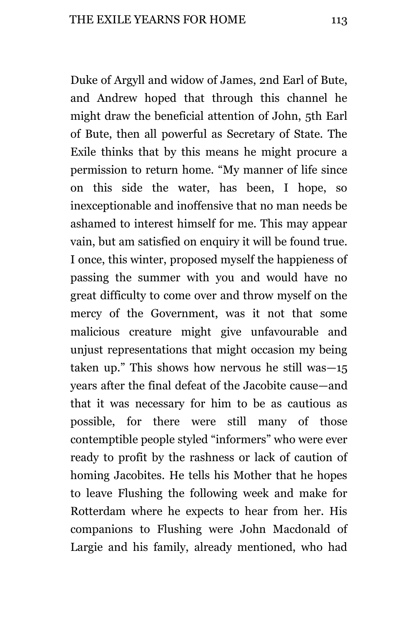Duke of Argyll and widow of James, 2nd Earl of Bute, and Andrew hoped that through this channel he might draw the beneficial attention of John, 5th Earl of Bute, then all powerful as Secretary of State. The Exile thinks that by this means he might procure a permission to return home. "My manner of life since on this side the water, has been, I hope, so inexceptionable and inoffensive that no man needs be ashamed to interest himself for me. This may appear vain, but am satisfied on enquiry it will be found true. I once, this winter, proposed myself the happieness of passing the summer with you and would have no great difficulty to come over and throw myself on the mercy of the Government, was it not that some malicious creature might give unfavourable and unjust representations that might occasion my being taken up." This shows how nervous he still was—15 years after the final defeat of the Jacobite cause—and that it was necessary for him to be as cautious as possible, for there were still many of those contemptible people styled "informers" who were ever ready to profit by the rashness or lack of caution of homing Jacobites. He tells his Mother that he hopes to leave Flushing the following week and make for Rotterdam where he expects to hear from her. His companions to Flushing were John Macdonald of Largie and his family, already mentioned, who had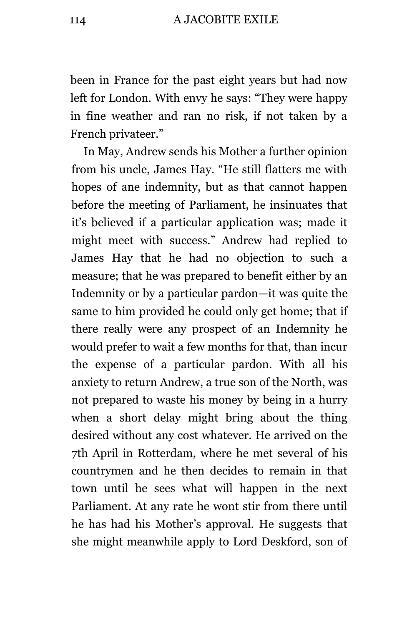been in France for the past eight years but had now left for London. With envy he says: "They were happy in fine weather and ran no risk, if not taken by a French privateer."

In May, Andrew sends his Mother a further opinion from his uncle, James Hay. "He still flatters me with hopes of ane indemnity, but as that cannot happen before the meeting of Parliament, he insinuates that it's believed if a particular application was; made it might meet with success." Andrew had replied to James Hay that he had no objection to such a measure; that he was prepared to benefit either by an Indemnity or by a particular pardon—it was quite the same to him provided he could only get home; that if there really were any prospect of an Indemnity he would prefer to wait a few months for that, than incur the expense of a particular pardon. With all his anxiety to return Andrew, a true son of the North, was not prepared to waste his money by being in a hurry when a short delay might bring about the thing desired without any cost whatever. He arrived on the 7th April in Rotterdam, where he met several of his countrymen and he then decides to remain in that town until he sees what will happen in the next Parliament. At any rate he wont stir from there until he has had his Mother's approval. He suggests that she might meanwhile apply to Lord Deskford, son of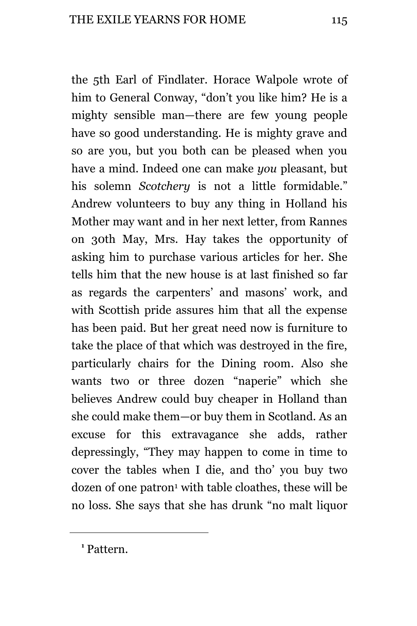the 5th Earl of Findlater. Horace Walpole wrote of him to General Conway, "don't you like him? He is a mighty sensible man—there are few young people have so good understanding. He is mighty grave and so are you, but you both can be pleased when you have a mind. Indeed one can make *you* pleasant, but his solemn *Scotchery* is not a little formidable." Andrew volunteers to buy any thing in Holland his Mother may want and in her next letter, from Rannes on 30th May, Mrs. Hay takes the opportunity of asking him to purchase various articles for her. She tells him that the new house is at last finished so far as regards the carpenters' and masons' work, and with Scottish pride assures him that all the expense has been paid. But her great need now is furniture to take the place of that which was destroyed in the fire, particularly chairs for the Dining room. Also she wants two or three dozen "naperie" which she believes Andrew could buy cheaper in Holland than she could make them—or buy them in Scotland. As an excuse for this extravagance she adds, rather depressingly, "They may happen to come in time to cover the tables when I die, and tho' you buy two dozen of one patron<sup>1</sup> with table cloathes, these will be no loss. She says that she has drunk "no malt liquor

**1** Pattern.

L,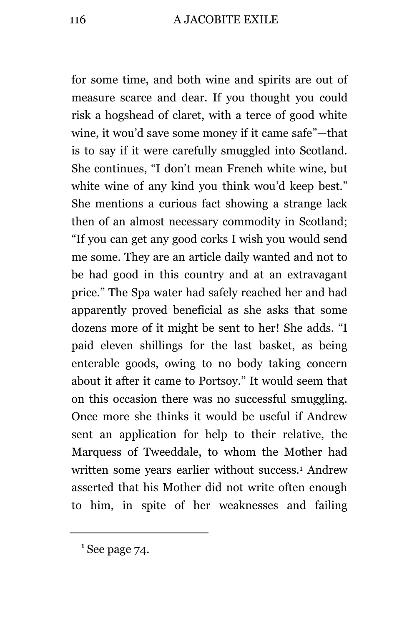for some time, and both wine and spirits are out of measure scarce and dear. If you thought you could risk a hogshead of claret, with a terce of good white wine, it wou'd save some money if it came safe"—that is to say if it were carefully smuggled into Scotland. She continues, "I don't mean French white wine, but white wine of any kind you think wou'd keep best." She mentions a curious fact showing a strange lack then of an almost necessary commodity in Scotland; "If you can get any good corks I wish you would send me some. They are an article daily wanted and not to be had good in this country and at an extravagant price." The Spa water had safely reached her and had apparently proved beneficial as she asks that some dozens more of it might be sent to her! She adds. "I paid eleven shillings for the last basket, as being enterable goods, owing to no body taking concern about it after it came to Portsoy." It would seem that on this occasion there was no successful smuggling. Once more she thinks it would be useful if Andrew sent an application for help to their relative, the Marquess of Tweeddale, to whom the Mother had written some years earlier without success.<sup>1</sup> Andrew asserted that his Mother did not write often enough to him, in spite of her weaknesses and failing

i<br>L

**<sup>1</sup>** See page 74.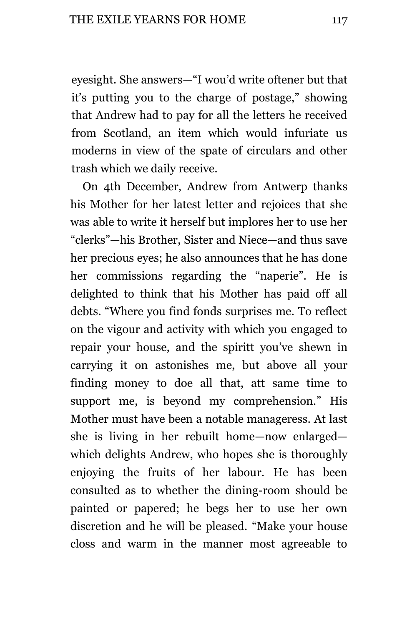eyesight. She answers—"I wou'd write oftener but that it's putting you to the charge of postage," showing that Andrew had to pay for all the letters he received from Scotland, an item which would infuriate us moderns in view of the spate of circulars and other trash which we daily receive.

On 4th December, Andrew from Antwerp thanks his Mother for her latest letter and rejoices that she was able to write it herself but implores her to use her "clerks"—his Brother, Sister and Niece—and thus save her precious eyes; he also announces that he has done her commissions regarding the "naperie". He is delighted to think that his Mother has paid off all debts. "Where you find fonds surprises me. To reflect on the vigour and activity with which you engaged to repair your house, and the spiritt you've shewn in carrying it on astonishes me, but above all your finding money to doe all that, att same time to support me, is beyond my comprehension." His Mother must have been a notable manageress. At last she is living in her rebuilt home—now enlarged which delights Andrew, who hopes she is thoroughly enjoying the fruits of her labour. He has been consulted as to whether the dining-room should be painted or papered; he begs her to use her own discretion and he will be pleased. "Make your house closs and warm in the manner most agreeable to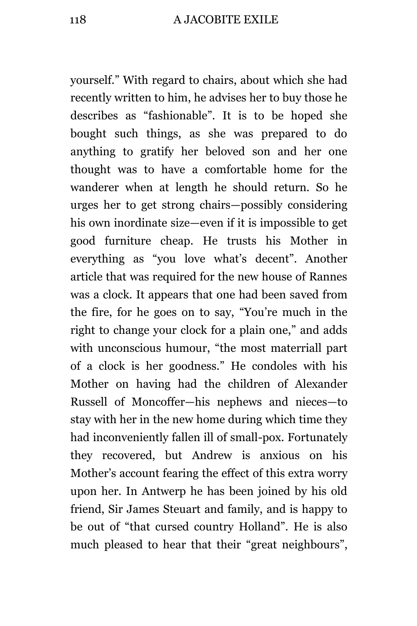yourself." With regard to chairs, about which she had recently written to him, he advises her to buy those he describes as "fashionable". It is to be hoped she bought such things, as she was prepared to do anything to gratify her beloved son and her one thought was to have a comfortable home for the wanderer when at length he should return. So he urges her to get strong chairs—possibly considering his own inordinate size—even if it is impossible to get good furniture cheap. He trusts his Mother in everything as "you love what's decent". Another article that was required for the new house of Rannes was a clock. It appears that one had been saved from the fire, for he goes on to say, "You're much in the right to change your clock for a plain one," and adds with unconscious humour, "the most materriall part of a clock is her goodness." He condoles with his Mother on having had the children of Alexander Russell of Moncoffer—his nephews and nieces—to stay with her in the new home during which time they had inconveniently fallen ill of small-pox. Fortunately they recovered, but Andrew is anxious on his Mother's account fearing the effect of this extra worry upon her. In Antwerp he has been joined by his old friend, Sir James Steuart and family, and is happy to be out of "that cursed country Holland". He is also much pleased to hear that their "great neighbours",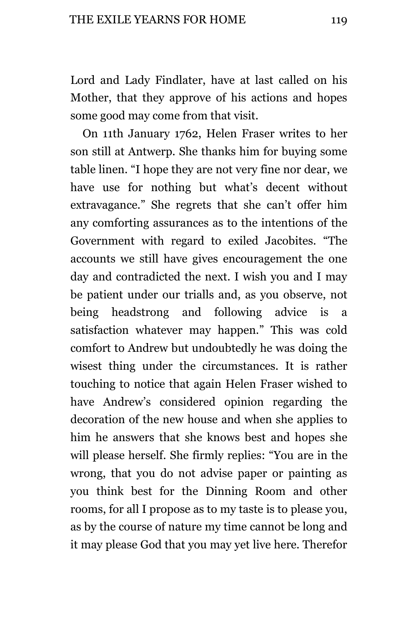Lord and Lady Findlater, have at last called on his Mother, that they approve of his actions and hopes some good may come from that visit.

On 11th January 1762, Helen Fraser writes to her son still at Antwerp. She thanks him for buying some table linen. "I hope they are not very fine nor dear, we have use for nothing but what's decent without extravagance." She regrets that she can't offer him any comforting assurances as to the intentions of the Government with regard to exiled Jacobites. "The accounts we still have gives encouragement the one day and contradicted the next. I wish you and I may be patient under our trialls and, as you observe, not being headstrong and following advice is a satisfaction whatever may happen." This was cold comfort to Andrew but undoubtedly he was doing the wisest thing under the circumstances. It is rather touching to notice that again Helen Fraser wished to have Andrew's considered opinion regarding the decoration of the new house and when she applies to him he answers that she knows best and hopes she will please herself. She firmly replies: "You are in the wrong, that you do not advise paper or painting as you think best for the Dinning Room and other rooms, for all I propose as to my taste is to please you, as by the course of nature my time cannot be long and it may please God that you may yet live here. Therefor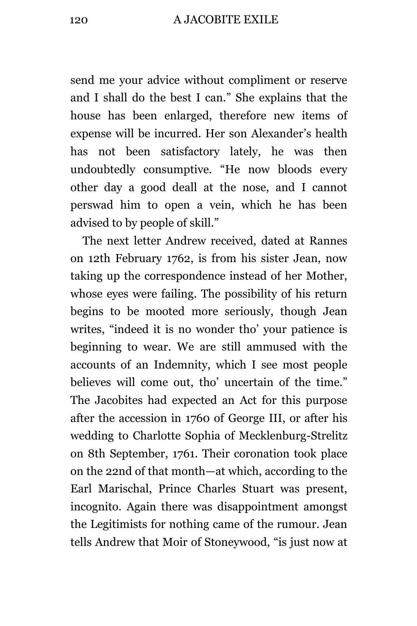## 120 A JACOBITE EXILE

send me your advice without compliment or reserve and I shall do the best I can." She explains that the house has been enlarged, therefore new items of expense will be incurred. Her son Alexander's health has not been satisfactory lately, he was then undoubtedly consumptive. "He now bloods every other day a good deall at the nose, and I cannot perswad him to open a vein, which he has been advised to by people of skill."

The next letter Andrew received, dated at Rannes on 12th February 1762, is from his sister Jean, now taking up the correspondence instead of her Mother, whose eyes were failing. The possibility of his return begins to be mooted more seriously, though Jean writes, "indeed it is no wonder tho' your patience is beginning to wear. We are still ammused with the accounts of an Indemnity, which I see most people believes will come out, tho' uncertain of the time." The Jacobites had expected an Act for this purpose after the accession in 1760 of George III, or after his wedding to Charlotte Sophia of Mecklenburg-Strelitz on 8th September, 1761. Their coronation took place on the 22nd of that month—at which, according to the Earl Marischal, Prince Charles Stuart was present, incognito. Again there was disappointment amongst the Legitimists for nothing came of the rumour. Jean tells Andrew that Moir of Stoneywood, "is just now at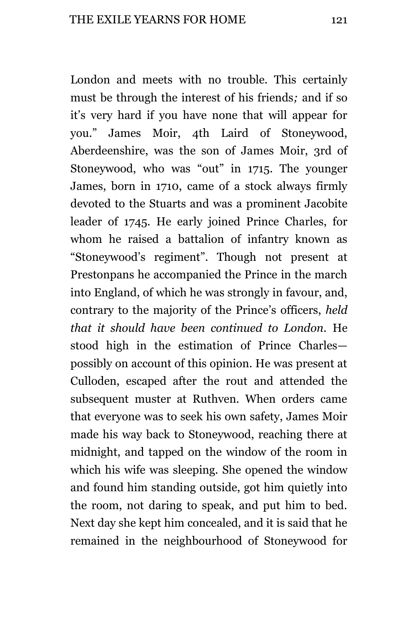London and meets with no trouble. This certainly must be through the interest of his friends*;* and if so it's very hard if you have none that will appear for you." James Moir, 4th Laird of Stoneywood, Aberdeenshire, was the son of James Moir, 3rd of Stoneywood, who was "out" in 1715. The younger James, born in 1710, came of a stock always firmly devoted to the Stuarts and was a prominent Jacobite leader of 1745. He early joined Prince Charles, for whom he raised a battalion of infantry known as "Stoneywood's regiment". Though not present at Prestonpans he accompanied the Prince in the march into England, of which he was strongly in favour, and, contrary to the majority of the Prince's officers, *held that it should have been continued to London.* He stood high in the estimation of Prince Charles possibly on account of this opinion. He was present at Culloden, escaped after the rout and attended the subsequent muster at Ruthven. When orders came that everyone was to seek his own safety, James Moir made his way back to Stoneywood, reaching there at midnight, and tapped on the window of the room in which his wife was sleeping. She opened the window and found him standing outside, got him quietly into the room, not daring to speak, and put him to bed. Next day she kept him concealed, and it is said that he remained in the neighbourhood of Stoneywood for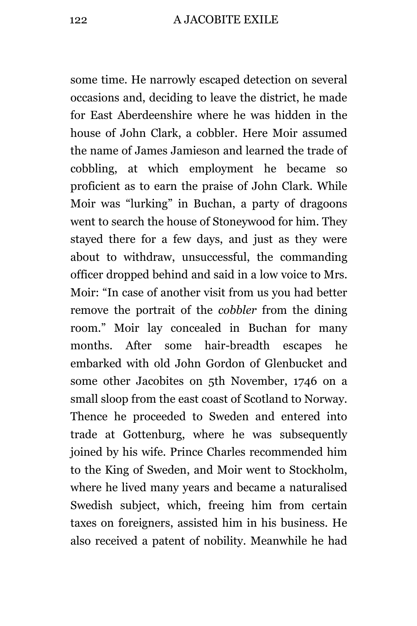some time. He narrowly escaped detection on several occasions and, deciding to leave the district, he made for East Aberdeenshire where he was hidden in the house of John Clark, a cobbler. Here Moir assumed the name of James Jamieson and learned the trade of cobbling, at which employment he became so proficient as to earn the praise of John Clark. While Moir was "lurking" in Buchan, a party of dragoons went to search the house of Stoneywood for him. They stayed there for a few days, and just as they were about to withdraw, unsuccessful, the commanding officer dropped behind and said in a low voice to Mrs. Moir: "In case of another visit from us you had better remove the portrait of the *cobbler* from the dining room." Moir lay concealed in Buchan for many months. After some hair-breadth escapes he embarked with old John Gordon of Glenbucket and some other Jacobites on 5th November, 1746 on a small sloop from the east coast of Scotland to Norway. Thence he proceeded to Sweden and entered into trade at Gottenburg, where he was subsequently joined by his wife. Prince Charles recommended him to the King of Sweden, and Moir went to Stockholm, where he lived many years and became a naturalised Swedish subject, which, freeing him from certain taxes on foreigners, assisted him in his business. He also received a patent of nobility. Meanwhile he had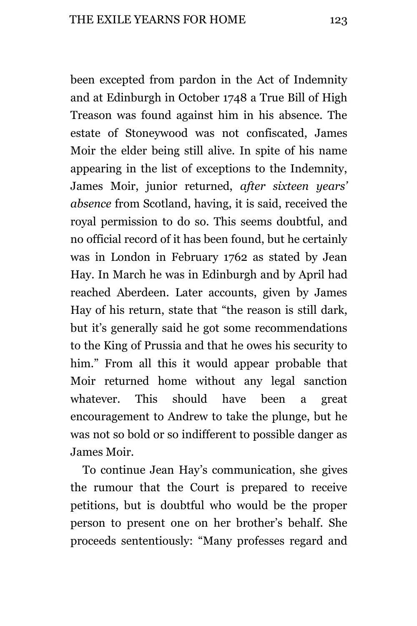been excepted from pardon in the Act of Indemnity and at Edinburgh in October 1748 a True Bill of High Treason was found against him in his absence. The estate of Stoneywood was not confiscated, James Moir the elder being still alive. In spite of his name appearing in the list of exceptions to the Indemnity, James Moir, junior returned, *after sixteen years' absence* from Scotland, having, it is said, received the royal permission to do so. This seems doubtful, and no official record of it has been found, but he certainly was in London in February 1762 as stated by Jean Hay. In March he was in Edinburgh and by April had reached Aberdeen. Later accounts, given by James Hay of his return, state that "the reason is still dark, but it's generally said he got some recommendations to the King of Prussia and that he owes his security to him." From all this it would appear probable that Moir returned home without any legal sanction whatever. This should have been a great encouragement to Andrew to take the plunge, but he was not so bold or so indifferent to possible danger as James Moir.

To continue Jean Hay's communication, she gives the rumour that the Court is prepared to receive petitions, but is doubtful who would be the proper person to present one on her brother's behalf. She proceeds sententiously: "Many professes regard and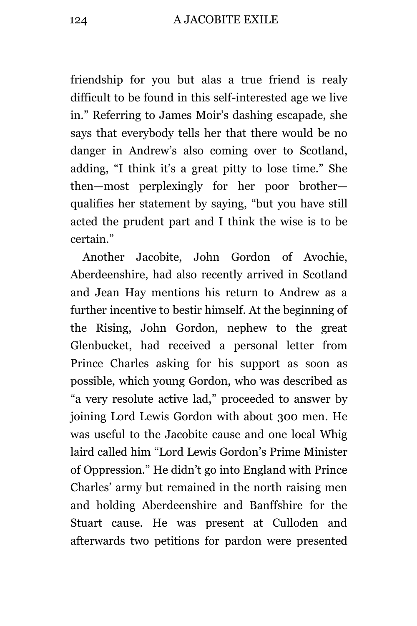friendship for you but alas a true friend is realy difficult to be found in this self-interested age we live in." Referring to James Moir's dashing escapade, she says that everybody tells her that there would be no danger in Andrew's also coming over to Scotland, adding, "I think it's a great pitty to lose time." She then—most perplexingly for her poor brother qualifies her statement by saying, "but you have still acted the prudent part and I think the wise is to be certain."

Another Jacobite, John Gordon of Avochie, Aberdeenshire, had also recently arrived in Scotland and Jean Hay mentions his return to Andrew as a further incentive to bestir himself. At the beginning of the Rising, John Gordon, nephew to the great Glenbucket, had received a personal letter from Prince Charles asking for his support as soon as possible, which young Gordon, who was described as "a very resolute active lad," proceeded to answer by joining Lord Lewis Gordon with about 300 men. He was useful to the Jacobite cause and one local Whig laird called him "Lord Lewis Gordon's Prime Minister of Oppression." He didn't go into England with Prince Charles' army but remained in the north raising men and holding Aberdeenshire and Banffshire for the Stuart cause. He was present at Culloden and afterwards two petitions for pardon were presented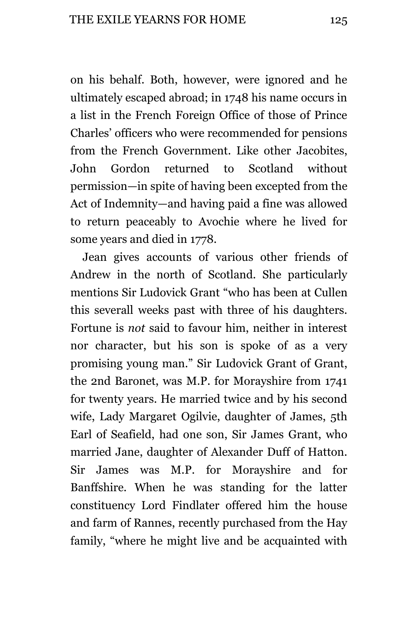on his behalf. Both, however, were ignored and he ultimately escaped abroad; in 1748 his name occurs in a list in the French Foreign Office of those of Prince Charles' officers who were recommended for pensions from the French Government. Like other Jacobites, John Gordon returned to Scotland without permission—in spite of having been excepted from the Act of Indemnity—and having paid a fine was allowed to return peaceably to Avochie where he lived for some years and died in 1778.

Jean gives accounts of various other friends of Andrew in the north of Scotland. She particularly mentions Sir Ludovick Grant "who has been at Cullen this severall weeks past with three of his daughters. Fortune is *not* said to favour him, neither in interest nor character, but his son is spoke of as a very promising young man." Sir Ludovick Grant of Grant, the 2nd Baronet, was M.P. for Morayshire from 1741 for twenty years. He married twice and by his second wife, Lady Margaret Ogilvie, daughter of James, 5th Earl of Seafield, had one son, Sir James Grant, who married Jane, daughter of Alexander Duff of Hatton. Sir James was M.P. for Morayshire and for Banffshire. When he was standing for the latter constituency Lord Findlater offered him the house and farm of Rannes, recently purchased from the Hay family, "where he might live and be acquainted with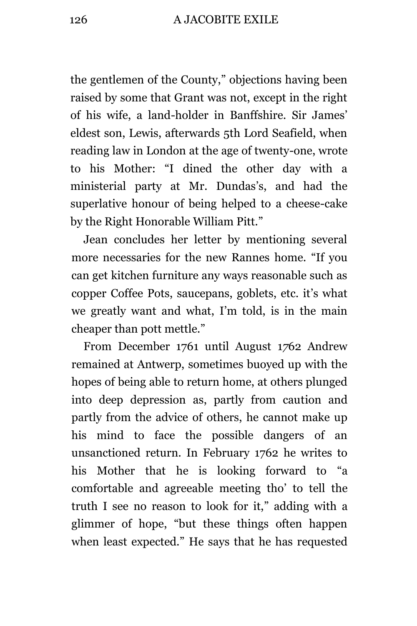the gentlemen of the County," objections having been raised by some that Grant was not, except in the right of his wife, a land-holder in Banffshire. Sir James' eldest son, Lewis, afterwards 5th Lord Seafield, when reading law in London at the age of twenty-one, wrote to his Mother: "I dined the other day with a ministerial party at Mr. Dundas's, and had the superlative honour of being helped to a cheese-cake by the Right Honorable William Pitt."

Jean concludes her letter by mentioning several more necessaries for the new Rannes home. "If you can get kitchen furniture any ways reasonable such as copper Coffee Pots, saucepans, goblets, etc. it's what we greatly want and what, I'm told, is in the main cheaper than pott mettle."

From December 1761 until August 1*7*62 Andrew remained at Antwerp, sometimes buoyed up with the hopes of being able to return home, at others plunged into deep depression as, partly from caution and partly from the advice of others, he cannot make up his mind to face the possible dangers of an unsanctioned return. In February 1762 he writes to his Mother that he is looking forward to "a comfortable and agreeable meeting tho' to tell the truth I see no reason to look for it," adding with a glimmer of hope, "but these things often happen when least expected." He says that he has requested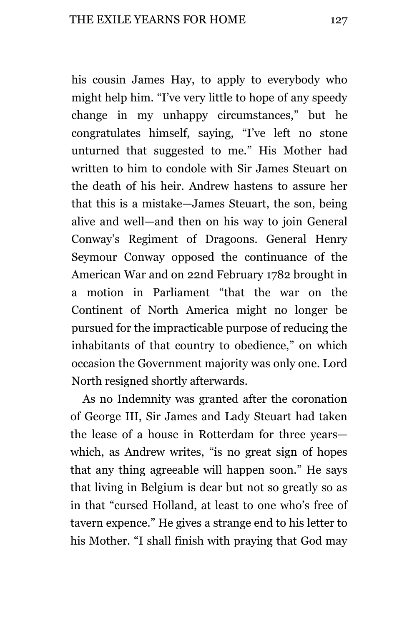his cousin James Hay, to apply to everybody who might help him. "I've very little to hope of any speedy change in my unhappy circumstances," but he congratulates himself, saying, "I've left no stone unturned that suggested to me." His Mother had written to him to condole with Sir James Steuart on the death of his heir. Andrew hastens to assure her that this is a mistake—James Steuart, the son, being alive and well—and then on his way to join General Conway's Regiment of Dragoons. General Henry Seymour Conway opposed the continuance of the American War and on 22nd February 1782 brought in a motion in Parliament "that the war on the Continent of North America might no longer be pursued for the impracticable purpose of reducing the inhabitants of that country to obedience," on which occasion the Government majority was only one. Lord North resigned shortly afterwards.

As no Indemnity was granted after the coronation of George III, Sir James and Lady Steuart had taken the lease of a house in Rotterdam for three years which, as Andrew writes, "is no great sign of hopes that any thing agreeable will happen soon." He says that living in Belgium is dear but not so greatly so as in that "cursed Holland, at least to one who's free of tavern expence." He gives a strange end to his letter to his Mother. "I shall finish with praying that God may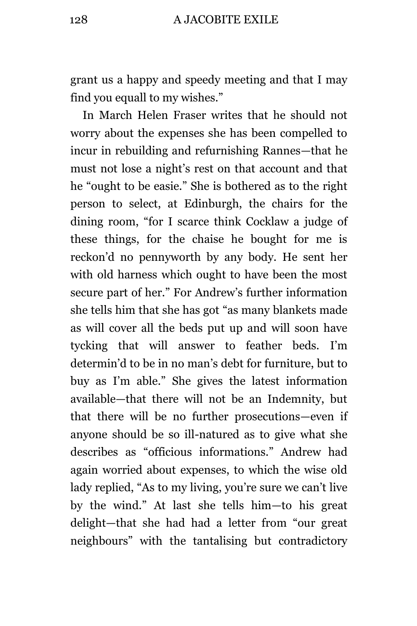grant us a happy and speedy meeting and that I may find you equall to my wishes."

In March Helen Fraser writes that he should not worry about the expenses she has been compelled to incur in rebuilding and refurnishing Rannes—that he must not lose a night's rest on that account and that he "ought to be easie." She is bothered as to the right person to select, at Edinburgh, the chairs for the dining room, "for I scarce think Cocklaw a judge of these things, for the chaise he bought for me is reckon'd no pennyworth by any body. He sent her with old harness which ought to have been the most secure part of her." For Andrew's further information she tells him that she has got "as many blankets made as will cover all the beds put up and will soon have tycking that will answer to feather beds. I'm determin'd to be in no man's debt for furniture, but to buy as I'm able." She gives the latest information available—that there will not be an Indemnity, but that there will be no further prosecutions—even if anyone should be so ill-natured as to give what she describes as "officious informations." Andrew had again worried about expenses, to which the wise old lady replied, "As to my living, you're sure we can't live by the wind." At last she tells him—to his great delight—that she had had a letter from "our great neighbours" with the tantalising but contradictory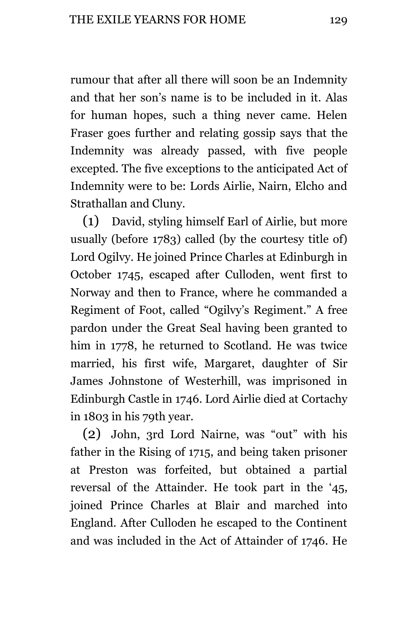rumour that after all there will soon be an Indemnity and that her son's name is to be included in it. Alas for human hopes, such a thing never came. Helen Fraser goes further and relating gossip says that the Indemnity was already passed, with five people excepted. The five exceptions to the anticipated Act of Indemnity were to be: Lords Airlie, Nairn, Elcho and Strathallan and Cluny.

(1) David, styling himself Earl of Airlie, but more usually (before 1783) called (by the courtesy title of) Lord Ogilvy. He joined Prince Charles at Edinburgh in October 1745, escaped after Culloden, went first to Norway and then to France, where he commanded a Regiment of Foot, called "Ogilvy's Regiment." A free pardon under the Great Seal having been granted to him in 1778, he returned to Scotland. He was twice married, his first wife, Margaret, daughter of Sir James Johnstone of Westerhill, was imprisoned in Edinburgh Castle in 1746. Lord Airlie died at Cortachy in 1803 in his 79th year.

(2) John, 3rd Lord Nairne, was "out" with his father in the Rising of 1715, and being taken prisoner at Preston was forfeited, but obtained a partial reversal of the Attainder. He took part in the '45, joined Prince Charles at Blair and marched into England. After Culloden he escaped to the Continent and was included in the Act of Attainder of 1746. He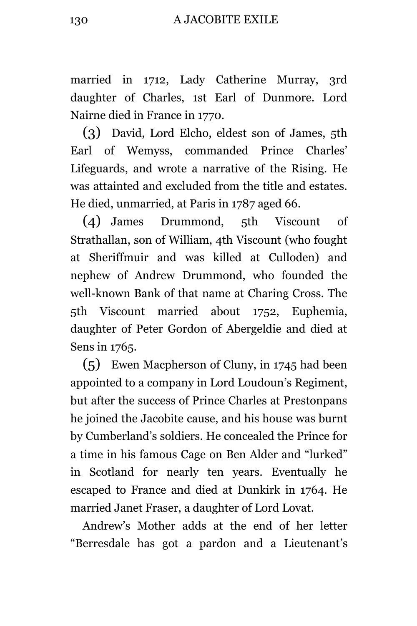married in 1712, Lady Catherine Murray, 3rd daughter of Charles, 1st Earl of Dunmore. Lord Nairne died in France in 1770.

(3) David, Lord Elcho, eldest son of James, 5th Earl of Wemyss, commanded Prince Charles' Lifeguards, and wrote a narrative of the Rising. He was attainted and excluded from the title and estates. He died, unmarried, at Paris in 1787 aged 66.

(4) James Drummond, 5th Viscount of Strathallan, son of William, 4th Viscount (who fought at Sheriffmuir and was killed at Culloden) and nephew of Andrew Drummond, who founded the well-known Bank of that name at Charing Cross. The 5th Viscount married about 1752, Euphemia, daughter of Peter Gordon of Abergeldie and died at Sens in 1765.

(5) Ewen Macpherson of Cluny, in 1745 had been appointed to a company in Lord Loudoun's Regiment, but after the success of Prince Charles at Prestonpans he joined the Jacobite cause, and his house was burnt by Cumberland's soldiers. He concealed the Prince for a time in his famous Cage on Ben Alder and "lurked" in Scotland for nearly ten years. Eventually he escaped to France and died at Dunkirk in 1764. He married Janet Fraser, a daughter of Lord Lovat.

Andrew's Mother adds at the end of her letter "Berresdale has got a pardon and a Lieutenant's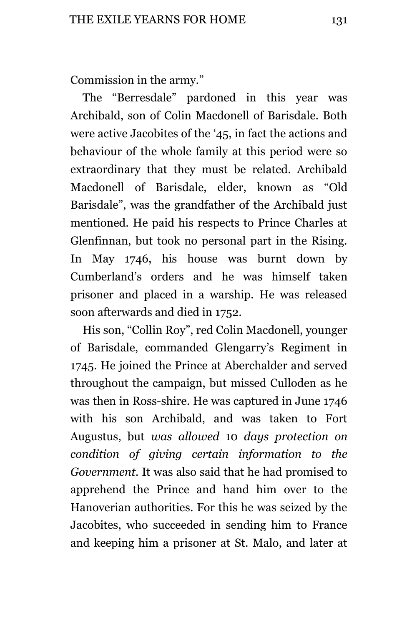Commission in the army."

The "Berresdale" pardoned in this year was Archibald, son of Colin Macdonell of Barisdale. Both were active Jacobites of the '45, in fact the actions and behaviour of the whole family at this period were so extraordinary that they must be related. Archibald Macdonell of Barisdale, elder, known as "Old Barisdale", was the grandfather of the Archibald just mentioned. He paid his respects to Prince Charles at Glenfinnan, but took no personal part in the Rising. In May 1746, his house was burnt down by Cumberland's orders and he was himself taken prisoner and placed in a warship. He was released soon afterwards and died in 1752.

His son, "Collin Roy", red Colin Macdonell, younger of Barisdale, commanded Glengarry's Regiment in 1745. He joined the Prince at Aberchalder and served throughout the campaign, but missed Culloden as he was then in Ross-shire. He was captured in June 1746 with his son Archibald, and was taken to Fort Augustus, but *was allowed* 10 *days protection on condition of giving certain information to the Government.* It was also said that he had promised to apprehend the Prince and hand him over to the Hanoverian authorities. For this he was seized by the Jacobites, who succeeded in sending him to France and keeping him a prisoner at St. Malo, and later at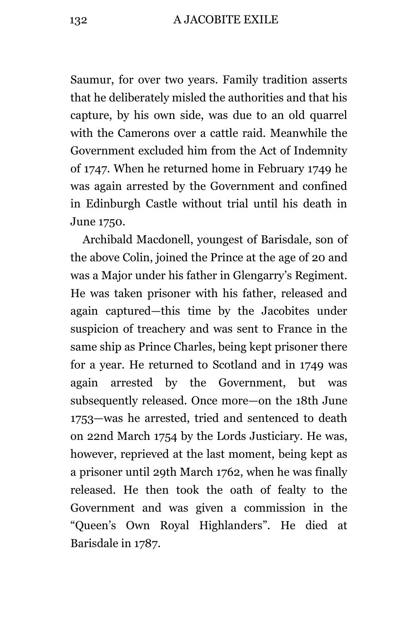Saumur, for over two years. Family tradition asserts that he deliberately misled the authorities and that his capture, by his own side, was due to an old quarrel with the Camerons over a cattle raid. Meanwhile the Government excluded him from the Act of Indemnity of 1747. When he returned home in February 1749 he was again arrested by the Government and confined in Edinburgh Castle without trial until his death in June 1750.

Archibald Macdonell, youngest of Barisdale, son of the above Colin, joined the Prince at the age of 20 and was a Major under his father in Glengarry's Regiment. He was taken prisoner with his father, released and again captured—this time by the Jacobites under suspicion of treachery and was sent to France in the same ship as Prince Charles, being kept prisoner there for a year. He returned to Scotland and in 1749 was again arrested by the Government, but was subsequently released. Once more—on the 18th June 1753—was he arrested, tried and sentenced to death on 22nd March 1754 by the Lords Justiciary. He was, however, reprieved at the last moment, being kept as a prisoner until 29th March 1762, when he was finally released. He then took the oath of fealty to the Government and was given a commission in the "Queen's Own Royal Highlanders". He died at Barisdale in 1787.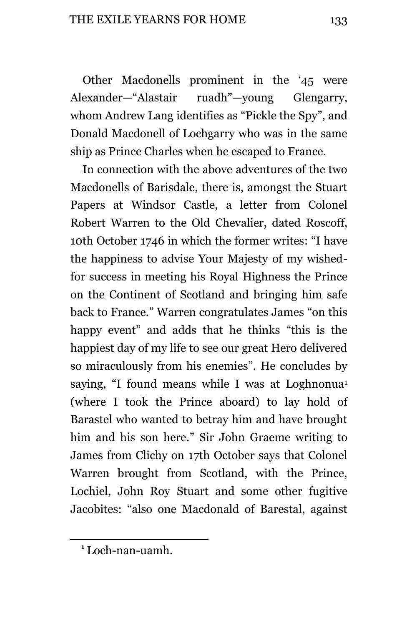Other Macdonells prominent in the '45 were Alexander—"Alastair ruadh"—young Glengarry, whom Andrew Lang identifies as "Pickle the Spy", and Donald Macdonell of Lochgarry who was in the same ship as Prince Charles when he escaped to France.

In connection with the above adventures of the two Macdonells of Barisdale, there is, amongst the Stuart Papers at Windsor Castle, a letter from Colonel Robert Warren to the Old Chevalier, dated Roscoff, 10th October 1746 in which the former writes: "I have the happiness to advise Your Majesty of my wishedfor success in meeting his Royal Highness the Prince on the Continent of Scotland and bringing him safe back to France." Warren congratulates James "on this happy event" and adds that he thinks "this is the happiest day of my life to see our great Hero delivered so miraculously from his enemies". He concludes by saying, "I found means while I was at Loghnonua<sup>1</sup> (where I took the Prince aboard) to lay hold of Barastel who wanted to betray him and have brought him and his son here." Sir John Graeme writing to James from Clichy on 17th October says that Colonel Warren brought from Scotland, with the Prince, Lochiel, John Roy Stuart and some other fugitive Jacobites: "also one Macdonald of Barestal, against

i<br>L

**<sup>1</sup>** Loch-nan-uamh.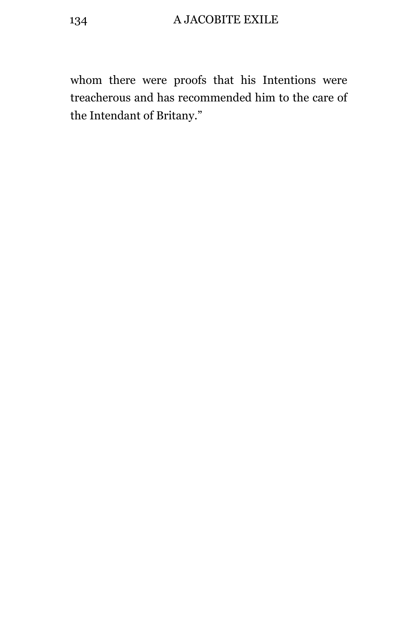whom there were proofs that his Intentions were treacherous and has recommended him to the care of the Intendant of Britany."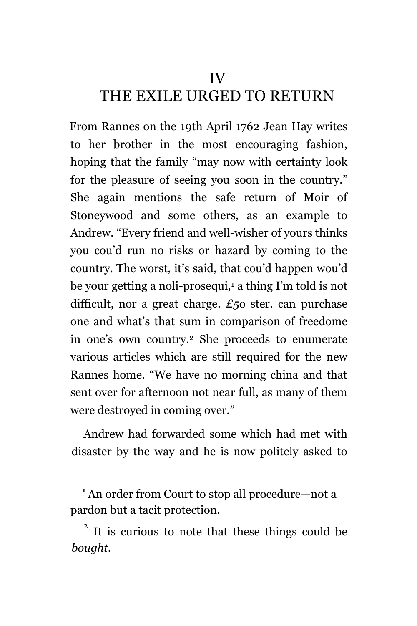IV

## THE EXILE URGED TO RETURN

From Rannes on the 19th April 1762 Jean Hay writes to her brother in the most encouraging fashion, hoping that the family "may now with certainty look for the pleasure of seeing you soon in the country." She again mentions the safe return of Moir of Stoneywood and some others, as an example to Andrew. "Every friend and well-wisher of yours thinks you cou'd run no risks or hazard by coming to the country. The worst, it's said, that cou'd happen wou'd be your getting a noli-prosequi,<sup>1</sup> a thing I'm told is not difficult, nor a great charge. *£5*o ster. can purchase one and what's that sum in comparison of freedome in one's own country.<sup>2</sup> She proceeds to enumerate various articles which are still required for the new Rannes home. "We have no morning china and that sent over for afternoon not near full, as many of them were destroyed in coming over."

Andrew had forwarded some which had met with disaster by the way and he is now politely asked to

i<br>L

**<sup>1</sup>** An order from Court to stop all procedure—not a pardon but a tacit protection.

<sup>&</sup>lt;sup>2</sup> It is curious to note that these things could be *bought.*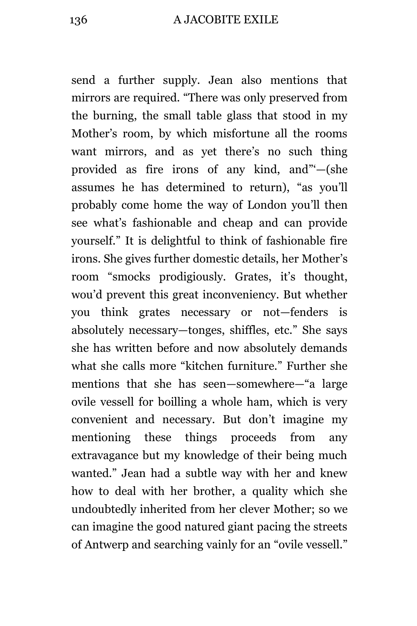send a further supply. Jean also mentions that mirrors are required. "There was only preserved from the burning, the small table glass that stood in my Mother's room, by which misfortune all the rooms want mirrors, and as yet there's no such thing provided as fire irons of any kind, and"'—(she assumes he has determined to return), "as you'll probably come home the way of London you'll then see what's fashionable and cheap and can provide yourself." It is delightful to think of fashionable fire irons. She gives further domestic details, her Mother's room "smocks prodigiously. Grates, it's thought, wou'd prevent this great inconveniency. But whether you think grates necessary or not—fenders is absolutely necessary—tonges, shiffles, etc." She says she has written before and now absolutely demands what she calls more "kitchen furniture." Further she mentions that she has seen—somewhere—"a large ovile vessell for boilling a whole ham, which is very convenient and necessary. But don't imagine my mentioning these things proceeds from any extravagance but my knowledge of their being much wanted." Jean had a subtle way with her and knew how to deal with her brother, a quality which she undoubtedly inherited from her clever Mother; so we can imagine the good natured giant pacing the streets of Antwerp and searching vainly for an "ovile vessell."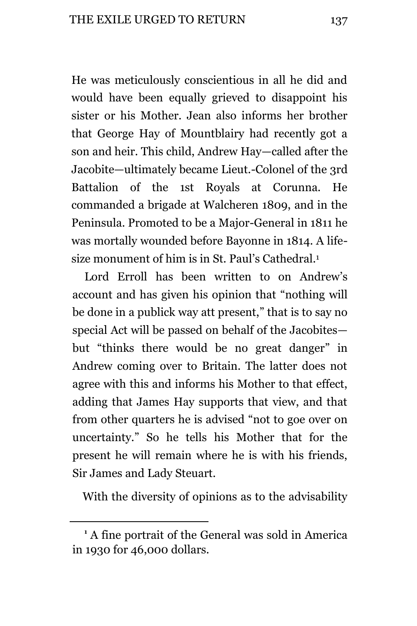He was meticulously conscientious in all he did and would have been equally grieved to disappoint his sister or his Mother. Jean also informs her brother that George Hay of Mountblairy had recently got a son and heir. This child, Andrew Hay—called after the Jacobite—ultimately became Lieut.-Colonel of the 3rd Battalion of the 1st Royals at Corunna. He commanded a brigade at Walcheren 1809, and in the Peninsula. Promoted to be a Major-General in 1811 he was mortally wounded before Bayonne in 1814. A lifesize monument of him is in St. Paul's Cathedral.<sup>1</sup>

Lord Erroll has been written to on Andrew's account and has given his opinion that "nothing will be done in a publick way att present," that is to say no special Act will be passed on behalf of the Jacobites but "thinks there would be no great danger" in Andrew coming over to Britain. The latter does not agree with this and informs his Mother to that effect, adding that James Hay supports that view, and that from other quarters he is advised "not to goe over on uncertainty." So he tells his Mother that for the present he will remain where he is with his friends, Sir James and Lady Steuart.

With the diversity of opinions as to the advisability

i<br>L

**<sup>1</sup>** A fine portrait of the General was sold in America in 1930 for 46,000 dollars.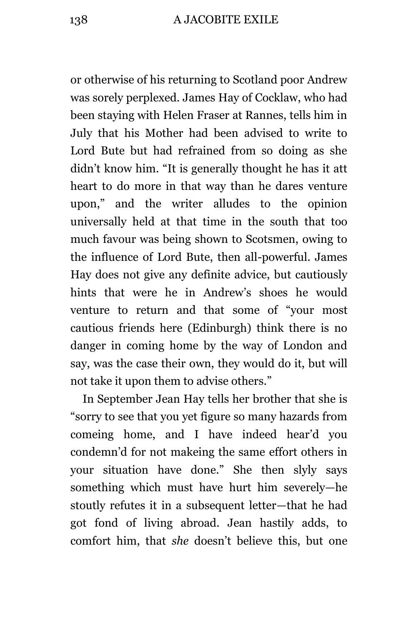or otherwise of his returning to Scotland poor Andrew was sorely perplexed. James Hay of Cocklaw, who had been staying with Helen Fraser at Rannes, tells him in July that his Mother had been advised to write to Lord Bute but had refrained from so doing as she didn't know him. "It is generally thought he has it att heart to do more in that way than he dares venture upon," and the writer alludes to the opinion universally held at that time in the south that too much favour was being shown to Scotsmen, owing to the influence of Lord Bute, then all-powerful. James Hay does not give any definite advice, but cautiously hints that were he in Andrew's shoes he would venture to return and that some of "your most cautious friends here (Edinburgh) think there is no danger in coming home by the way of London and say, was the case their own, they would do it, but will not take it upon them to advise others."

In September Jean Hay tells her brother that she is "sorry to see that you yet figure so many hazards from comeing home, and I have indeed hear'd you condemn'd for not makeing the same effort others in your situation have done." She then slyly says something which must have hurt him severely—he stoutly refutes it in a subsequent letter—that he had got fond of living abroad. Jean hastily adds, to comfort him, that *she* doesn't believe this, but one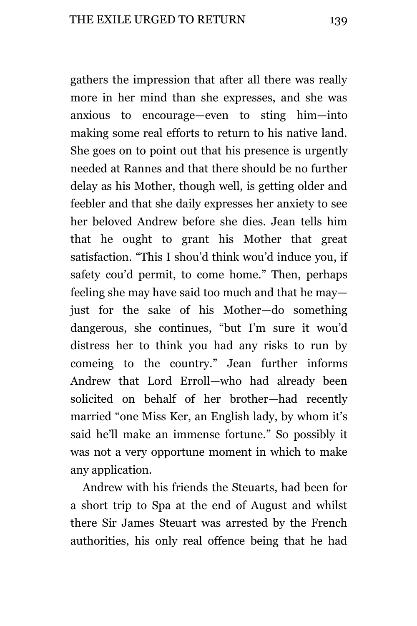gathers the impression that after all there was really more in her mind than she expresses, and she was anxious to encourage—even to sting him—into making some real efforts to return to his native land. She goes on to point out that his presence is urgently needed at Rannes and that there should be no further delay as his Mother, though well, is getting older and feebler and that she daily expresses her anxiety to see her beloved Andrew before she dies. Jean tells him that he ought to grant his Mother that great satisfaction. "This I shou'd think wou'd induce you, if safety cou'd permit, to come home." Then, perhaps feeling she may have said too much and that he may just for the sake of his Mother—do something dangerous, she continues, "but I'm sure it wou'd distress her to think you had any risks to run by comeing to the country." Jean further informs Andrew that Lord Erroll—who had already been solicited on behalf of her brother—had recently married "one Miss Ker, an English lady, by whom it's said he'll make an immense fortune." So possibly it was not a very opportune moment in which to make any application.

Andrew with his friends the Steuarts, had been for a short trip to Spa at the end of August and whilst there Sir James Steuart was arrested by the French authorities, his only real offence being that he had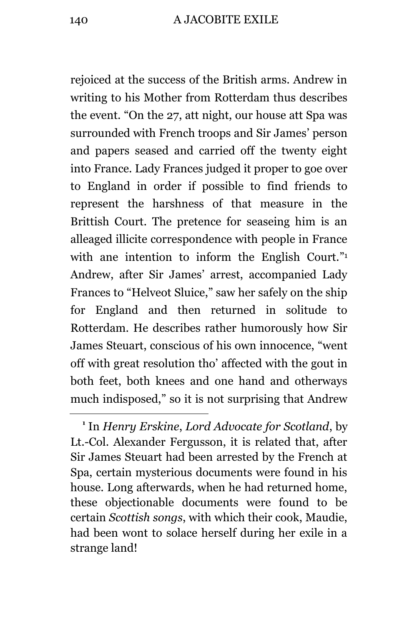rejoiced at the success of the British arms. Andrew in writing to his Mother from Rotterdam thus describes the event. "On the 27, att night, our house att Spa was surrounded with French troops and Sir James' person and papers seased and carried off the twenty eight into France. Lady Frances judged it proper to goe over to England in order if possible to find friends to represent the harshness of that measure in the Brittish Court. The pretence for seaseing him is an alleaged illicite correspondence with people in France with ane intention to inform the English Court." Andrew, after Sir James' arrest, accompanied Lady Frances to "Helveot Sluice," saw her safely on the ship for England and then returned in solitude to Rotterdam. He describes rather humorously how Sir James Steuart, conscious of his own innocence, "went off with great resolution tho' affected with the gout in both feet, both knees and one hand and otherways much indisposed," so it is not surprising that Andrew

L,

**<sup>1</sup>** In *Henry Erskine*, *Lord Advocate for Scotland*, by Lt.-Col. Alexander Fergusson, it is related that, after Sir James Steuart had been arrested by the French at Spa, certain mysterious documents were found in his house. Long afterwards, when he had returned home, these objectionable documents were found to be certain *Scottish songs*, with which their cook, Maudie, had been wont to solace herself during her exile in a strange land!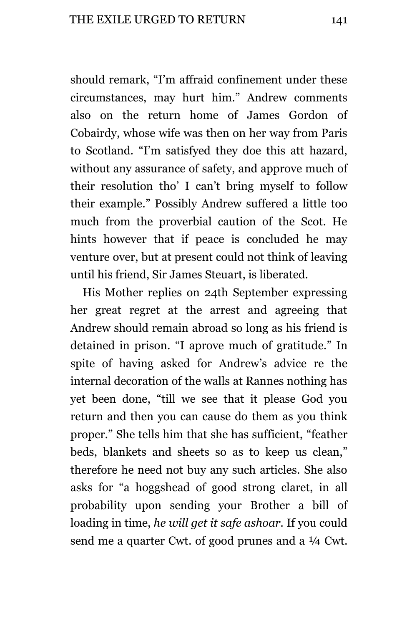should remark, "I'm affraid confinement under these circumstances, may hurt him." Andrew comments also on the return home of James Gordon of Cobairdy, whose wife was then on her way from Paris to Scotland. "I'm satisfyed they doe this att hazard, without any assurance of safety, and approve much of their resolution tho' I can't bring myself to follow their example." Possibly Andrew suffered a little too much from the proverbial caution of the Scot. He hints however that if peace is concluded he may venture over, but at present could not think of leaving until his friend, Sir James Steuart, is liberated.

His Mother replies on 24th September expressing her great regret at the arrest and agreeing that Andrew should remain abroad so long as his friend is detained in prison. "I aprove much of gratitude." In spite of having asked for Andrew's advice re the internal decoration of the walls at Rannes nothing has yet been done, "till we see that it please God you return and then you can cause do them as you think proper." She tells him that she has sufficient, "feather beds, blankets and sheets so as to keep us clean," therefore he need not buy any such articles. She also asks for "a hoggshead of good strong claret, in all probability upon sending your Brother a bill of loading in time, *he will get it safe ashoar.* If you could send me a quarter Cwt. of good prunes and a  $\frac{1}{4}$  Cwt.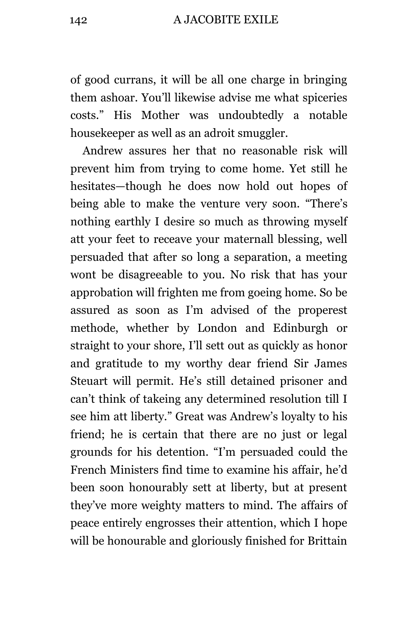of good currans, it will be all one charge in bringing them ashoar. You'll likewise advise me what spiceries costs." His Mother was undoubtedly a notable housekeeper as well as an adroit smuggler.

Andrew assures her that no reasonable risk will prevent him from trying to come home. Yet still he hesitates—though he does now hold out hopes of being able to make the venture very soon. "There's nothing earthly I desire so much as throwing myself att your feet to receave your maternall blessing, well persuaded that after so long a separation, a meeting wont be disagreeable to you. No risk that has your approbation will frighten me from goeing home. So be assured as soon as I'm advised of the properest methode, whether by London and Edinburgh or straight to your shore, I'll sett out as quickly as honor and gratitude to my worthy dear friend Sir James Steuart will permit. He's still detained prisoner and can't think of takeing any determined resolution till I see him att liberty." Great was Andrew's loyalty to his friend; he is certain that there are no just or legal grounds for his detention. "I'm persuaded could the French Ministers find time to examine his affair, he'd been soon honourably sett at liberty, but at present they've more weighty matters to mind. The affairs of peace entirely engrosses their attention, which I hope will be honourable and gloriously finished for Brittain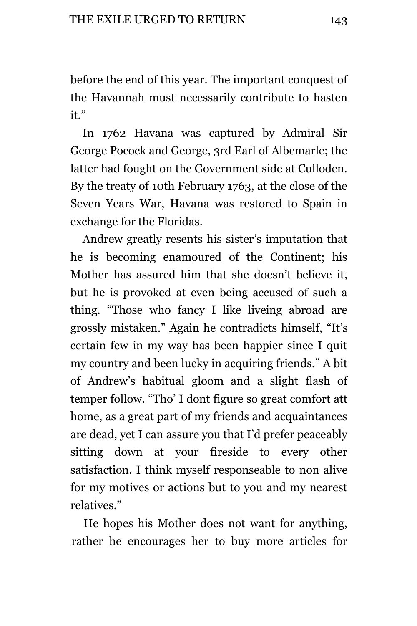before the end of this year. The important conquest of the Havannah must necessarily contribute to hasten it."

In 1762 Havana was captured by Admiral Sir George Pocock and George, 3rd Earl of Albemarle; the latter had fought on the Government side at Culloden. By the treaty of 10th February 1763, at the close of the Seven Years War, Havana was restored to Spain in exchange for the Floridas.

Andrew greatly resents his sister's imputation that he is becoming enamoured of the Continent; his Mother has assured him that she doesn't believe it, but he is provoked at even being accused of such a thing. "Those who fancy I like liveing abroad are grossly mistaken." Again he contradicts himself, "It's certain few in my way has been happier since I quit my country and been lucky in acquiring friends." A bit of Andrew's habitual gloom and a slight flash of temper follow. "Tho' I dont figure so great comfort att home, as a great part of my friends and acquaintances are dead, yet I can assure you that I'd prefer peaceably sitting down at your fireside to every other satisfaction. I think myself responseable to non alive for my motives or actions but to you and my nearest relatives."

He hopes his Mother does not want for anything, rather he encourages her to buy more articles for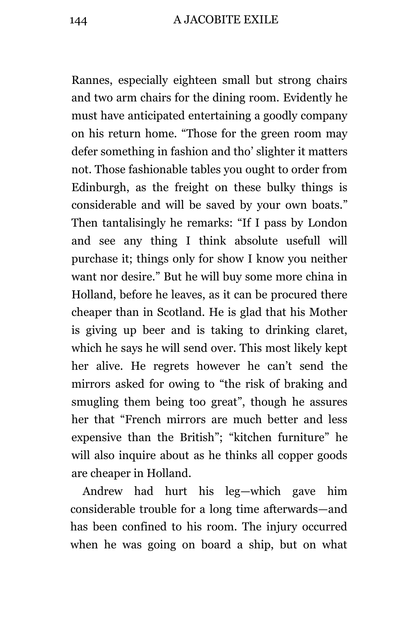Rannes, especially eighteen small but strong chairs and two arm chairs for the dining room. Evidently he must have anticipated entertaining a goodly company on his return home. "Those for the green room may defer something in fashion and tho' slighter it matters not. Those fashionable tables you ought to order from Edinburgh, as the freight on these bulky things is considerable and will be saved by your own boats." Then tantalisingly he remarks: "If I pass by London and see any thing I think absolute usefull will purchase it; things only for show I know you neither want nor desire." But he will buy some more china in Holland, before he leaves, as it can be procured there cheaper than in Scotland. He is glad that his Mother is giving up beer and is taking to drinking claret, which he says he will send over. This most likely kept her alive. He regrets however he can't send the mirrors asked for owing to "the risk of braking and smugling them being too great", though he assures her that "French mirrors are much better and less expensive than the British"; "kitchen furniture" he will also inquire about as he thinks all copper goods are cheaper in Holland.

Andrew had hurt his leg—which gave him considerable trouble for a long time afterwards—and has been confined to his room. The injury occurred when he was going on board a ship, but on what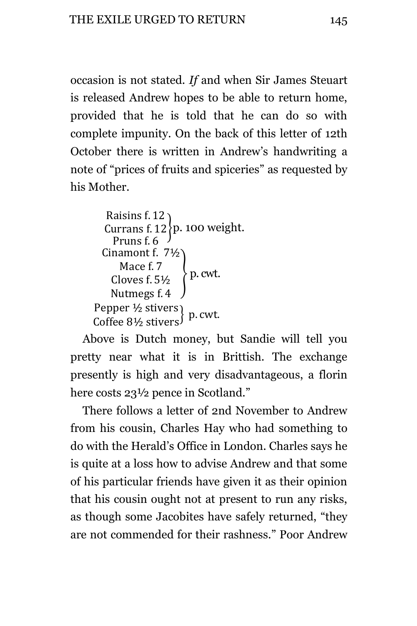occasion is not stated. *If* and when Sir James Steuart is released Andrew hopes to be able to return home, provided that he is told that he can do so with complete impunity. On the back of this letter of 12th October there is written in Andrew's handwriting a note of "prices of fruits and spiceries" as requested by his Mother.

```
R
   Currans f. 12{p.} 100 weight.
     Pruns f. 6
  Cinamont f. 71/2
       M
     Cloves f. 5\frac{1}{2} P. cwt.
    Nutmegs f. 4
Pepper ½ stivers<br>Coffee 8½ stivers<sup>} p</sup>
```
Above is Dutch money, but Sandie will tell you pretty near what it is in Brittish. The exchange presently is high and very disadvantageous, a florin here costs 23<sup>1/2</sup> pence in Scotland."

There follows a letter of 2nd November to Andrew from his cousin, Charles Hay who had something to do with the Herald's Office in London. Charles says he is quite at a loss how to advise Andrew and that some of his particular friends have given it as their opinion that his cousin ought not at present to run any risks, as though some Jacobites have safely returned, "they are not commended for their rashness." Poor Andrew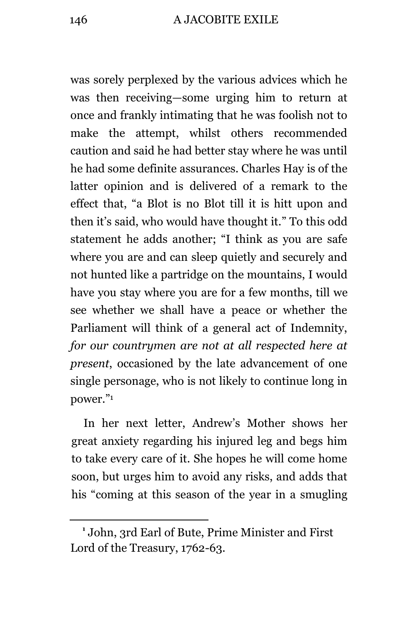was sorely perplexed by the various advices which he was then receiving—some urging him to return at once and frankly intimating that he was foolish not to make the attempt, whilst others recommended caution and said he had better stay where he was until he had some definite assurances. Charles Hay is of the latter opinion and is delivered of a remark to the effect that, "a Blot is no Blot till it is hitt upon and then it's said, who would have thought it." To this odd statement he adds another; "I think as you are safe where you are and can sleep quietly and securely and not hunted like a partridge on the mountains, I would have you stay where you are for a few months, till we see whether we shall have a peace or whether the Parliament will think of a general act of Indemnity, *for our countrymen are not at all respected here at present*, occasioned by the late advancement of one single personage, who is not likely to continue long in power." 1

In her next letter, Andrew's Mother shows her great anxiety regarding his injured leg and begs him to take every care of it. She hopes he will come home soon, but urges him to avoid any risks, and adds that his "coming at this season of the year in a smugling

**<sup>1</sup>** John, 3rd Earl of Bute, Prime Minister and First Lord of the Treasury, 1762-63.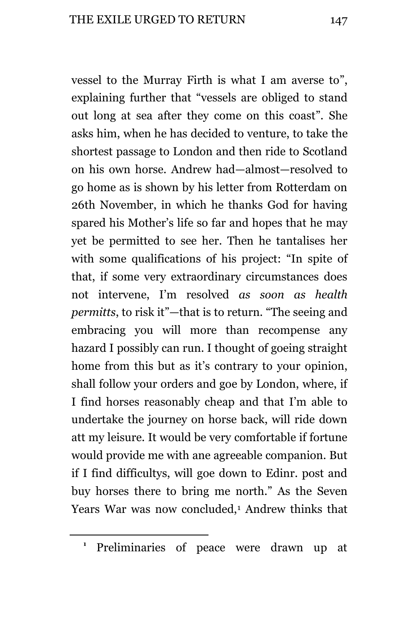vessel to the Murray Firth is what I am averse to", explaining further that "vessels are obliged to stand out long at sea after they come on this coast". She asks him, when he has decided to venture, to take the shortest passage to London and then ride to Scotland on his own horse. Andrew had—almost—resolved to go home as is shown by his letter from Rotterdam on 26th November, in which he thanks God for having spared his Mother's life so far and hopes that he may yet be permitted to see her. Then he tantalises her with some qualifications of his project: "In spite of that, if some very extraordinary circumstances does not intervene, I'm resolved *as soon as health permitts*, to risk it"—that is to return. "The seeing and embracing you will more than recompense any hazard I possibly can run. I thought of goeing straight home from this but as it's contrary to your opinion, shall follow your orders and goe by London, where, if I find horses reasonably cheap and that I'm able to undertake the journey on horse back, will ride down att my leisure. It would be very comfortable if fortune would provide me with ane agreeable companion. But if I find difficultys, will goe down to Edinr. post and buy horses there to bring me north." As the Seven Years War was now concluded,<sup>1</sup> Andrew thinks that

**<sup>1</sup>** Preliminaries of peace were drawn up at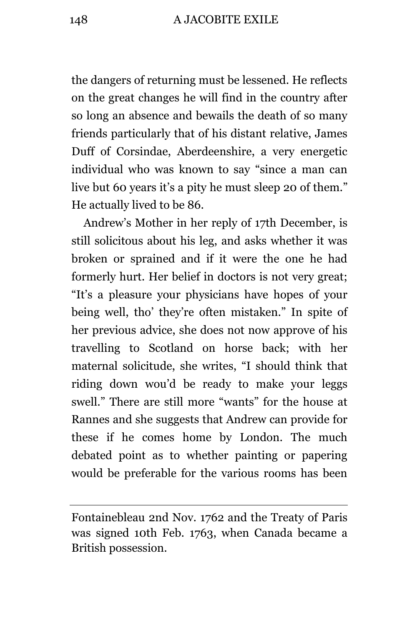the dangers of returning must be lessened. He reflects on the great changes he will find in the country after so long an absence and bewails the death of so many friends particularly that of his distant relative, James Duff of Corsindae, Aberdeenshire, a very energetic individual who was known to say "since a man can live but 60 years it's a pity he must sleep 20 of them." He actually lived to be 86.

Andrew's Mother in her reply of 17th December, is still solicitous about his leg, and asks whether it was broken or sprained and if it were the one he had formerly hurt. Her belief in doctors is not very great; "It's a pleasure your physicians have hopes of your being well, tho' they're often mistaken." In spite of her previous advice, she does not now approve of his travelling to Scotland on horse back; with her maternal solicitude, she writes, "I should think that riding down wou'd be ready to make your leggs swell." There are still more "wants" for the house at Rannes and she suggests that Andrew can provide for these if he comes home by London. The much debated point as to whether painting or papering would be preferable for the various rooms has been

Fontainebleau 2nd Nov. 1762 and the Treaty of Paris was signed 10th Feb. 1763, when Canada became a British possession.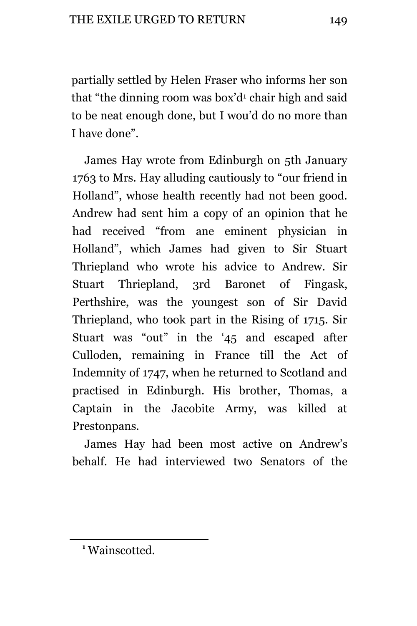partially settled by Helen Fraser who informs her son that "the dinning room was box'd<sup>1</sup> chair high and said to be neat enough done, but I wou'd do no more than I have done".

James Hay wrote from Edinburgh on 5th January 1763 to Mrs. Hay alluding cautiously to "our friend in Holland", whose health recently had not been good. Andrew had sent him a copy of an opinion that he had received "from ane eminent physician in Holland", which James had given to Sir Stuart Thriepland who wrote his advice to Andrew. Sir Stuart Thriepland, 3rd Baronet of Fingask, Perthshire, was the youngest son of Sir David Thriepland, who took part in the Rising of 1715. Sir Stuart was "out" in the '45 and escaped after Culloden, remaining in France till the Act of Indemnity of 1747, when he returned to Scotland and practised in Edinburgh. His brother, Thomas, a Captain in the Jacobite Army, was killed at Prestonpans.

James Hay had been most active on Andrew's behalf. He had interviewed two Senators of the

**<sup>1</sup>** Wainscotted.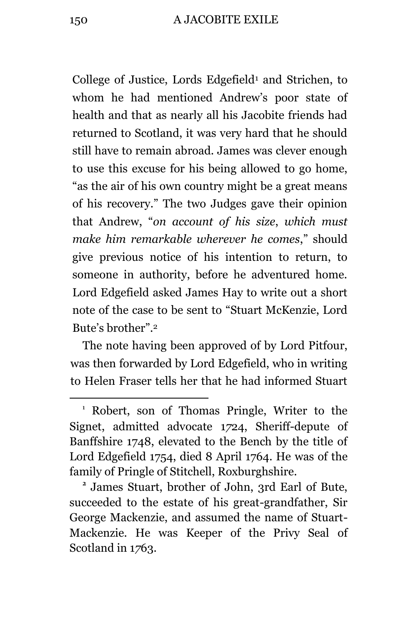College of Justice, Lords Edgefield<sup>1</sup> and Strichen, to whom he had mentioned Andrew's poor state of health and that as nearly all his Jacobite friends had returned to Scotland, it was very hard that he should still have to remain abroad. James was clever enough to use this excuse for his being allowed to go home, "as the air of his own country might be a great means of his recovery." The two Judges gave their opinion that Andrew, "*on account of his size*, *which must make him remarkable wherever he comes*," should give previous notice of his intention to return, to someone in authority, before he adventured home. Lord Edgefield asked James Hay to write out a short note of the case to be sent to "Stuart McKenzie, Lord Bute's brother".<sup>2</sup>

The note having been approved of by Lord Pitfour, was then forwarded by Lord Edgefield, who in writing to Helen Fraser tells her that he had informed Stuart

<sup>1</sup> Robert, son of Thomas Pringle, Writer to the Signet, admitted advocate 1*7*24, Sheriff-depute of Banffshire 1748, elevated to the Bench by the title of Lord Edgefield 1754, died 8 April 1764. He was of the family of Pringle of Stitchell, Roxburghshire.

**<sup>2</sup>** James Stuart, brother of John, 3rd Earl of Bute, succeeded to the estate of his great-grandfather, Sir George Mackenzie, and assumed the name of Stuart-Mackenzie. He was Keeper of the Privy Seal of Scotland in 1763.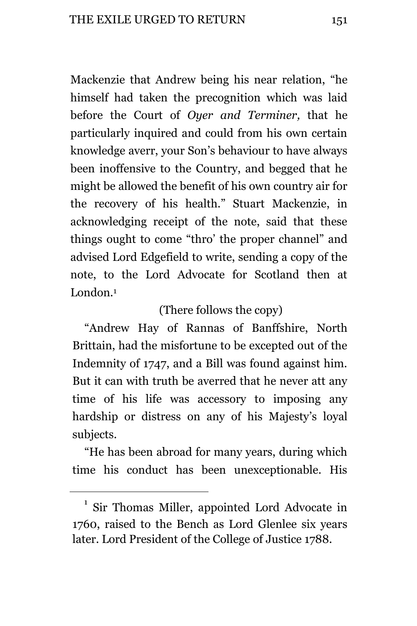Mackenzie that Andrew being his near relation, "he himself had taken the precognition which was laid before the Court of *Oyer and Terminer,* that he particularly inquired and could from his own certain knowledge averr, your Son's behaviour to have always been inoffensive to the Country, and begged that he might be allowed the benefit of his own country air for the recovery of his health." Stuart Mackenzie, in acknowledging receipt of the note, said that these things ought to come "thro' the proper channel" and advised Lord Edgefield to write, sending a copy of the note, to the Lord Advocate for Scotland then at London.<sup>1</sup>

## (There follows the copy)

"Andrew Hay of Rannas of Banffshire, North Brittain, had the misfortune to be excepted out of the Indemnity of 1747, and a Bill was found against him. But it can with truth be averred that he never att any time of his life was accessory to imposing any hardship or distress on any of his Majesty's loyal subjects.

"He has been abroad for many years, during which time his conduct has been unexceptionable. His

<sup>&</sup>lt;sup>1</sup> Sir Thomas Miller, appointed Lord Advocate in 1760, raised to the Bench as Lord Glenlee six years later. Lord President of the College of Justice 1788.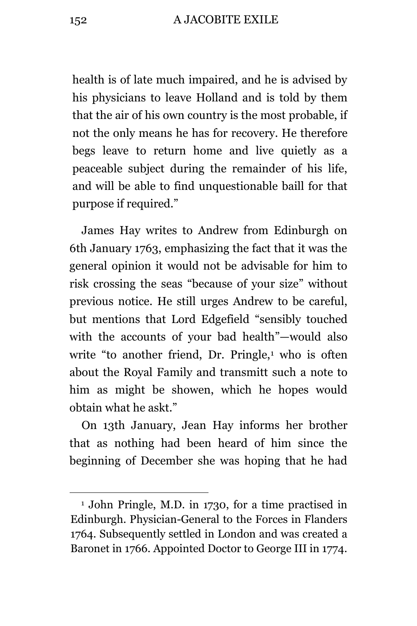152 A JACOBITE EXILE

health is of late much impaired, and he is advised by his physicians to leave Holland and is told by them that the air of his own country is the most probable, if not the only means he has for recovery. He therefore begs leave to return home and live quietly as a peaceable subject during the remainder of his life, and will be able to find unquestionable baill for that purpose if required."

James Hay writes to Andrew from Edinburgh on 6th January 1763, emphasizing the fact that it was the general opinion it would not be advisable for him to risk crossing the seas "because of your size" without previous notice. He still urges Andrew to be careful, but mentions that Lord Edgefield "sensibly touched with the accounts of your bad health"—would also write "to another friend,  $Dr.$  Pringle, $1$  who is often about the Royal Family and transmitt such a note to him as might be showen, which he hopes would obtain what he askt."

On 13th January, Jean Hay informs her brother that as nothing had been heard of him since the beginning of December she was hoping that he had

<sup>1</sup> John Pringle, M.D. in 1730, for a time practised in Edinburgh. Physician-General to the Forces in Flanders 1764. Subsequently settled in London and was created a Baronet in 1766. Appointed Doctor to George III in 1774.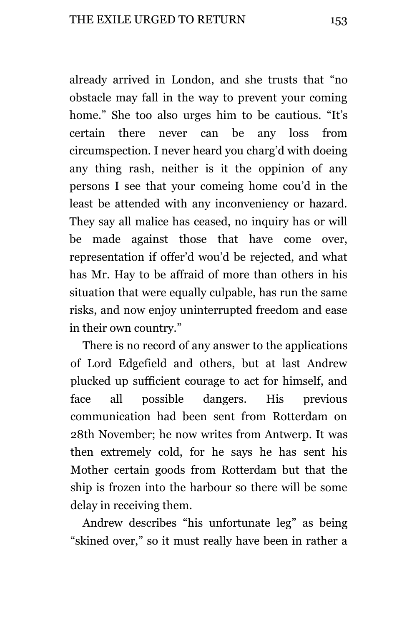already arrived in London, and she trusts that "no obstacle may fall in the way to prevent your coming home." She too also urges him to be cautious. "It's certain there never can be any loss from circumspection. I never heard you charg'd with doeing any thing rash, neither is it the oppinion of any persons I see that your comeing home cou'd in the least be attended with any inconveniency or hazard. They say all malice has ceased, no inquiry has or will be made against those that have come over, representation if offer'd wou'd be rejected, and what has Mr. Hay to be affraid of more than others in his situation that were equally culpable, has run the same risks, and now enjoy uninterrupted freedom and ease in their own country."

There is no record of any answer to the applications of Lord Edgefield and others, but at last Andrew plucked up sufficient courage to act for himself, and face all possible dangers. His previous communication had been sent from Rotterdam on 28th November; he now writes from Antwerp. It was then extremely cold, for he says he has sent his Mother certain goods from Rotterdam but that the ship is frozen into the harbour so there will be some delay in receiving them.

Andrew describes "his unfortunate leg" as being "skined over," so it must really have been in rather a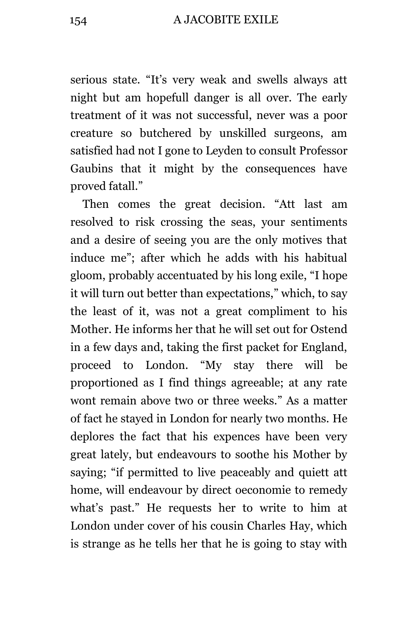154 A JACOBITE EXILE

serious state. "It's very weak and swells always att night but am hopefull danger is all over. The early treatment of it was not successful, never was a poor creature so butchered by unskilled surgeons, am satisfied had not I gone to Leyden to consult Professor Gaubins that it might by the consequences have proved fatall."

Then comes the great decision. "Att last am resolved to risk crossing the seas, your sentiments and a desire of seeing you are the only motives that induce me"; after which he adds with his habitual gloom, probably accentuated by his long exile, "I hope it will turn out better than expectations," which, to say the least of it, was not a great compliment to his Mother. He informs her that he will set out for Ostend in a few days and, taking the first packet for England, proceed to London. "My stay there will be proportioned as I find things agreeable; at any rate wont remain above two or three weeks." As a matter of fact he stayed in London for nearly two months. He deplores the fact that his expences have been very great lately, but endeavours to soothe his Mother by saying; "if permitted to live peaceably and quiett att home, will endeavour by direct oeconomie to remedy what's past." He requests her to write to him at London under cover of his cousin Charles Hay, which is strange as he tells her that he is going to stay with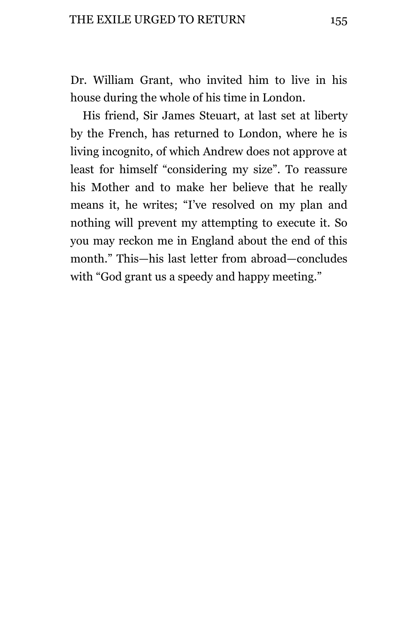Dr. William Grant, who invited him to live in his house during the whole of his time in London.

His friend, Sir James Steuart, at last set at liberty by the French, has returned to London, where he is living incognito, of which Andrew does not approve at least for himself "considering my size". To reassure his Mother and to make her believe that he really means it, he writes; "I've resolved on my plan and nothing will prevent my attempting to execute it. So you may reckon me in England about the end of this month." This—his last letter from abroad—concludes with "God grant us a speedy and happy meeting."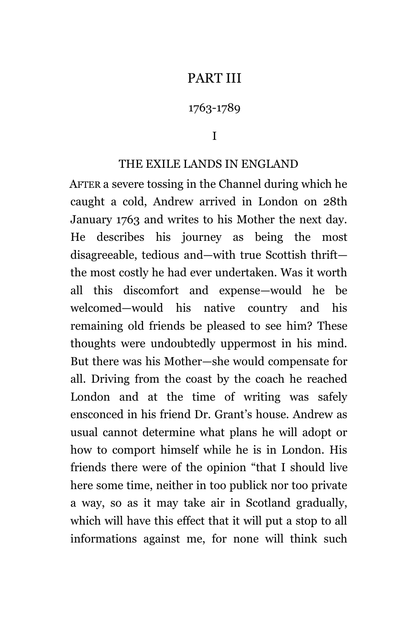## PART III

## 1763-1789

I

### THE EXILE LANDS IN ENGLAND

AFTER a severe tossing in the Channel during which he caught a cold, Andrew arrived in London on 28th January 1763 and writes to his Mother the next day. He describes his journey as being the most disagreeable, tedious and—with true Scottish thrift the most costly he had ever undertaken. Was it worth all this discomfort and expense—would he be welcomed—would his native country and his remaining old friends be pleased to see him? These thoughts were undoubtedly uppermost in his mind. But there was his Mother—she would compensate for all. Driving from the coast by the coach he reached London and at the time of writing was safely ensconced in his friend Dr. Grant's house. Andrew as usual cannot determine what plans he will adopt or how to comport himself while he is in London. His friends there were of the opinion "that I should live here some time, neither in too publick nor too private a way, so as it may take air in Scotland gradually, which will have this effect that it will put a stop to all informations against me, for none will think such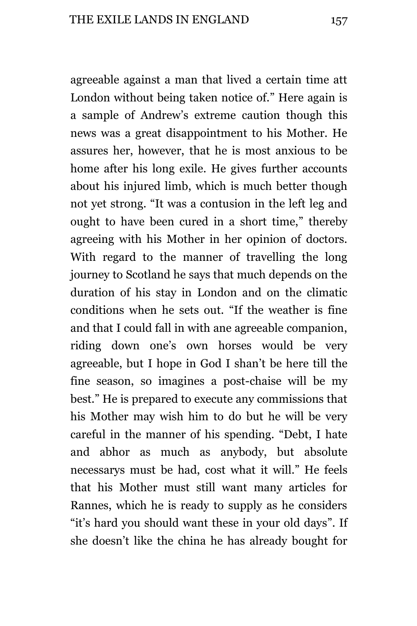agreeable against a man that lived a certain time att London without being taken notice of." Here again is a sample of Andrew's extreme caution though this news was a great disappointment to his Mother. He assures her, however, that he is most anxious to be home after his long exile. He gives further accounts about his injured limb, which is much better though not yet strong. "It was a contusion in the left leg and ought to have been cured in a short time," thereby agreeing with his Mother in her opinion of doctors. With regard to the manner of travelling the long journey to Scotland he says that much depends on the duration of his stay in London and on the climatic conditions when he sets out. "If the weather is fine and that I could fall in with ane agreeable companion, riding down one's own horses would be very agreeable, but I hope in God I shan't be here till the fine season, so imagines a post-chaise will be my best." He is prepared to execute any commissions that his Mother may wish him to do but he will be very careful in the manner of his spending. "Debt, I hate and abhor as much as anybody, but absolute necessarys must be had, cost what it will." He feels that his Mother must still want many articles for Rannes, which he is ready to supply as he considers "it's hard you should want these in your old days". If she doesn't like the china he has already bought for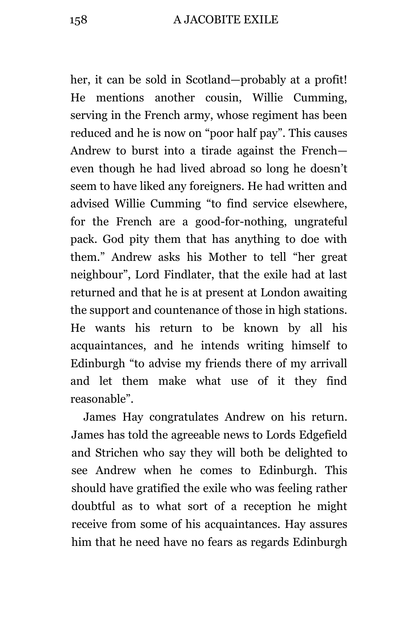her, it can be sold in Scotland—probably at a profit! He mentions another cousin, Willie Cumming, serving in the French army, whose regiment has been reduced and he is now on "poor half pay". This causes Andrew to burst into a tirade against the French even though he had lived abroad so long he doesn't seem to have liked any foreigners. He had written and advised Willie Cumming "to find service elsewhere, for the French are a good-for-nothing, ungrateful pack. God pity them that has anything to doe with them." Andrew asks his Mother to tell "her great neighbour", Lord Findlater, that the exile had at last returned and that he is at present at London awaiting the support and countenance of those in high stations. He wants his return to be known by all his acquaintances, and he intends writing himself to Edinburgh "to advise my friends there of my arrivall and let them make what use of it they find reasonable".

James Hay congratulates Andrew on his return. James has told the agreeable news to Lords Edgefield and Strichen who say they will both be delighted to see Andrew when he comes to Edinburgh. This should have gratified the exile who was feeling rather doubtful as to what sort of a reception he might receive from some of his acquaintances. Hay assures him that he need have no fears as regards Edinburgh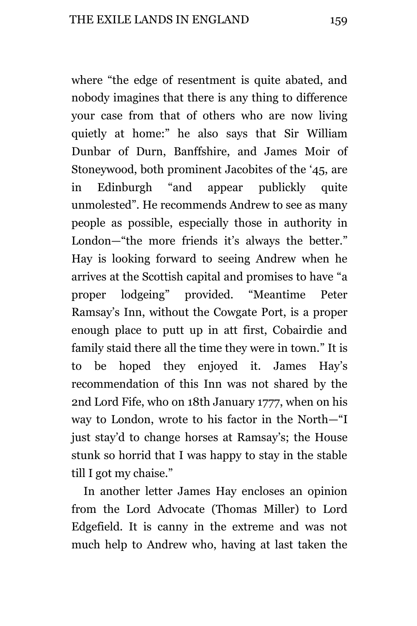where "the edge of resentment is quite abated, and nobody imagines that there is any thing to difference your case from that of others who are now living quietly at home:" he also says that Sir William Dunbar of Durn, Banffshire, and James Moir of Stoneywood, both prominent Jacobites of the '45, are in Edinburgh "and appear publickly quite unmolested". He recommends Andrew to see as many people as possible, especially those in authority in London—"the more friends it's always the better." Hay is looking forward to seeing Andrew when he arrives at the Scottish capital and promises to have "a proper lodgeing" provided. "Meantime Peter Ramsay's Inn, without the Cowgate Port, is a proper enough place to putt up in att first, Cobairdie and family staid there all the time they were in town." It is to be hoped they enjoyed it. James Hay's recommendation of this Inn was not shared by the 2nd Lord Fife, who on 18th January 1777, when on his way to London, wrote to his factor in the North—"I just stay'd to change horses at Ramsay's; the House stunk so horrid that I was happy to stay in the stable till I got my chaise."

In another letter James Hay encloses an opinion from the Lord Advocate (Thomas Miller) to Lord Edgefield. It is canny in the extreme and was not much help to Andrew who, having at last taken the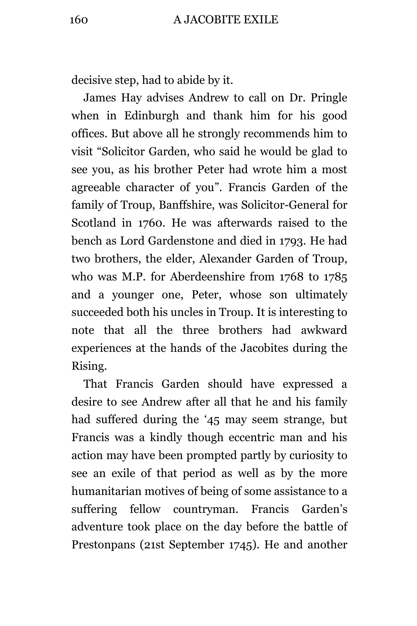decisive step, had to abide by it.

James Hay advises Andrew to call on Dr. Pringle when in Edinburgh and thank him for his good offices. But above all he strongly recommends him to visit "Solicitor Garden, who said he would be glad to see you, as his brother Peter had wrote him a most agreeable character of you". Francis Garden of the family of Troup, Banffshire, was Solicitor-General for Scotland in 1760. He was afterwards raised to the bench as Lord Gardenstone and died in 1793. He had two brothers, the elder, Alexander Garden of Troup, who was M.P. for Aberdeenshire from 1768 to 1785 and a younger one, Peter, whose son ultimately succeeded both his uncles in Troup. It is interesting to note that all the three brothers had awkward experiences at the hands of the Jacobites during the Rising.

That Francis Garden should have expressed a desire to see Andrew after all that he and his family had suffered during the '45 may seem strange, but Francis was a kindly though eccentric man and his action may have been prompted partly by curiosity to see an exile of that period as well as by the more humanitarian motives of being of some assistance to a suffering fellow countryman. Francis Garden's adventure took place on the day before the battle of Prestonpans (21st September 1745). He and another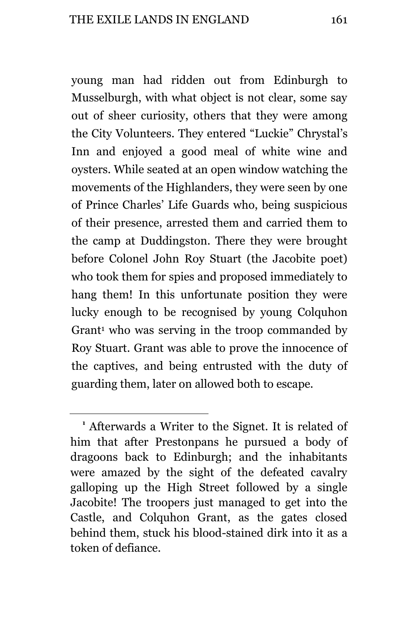young man had ridden out from Edinburgh to Musselburgh, with what object is not clear, some say out of sheer curiosity, others that they were among the City Volunteers. They entered "Luckie" Chrystal's Inn and enjoyed a good meal of white wine and oysters. While seated at an open window watching the movements of the Highlanders, they were seen by one of Prince Charles' Life Guards who, being suspicious of their presence, arrested them and carried them to the camp at Duddingston. There they were brought before Colonel John Roy Stuart (the Jacobite poet) who took them for spies and proposed immediately to hang them! In this unfortunate position they were lucky enough to be recognised by young Colquhon Grant<sup>1</sup> who was serving in the troop commanded by Roy Stuart. Grant was able to prove the innocence of the captives, and being entrusted with the duty of guarding them, later on allowed both to escape.

L,

**<sup>1</sup>** Afterwards a Writer to the Signet. It is related of him that after Prestonpans he pursued a body of dragoons back to Edinburgh; and the inhabitants were amazed by the sight of the defeated cavalry galloping up the High Street followed by a single Jacobite! The troopers just managed to get into the Castle, and Colquhon Grant, as the gates closed behind them, stuck his blood-stained dirk into it as a token of defiance.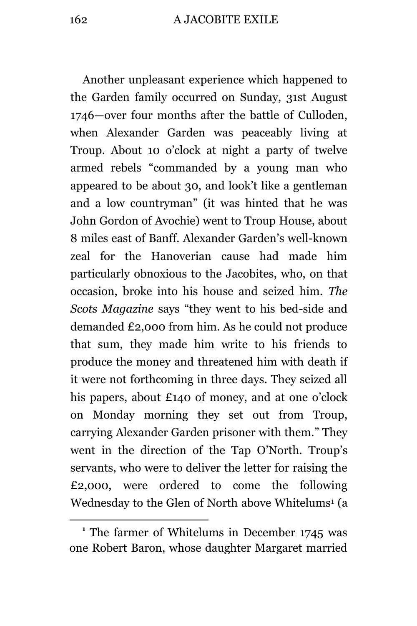Another unpleasant experience which happened to the Garden family occurred on Sunday, 31st August 1746—over four months after the battle of Culloden, when Alexander Garden was peaceably living at Troup. About 10 o'clock at night a party of twelve armed rebels "commanded by a young man who appeared to be about 30, and look't like a gentleman and a low countryman" (it was hinted that he was John Gordon of Avochie) went to Troup House, about 8 miles east of Banff. Alexander Garden's well-known zeal for the Hanoverian cause had made him particularly obnoxious to the Jacobites, who, on that occasion, broke into his house and seized him. *The Scots Magazine* says "they went to his bed-side and demanded £2,000 from him. As he could not produce that sum, they made him write to his friends to produce the money and threatened him with death if it were not forthcoming in three days. They seized all his papers, about £140 of money, and at one o'clock on Monday morning they set out from Troup, carrying Alexander Garden prisoner with them." They went in the direction of the Tap O'North. Troup's servants, who were to deliver the letter for raising the £2,000, were ordered to come the following Wednesday to the Glen of North above Whitelums<sup>1</sup> (a

**<sup>1</sup>** The farmer of Whitelums in December 1745 was one Robert Baron, whose daughter Margaret married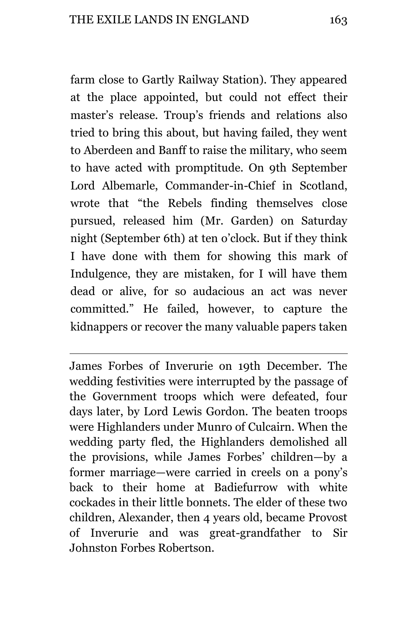a<br>B

farm close to Gartly Railway Station). They appeared at the place appointed, but could not effect their master's release. Troup's friends and relations also tried to bring this about, but having failed, they went to Aberdeen and Banff to raise the military, who seem to have acted with promptitude. On 9th September Lord Albemarle, Commander-in-Chief in Scotland, wrote that "the Rebels finding themselves close pursued, released him (Mr. Garden) on Saturday night (September 6th) at ten o'clock. But if they think I have done with them for showing this mark of Indulgence, they are mistaken, for I will have them dead or alive, for so audacious an act was never committed." He failed, however, to capture the kidnappers or recover the many valuable papers taken

James Forbes of Inverurie on 19th December. The wedding festivities were interrupted by the passage of the Government troops which were defeated, four days later, by Lord Lewis Gordon. The beaten troops were Highlanders under Munro of Culcairn. When the wedding party fled, the Highlanders demolished all the provisions, while James Forbes' children—by a former marriage—were carried in creels on a pony's back to their home at Badiefurrow with white cockades in their little bonnets. The elder of these two children, Alexander, then 4 years old, became Provost of Inverurie and was great-grandfather to Sir Johnston Forbes Robertson.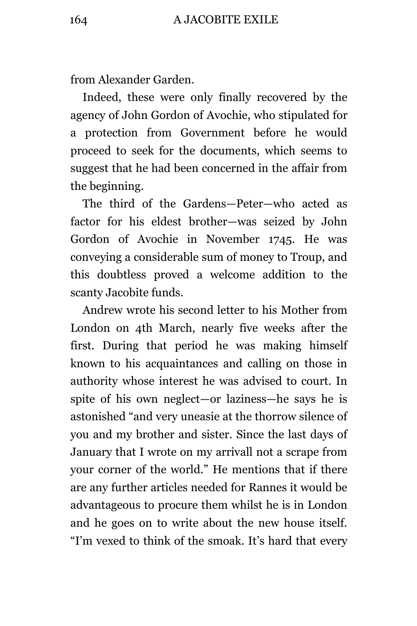from Alexander Garden.

Indeed, these were only finally recovered by the agency of John Gordon of Avochie, who stipulated for a protection from Government before he would proceed to seek for the documents, which seems to suggest that he had been concerned in the affair from the beginning.

The third of the Gardens—Peter—who acted as factor for his eldest brother—was seized by John Gordon of Avochie in November 1745. He was conveying a considerable sum of money to Troup, and this doubtless proved a welcome addition to the scanty Jacobite funds.

Andrew wrote his second letter to his Mother from London on 4th March, nearly five weeks after the first. During that period he was making himself known to his acquaintances and calling on those in authority whose interest he was advised to court. In spite of his own neglect—or laziness—he says he is astonished "and very uneasie at the thorrow silence of you and my brother and sister. Since the last days of January that I wrote on my arrivall not a scrape from your corner of the world." He mentions that if there are any further articles needed for Rannes it would be advantageous to procure them whilst he is in London and he goes on to write about the new house itself. "I'm vexed to think of the smoak. It's hard that every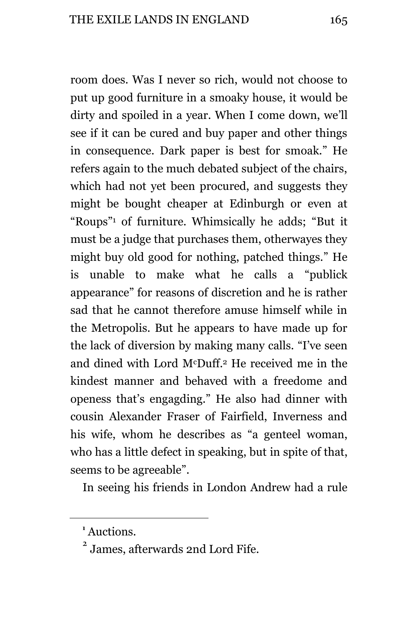room does. Was I never so rich, would not choose to put up good furniture in a smoaky house, it would be dirty and spoiled in a year. When I come down, we'll see if it can be cured and buy paper and other things in consequence. Dark paper is best for smoak." He refers again to the much debated subject of the chairs, which had not yet been procured, and suggests they might be bought cheaper at Edinburgh or even at "Roups" <sup>1</sup> of furniture. Whimsically he adds; "But it must be a judge that purchases them, otherwayes they might buy old good for nothing, patched things." He is unable to make what he calls a "publick appearance" for reasons of discretion and he is rather sad that he cannot therefore amuse himself while in the Metropolis. But he appears to have made up for the lack of diversion by making many calls. "I've seen and dined with Lord McDuff.<sup>2</sup> He received me in the kindest manner and behaved with a freedome and openess that's engagding." He also had dinner with cousin Alexander Fraser of Fairfield, Inverness and his wife, whom he describes as "a genteel woman, who has a little defect in speaking, but in spite of that, seems to be agreeable".

In seeing his friends in London Andrew had a rule

**<sup>1</sup>** Auctions.

<sup>2</sup> James, afterwards 2nd Lord Fife.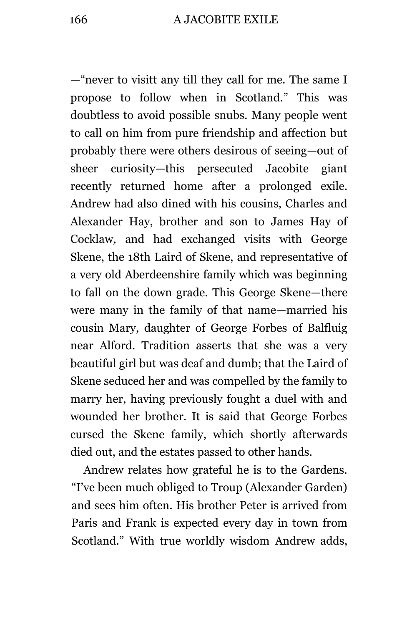—"never to visitt any till they call for me. The same I propose to follow when in Scotland." This was doubtless to avoid possible snubs. Many people went to call on him from pure friendship and affection but probably there were others desirous of seeing—out of sheer curiosity—this persecuted Jacobite giant recently returned home after a prolonged exile. Andrew had also dined with his cousins, Charles and Alexander Hay, brother and son to James Hay of Cocklaw*,* and had exchanged visits with George Skene, the 18th Laird of Skene, and representative of a very old Aberdeenshire family which was beginning to fall on the down grade. This George Skene—there were many in the family of that name—married his cousin Mary, daughter of George Forbes of Balfluig near Alford. Tradition asserts that she was a very beautiful girl but was deaf and dumb; that the Laird of Skene seduced her and was compelled by the family to marry her, having previously fought a duel with and wounded her brother. It is said that George Forbes cursed the Skene family, which shortly afterwards died out, and the estates passed to other hands.

Andrew relates how grateful he is to the Gardens. "I've been much obliged to Troup (Alexander Garden) and sees him often. His brother Peter is arrived from Paris and Frank is expected every day in town from Scotland." With true worldly wisdom Andrew adds,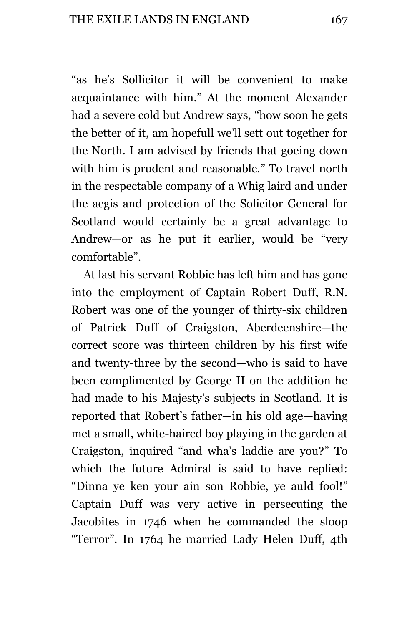"as he's Sollicitor it will be convenient to make acquaintance with him." At the moment Alexander had a severe cold but Andrew says, "how soon he gets the better of it, am hopefull we'll sett out together for the North. I am advised by friends that goeing down with him is prudent and reasonable." To travel north in the respectable company of a Whig laird and under the aegis and protection of the Solicitor General for Scotland would certainly be a great advantage to Andrew—or as he put it earlier, would be "very comfortable".

At last his servant Robbie has left him and has gone into the employment of Captain Robert Duff, R.N. Robert was one of the younger of thirty-six children of Patrick Duff of Craigston, Aberdeenshire—the correct score was thirteen children by his first wife and twenty-three by the second—who is said to have been complimented by George II on the addition he had made to his Majesty's subjects in Scotland. It is reported that Robert's father—in his old age—having met a small, white-haired boy playing in the garden at Craigston, inquired "and wha's laddie are you?" To which the future Admiral is said to have replied: "Dinna ye ken your ain son Robbie, ye auld fool!" Captain Duff was very active in persecuting the Jacobites in 1746 when he commanded the sloop "Terror". In 1764 he married Lady Helen Duff, 4th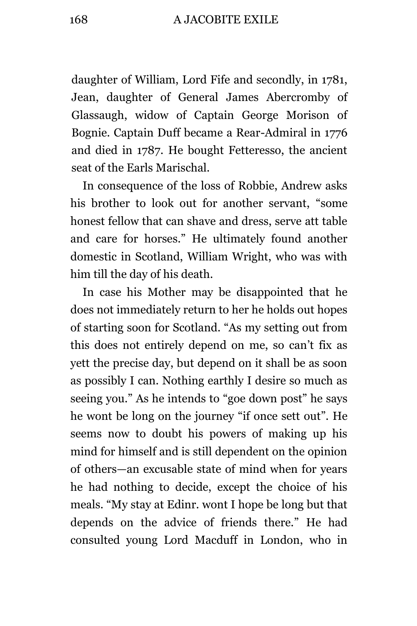#### 168 A JACOBITE EXILE

daughter of William, Lord Fife and secondly, in 1781, Jean, daughter of General James Abercromby of Glassaugh, widow of Captain George Morison of Bognie. Captain Duff became a Rear-Admiral in 1776 and died in 1787. He bought Fetteresso, the ancient seat of the Earls Marischal.

In consequence of the loss of Robbie, Andrew asks his brother to look out for another servant, "some honest fellow that can shave and dress, serve att table and care for horses." He ultimately found another domestic in Scotland, William Wright, who was with him till the day of his death.

In case his Mother may be disappointed that he does not immediately return to her he holds out hopes of starting soon for Scotland. "As my setting out from this does not entirely depend on me, so can't fix as yett the precise day, but depend on it shall be as soon as possibly I can. Nothing earthly I desire so much as seeing you." As he intends to "goe down post" he says he wont be long on the journey "if once sett out". He seems now to doubt his powers of making up his mind for himself and is still dependent on the opinion of others—an excusable state of mind when for years he had nothing to decide, except the choice of his meals. "My stay at Edinr. wont I hope be long but that depends on the advice of friends there." He had consulted young Lord Macduff in London, who in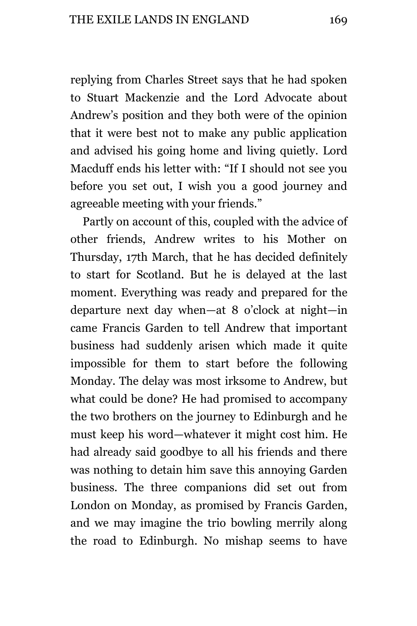replying from Charles Street says that he had spoken to Stuart Mackenzie and the Lord Advocate about Andrew's position and they both were of the opinion that it were best not to make any public application and advised his going home and living quietly. Lord Macduff ends his letter with: "If I should not see you before you set out, I wish you a good journey and agreeable meeting with your friends."

Partly on account of this, coupled with the advice of other friends, Andrew writes to his Mother on Thursday, 17th March, that he has decided definitely to start for Scotland. But he is delayed at the last moment. Everything was ready and prepared for the departure next day when—at 8 o'clock at night—in came Francis Garden to tell Andrew that important business had suddenly arisen which made it quite impossible for them to start before the following Monday. The delay was most irksome to Andrew, but what could be done? He had promised to accompany the two brothers on the journey to Edinburgh and he must keep his word—whatever it might cost him. He had already said goodbye to all his friends and there was nothing to detain him save this annoying Garden business. The three companions did set out from London on Monday, as promised by Francis Garden, and we may imagine the trio bowling merrily along the road to Edinburgh. No mishap seems to have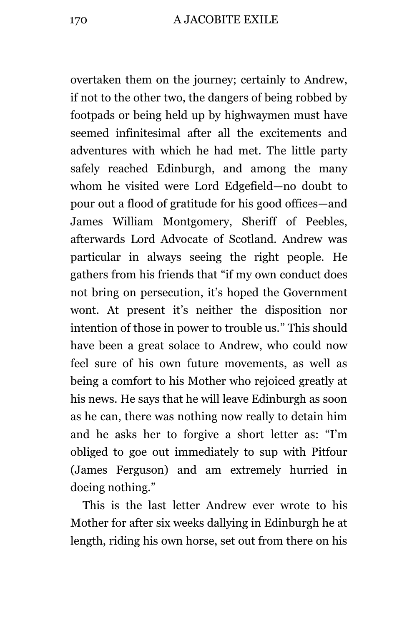overtaken them on the journey; certainly to Andrew, if not to the other two, the dangers of being robbed by footpads or being held up by highwaymen must have seemed infinitesimal after all the excitements and adventures with which he had met. The little party safely reached Edinburgh, and among the many whom he visited were Lord Edgefield—no doubt to pour out a flood of gratitude for his good offices—and James William Montgomery, Sheriff of Peebles, afterwards Lord Advocate of Scotland. Andrew was particular in always seeing the right people. He gathers from his friends that "if my own conduct does not bring on persecution, it's hoped the Government wont. At present it's neither the disposition nor intention of those in power to trouble us." This should have been a great solace to Andrew, who could now feel sure of his own future movements, as well as being a comfort to his Mother who rejoiced greatly at his news. He says that he will leave Edinburgh as soon as he can, there was nothing now really to detain him and he asks her to forgive a short letter as: "I'm obliged to goe out immediately to sup with Pitfour (James Ferguson) and am extremely hurried in doeing nothing."

This is the last letter Andrew ever wrote to his Mother for after six weeks dallying in Edinburgh he at length, riding his own horse, set out from there on his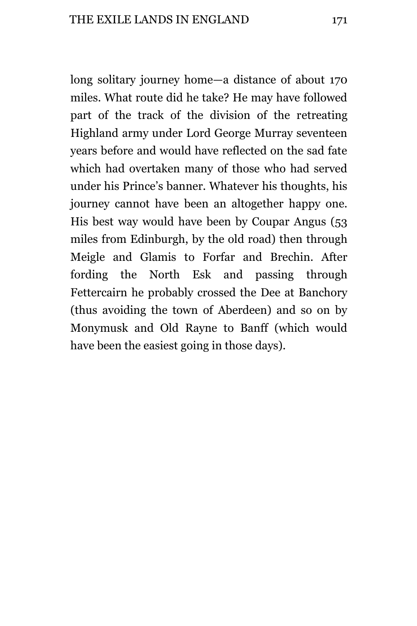long solitary journey home—a distance of about 170 miles. What route did he take? He may have followed part of the track of the division of the retreating Highland army under Lord George Murray seventeen years before and would have reflected on the sad fate which had overtaken many of those who had served under his Prince's banner. Whatever his thoughts, his journey cannot have been an altogether happy one. His best way would have been by Coupar Angus (53 miles from Edinburgh, by the old road) then through Meigle and Glamis to Forfar and Brechin. After fording the North Esk and passing through Fettercairn he probably crossed the Dee at Banchory (thus avoiding the town of Aberdeen) and so on by Monymusk and Old Rayne to Banff (which would have been the easiest going in those days).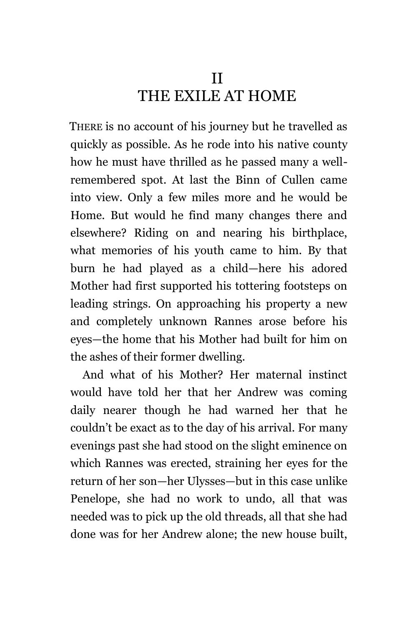# II THE EXILE AT HOME

THERE is no account of his journey but he travelled as quickly as possible. As he rode into his native county how he must have thrilled as he passed many a wellremembered spot. At last the Binn of Cullen came into view. Only a few miles more and he would be Home. But would he find many changes there and elsewhere? Riding on and nearing his birthplace, what memories of his youth came to him. By that burn he had played as a child—here his adored Mother had first supported his tottering footsteps on leading strings. On approaching his property a new and completely unknown Rannes arose before his eyes—the home that his Mother had built for him on the ashes of their former dwelling.

And what of his Mother? Her maternal instinct would have told her that her Andrew was coming daily nearer though he had warned her that he couldn't be exact as to the day of his arrival. For many evenings past she had stood on the slight eminence on which Rannes was erected, straining her eyes for the return of her son—her Ulysses—but in this case unlike Penelope, she had no work to undo, all that was needed was to pick up the old threads, all that she had done was for her Andrew alone; the new house built,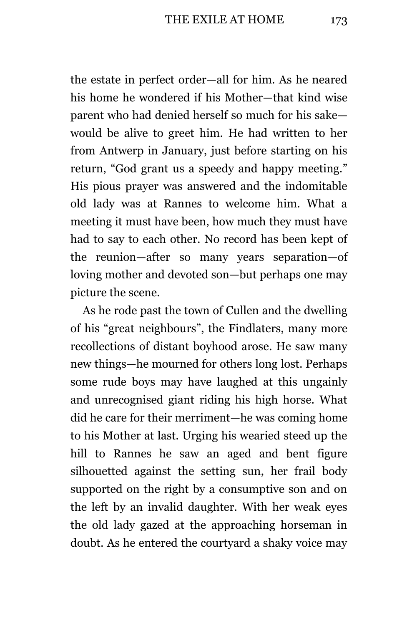the estate in perfect order—all for him. As he neared his home he wondered if his Mother—that kind wise parent who had denied herself so much for his sake would be alive to greet him. He had written to her from Antwerp in January, just before starting on his return, "God grant us a speedy and happy meeting." His pious prayer was answered and the indomitable old lady was at Rannes to welcome him. What a meeting it must have been, how much they must have had to say to each other. No record has been kept of the reunion—after so many years separation—of loving mother and devoted son—but perhaps one may picture the scene.

As he rode past the town of Cullen and the dwelling of his "great neighbours", the Findlaters, many more recollections of distant boyhood arose. He saw many new things—he mourned for others long lost. Perhaps some rude boys may have laughed at this ungainly and unrecognised giant riding his high horse. What did he care for their merriment—he was coming home to his Mother at last. Urging his wearied steed up the hill to Rannes he saw an aged and bent figure silhouetted against the setting sun, her frail body supported on the right by a consumptive son and on the left by an invalid daughter. With her weak eyes the old lady gazed at the approaching horseman in doubt. As he entered the courtyard a shaky voice may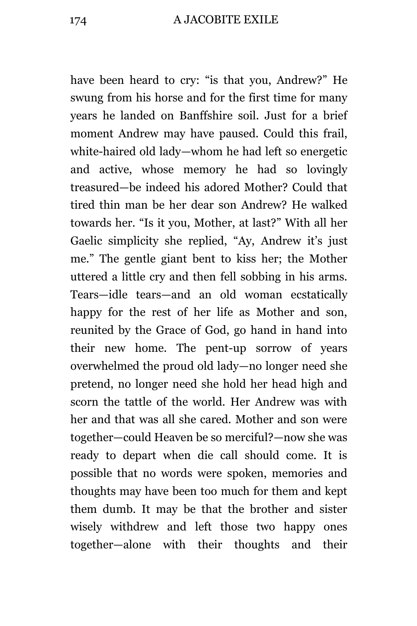have been heard to cry: "is that you, Andrew?" He swung from his horse and for the first time for many years he landed on Banffshire soil. Just for a brief moment Andrew may have paused. Could this frail, white-haired old lady—whom he had left so energetic and active, whose memory he had so lovingly treasured—be indeed his adored Mother? Could that tired thin man be her dear son Andrew? He walked towards her. "Is it you, Mother, at last?" With all her Gaelic simplicity she replied, "Ay, Andrew it's just me." The gentle giant bent to kiss her; the Mother uttered a little cry and then fell sobbing in his arms. Tears—idle tears—and an old woman ecstatically happy for the rest of her life as Mother and son, reunited by the Grace of God, go hand in hand into their new home. The pent-up sorrow of years overwhelmed the proud old lady—no longer need she pretend, no longer need she hold her head high and scorn the tattle of the world. Her Andrew was with her and that was all she cared. Mother and son were together—could Heaven be so merciful?—now she was ready to depart when die call should come. It is possible that no words were spoken, memories and thoughts may have been too much for them and kept them dumb. It may be that the brother and sister wisely withdrew and left those two happy ones together—alone with their thoughts and their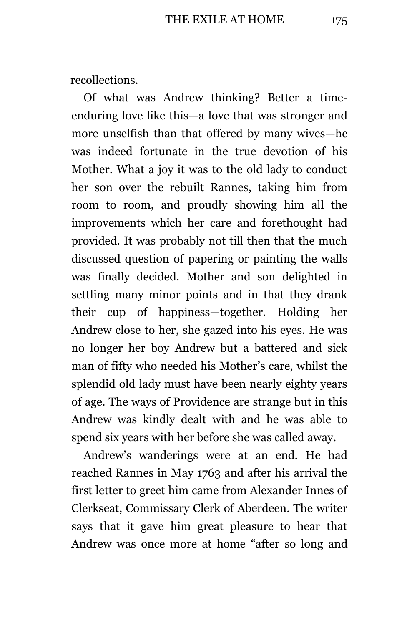recollections.

Of what was Andrew thinking? Better a timeenduring love like this—a love that was stronger and more unselfish than that offered by many wives—he was indeed fortunate in the true devotion of his Mother. What a joy it was to the old lady to conduct her son over the rebuilt Rannes, taking him from room to room, and proudly showing him all the improvements which her care and forethought had provided. It was probably not till then that the much discussed question of papering or painting the walls was finally decided. Mother and son delighted in settling many minor points and in that they drank their cup of happiness—together. Holding her Andrew close to her, she gazed into his eyes. He was no longer her boy Andrew but a battered and sick man of fifty who needed his Mother's care, whilst the splendid old lady must have been nearly eighty years of age. The ways of Providence are strange but in this Andrew was kindly dealt with and he was able to spend six years with her before she was called away.

Andrew's wanderings were at an end. He had reached Rannes in May 1763 and after his arrival the first letter to greet him came from Alexander Innes of Clerkseat, Commissary Clerk of Aberdeen. The writer says that it gave him great pleasure to hear that Andrew was once more at home "after so long and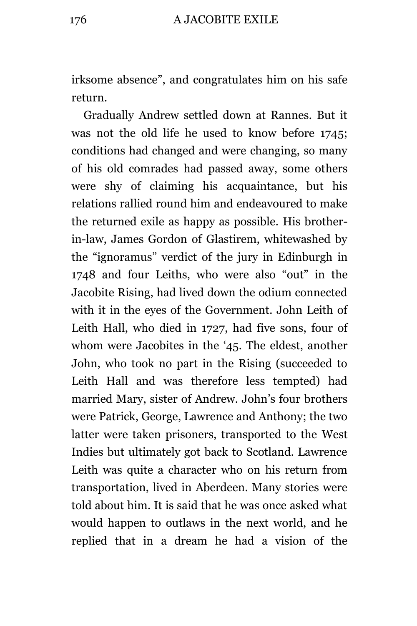irksome absence", and congratulates him on his safe return.

Gradually Andrew settled down at Rannes. But it was not the old life he used to know before 1745; conditions had changed and were changing, so many of his old comrades had passed away, some others were shy of claiming his acquaintance, but his relations rallied round him and endeavoured to make the returned exile as happy as possible. His brotherin-law, James Gordon of Glastirem, whitewashed by the "ignoramus" verdict of the jury in Edinburgh in 1748 and four Leiths, who were also "out" in the Jacobite Rising, had lived down the odium connected with it in the eyes of the Government. John Leith of Leith Hall, who died in 1727, had five sons, four of whom were Jacobites in the '45. The eldest, another John, who took no part in the Rising (succeeded to Leith Hall and was therefore less tempted) had married Mary, sister of Andrew. John's four brothers were Patrick, George, Lawrence and Anthony; the two latter were taken prisoners, transported to the West Indies but ultimately got back to Scotland. Lawrence Leith was quite a character who on his return from transportation, lived in Aberdeen. Many stories were told about him. It is said that he was once asked what would happen to outlaws in the next world, and he replied that in a dream he had a vision of the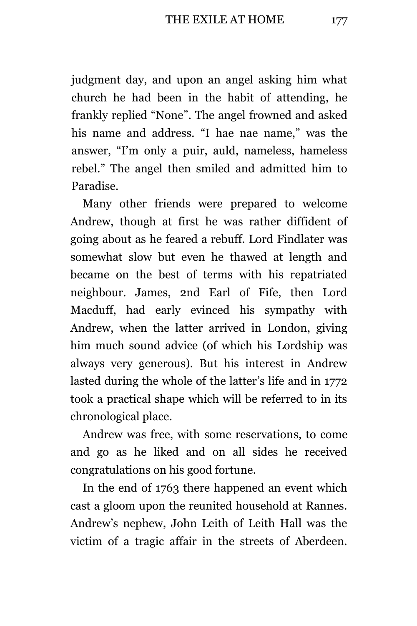judgment day, and upon an angel asking him what church he had been in the habit of attending, he frankly replied "None". The angel frowned and asked his name and address. "I hae nae name," was the answer, "I'm only a puir, auld, nameless, hameless rebel." The angel then smiled and admitted him to Paradise.

Many other friends were prepared to welcome Andrew, though at first he was rather diffident of going about as he feared a rebuff. Lord Findlater was somewhat slow but even he thawed at length and became on the best of terms with his repatriated neighbour. James, 2nd Earl of Fife, then Lord Macduff, had early evinced his sympathy with Andrew, when the latter arrived in London, giving him much sound advice (of which his Lordship was always very generous). But his interest in Andrew lasted during the whole of the latter's life and in 1772 took a practical shape which will be referred to in its chronological place.

Andrew was free, with some reservations, to come and go as he liked and on all sides he received congratulations on his good fortune.

In the end of 1763 there happened an event which cast a gloom upon the reunited household at Rannes. Andrew's nephew, John Leith of Leith Hall was the victim of a tragic affair in the streets of Aberdeen.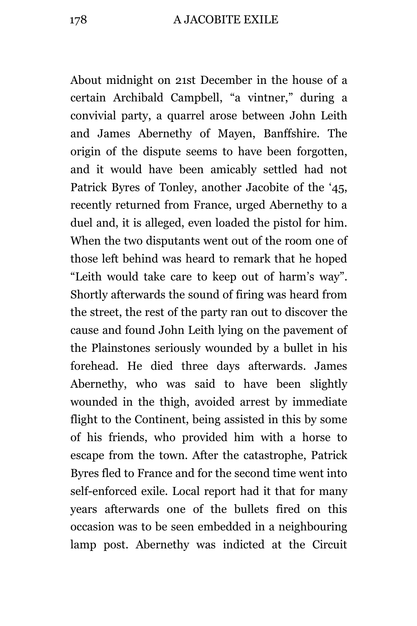About midnight on 21st December in the house of a certain Archibald Campbell, "a vintner," during a convivial party, a quarrel arose between John Leith and James Abernethy of Mayen, Banffshire. The origin of the dispute seems to have been forgotten, and it would have been amicably settled had not Patrick Byres of Tonley, another Jacobite of the '45, recently returned from France, urged Abernethy to a duel and, it is alleged, even loaded the pistol for him. When the two disputants went out of the room one of those left behind was heard to remark that he hoped "Leith would take care to keep out of harm's way". Shortly afterwards the sound of firing was heard from the street, the rest of the party ran out to discover the cause and found John Leith lying on the pavement of the Plainstones seriously wounded by a bullet in his forehead. He died three days afterwards. James Abernethy, who was said to have been slightly wounded in the thigh, avoided arrest by immediate flight to the Continent, being assisted in this by some of his friends, who provided him with a horse to escape from the town. After the catastrophe, Patrick Byres fled to France and for the second time went into self-enforced exile. Local report had it that for many years afterwards one of the bullets fired on this occasion was to be seen embedded in a neighbouring lamp post. Abernethy was indicted at the Circuit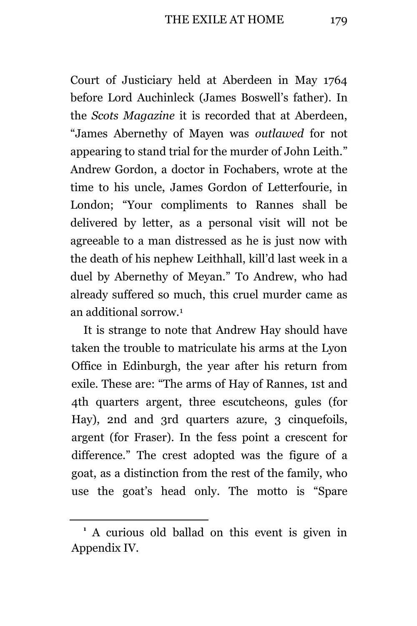Court of Justiciary held at Aberdeen in May 1764 before Lord Auchinleck (James Boswell's father). In the *Scots Magazine* it is recorded that at Aberdeen, "James Abernethy of Mayen was *outlawed* for not appearing to stand trial for the murder of John Leith." Andrew Gordon, a doctor in Fochabers, wrote at the time to his uncle, James Gordon of Letterfourie, in London; "Your compliments to Rannes shall be delivered by letter, as a personal visit will not be agreeable to a man distressed as he is just now with the death of his nephew Leithhall, kill'd last week in a duel by Abernethy of Meyan." To Andrew, who had already suffered so much, this cruel murder came as an additional sorrow.<sup>1</sup>

It is strange to note that Andrew Hay should have taken the trouble to matriculate his arms at the Lyon Office in Edinburgh, the year after his return from exile. These are: "The arms of Hay of Rannes, 1st and 4th quarters argent, three escutcheons, gules (for Hay), 2nd and 3rd quarters azure, 3 cinquefoils, argent (for Fraser). In the fess point a crescent for difference." The crest adopted was the figure of a goat, as a distinction from the rest of the family, who use the goat's head only. The motto is "Spare

**<sup>1</sup>** A curious old ballad on this event is given in Appendix IV.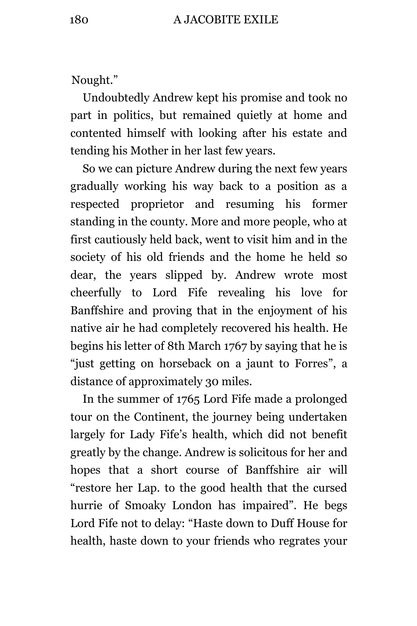Nought."

Undoubtedly Andrew kept his promise and took no part in politics, but remained quietly at home and contented himself with looking after his estate and tending his Mother in her last few years.

So we can picture Andrew during the next few years gradually working his way back to a position as a respected proprietor and resuming his former standing in the county. More and more people, who at first cautiously held back, went to visit him and in the society of his old friends and the home he held so dear, the years slipped by. Andrew wrote most cheerfully to Lord Fife revealing his love for Banffshire and proving that in the enjoyment of his native air he had completely recovered his health. He begins his letter of 8th March 1767 by saying that he is "just getting on horseback on a jaunt to Forres", a distance of approximately 30 miles.

In the summer of 1765 Lord Fife made a prolonged tour on the Continent, the journey being undertaken largely for Lady Fife's health, which did not benefit greatly by the change. Andrew is solicitous for her and hopes that a short course of Banffshire air will "restore her Lap. to the good health that the cursed hurrie of Smoaky London has impaired". He begs Lord Fife not to delay: "Haste down to Duff House for health, haste down to your friends who regrates your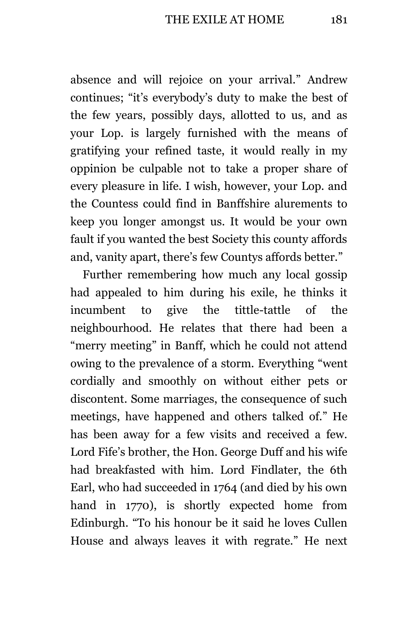absence and will rejoice on your arrival." Andrew continues; "it's everybody's duty to make the best of the few years, possibly days, allotted to us, and as your Lop. is largely furnished with the means of gratifying your refined taste, it would really in my oppinion be culpable not to take a proper share of every pleasure in life. I wish, however, your Lop. and the Countess could find in Banffshire alurements to keep you longer amongst us. It would be your own fault if you wanted the best Society this county affords and, vanity apart, there's few Countys affords better."

Further remembering how much any local gossip had appealed to him during his exile, he thinks it incumbent to give the tittle-tattle of the neighbourhood. He relates that there had been a "merry meeting" in Banff, which he could not attend owing to the prevalence of a storm. Everything "went cordially and smoothly on without either pets or discontent. Some marriages, the consequence of such meetings, have happened and others talked of." He has been away for a few visits and received a few. Lord Fife's brother, the Hon. George Duff and his wife had breakfasted with him. Lord Findlater, the 6th Earl, who had succeeded in 1764 (and died by his own hand in 1770), is shortly expected home from Edinburgh. "To his honour be it said he loves Cullen House and always leaves it with regrate." He next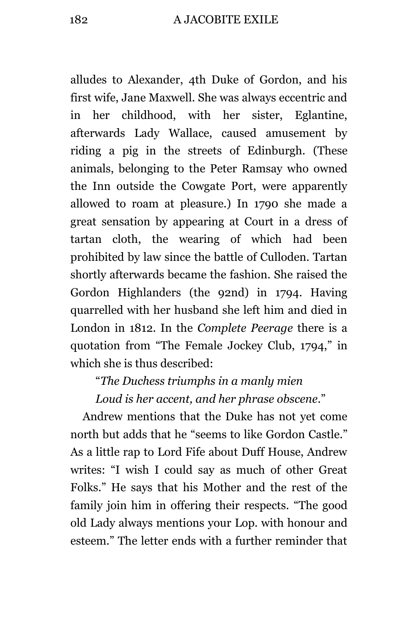alludes to Alexander, 4th Duke of Gordon, and his first wife, Jane Maxwell. She was always eccentric and in her childhood, with her sister, Eglantine, afterwards Lady Wallace, caused amusement by riding a pig in the streets of Edinburgh. (These animals, belonging to the Peter Ramsay who owned the Inn outside the Cowgate Port, were apparently allowed to roam at pleasure.) In 1790 she made a great sensation by appearing at Court in a dress of tartan cloth, the wearing of which had been prohibited by law since the battle of Culloden. Tartan shortly afterwards became the fashion. She raised the Gordon Highlanders (the 92nd) in 1794. Having quarrelled with her husband she left him and died in London in 1812. In the *Complete Peerage* there is a quotation from "The Female Jockey Club, 1794," in which she is thus described:

"*The Duchess triumphs in a manly mien Loud is her accent, and her phrase obscene*."

Andrew mentions that the Duke has not yet come north but adds that he "seems to like Gordon Castle." As a little rap to Lord Fife about Duff House, Andrew writes: "I wish I could say as much of other Great Folks." He says that his Mother and the rest of the family join him in offering their respects. "The good old Lady always mentions your Lop. with honour and esteem." The letter ends with a further reminder that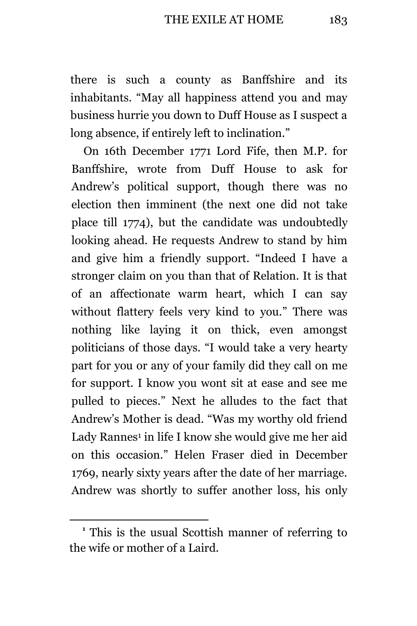there is such a county as Banffshire and its inhabitants. "May all happiness attend you and may business hurrie you down to Duff House as I suspect a long absence, if entirely left to inclination."

On 16th December 1771 Lord Fife, then M.P. for Banffshire, wrote from Duff House to ask for Andrew's political support, though there was no election then imminent (the next one did not take place till 1774), but the candidate was undoubtedly looking ahead. He requests Andrew to stand by him and give him a friendly support. "Indeed I have a stronger claim on you than that of Relation. It is that of an affectionate warm heart, which I can say without flattery feels very kind to you." There was nothing like laying it on thick, even amongst politicians of those days. "I would take a very hearty part for you or any of your family did they call on me for support. I know you wont sit at ease and see me pulled to pieces." Next he alludes to the fact that Andrew's Mother is dead. "Was my worthy old friend Lady Rannes<sup>1</sup> in life I know she would give me her aid on this occasion." Helen Fraser died in December 1769, nearly sixty years after the date of her marriage. Andrew was shortly to suffer another loss, his only

**<sup>1</sup>** This is the usual Scottish manner of referring to the wife or mother of a Laird.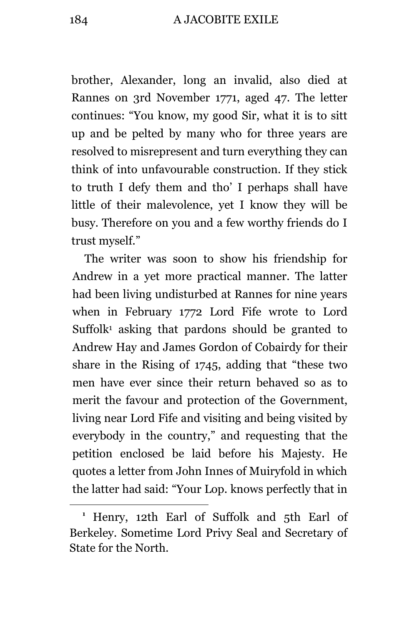brother, Alexander, long an invalid, also died at Rannes on 3rd November 1771, aged 47. The letter continues: "You know, my good Sir, what it is to sitt up and be pelted by many who for three years are resolved to misrepresent and turn everything they can think of into unfavourable construction. If they stick to truth I defy them and tho' I perhaps shall have little of their malevolence, yet I know they will be busy. Therefore on you and a few worthy friends do I trust myself."

The writer was soon to show his friendship for Andrew in a yet more practical manner. The latter had been living undisturbed at Rannes for nine years when in February 1772 Lord Fife wrote to Lord Suffolk<sup>1</sup> asking that pardons should be granted to Andrew Hay and James Gordon of Cobairdy for their share in the Rising of 1745, adding that "these two men have ever since their return behaved so as to merit the favour and protection of the Government, living near Lord Fife and visiting and being visited by everybody in the country," and requesting that the petition enclosed be laid before his Majesty. He quotes a letter from John Innes of Muiryfold in which the latter had said: "Your Lop. knows perfectly that in

**<sup>1</sup>** Henry, 12th Earl of Suffolk and 5th Earl of Berkeley. Sometime Lord Privy Seal and Secretary of State for the North.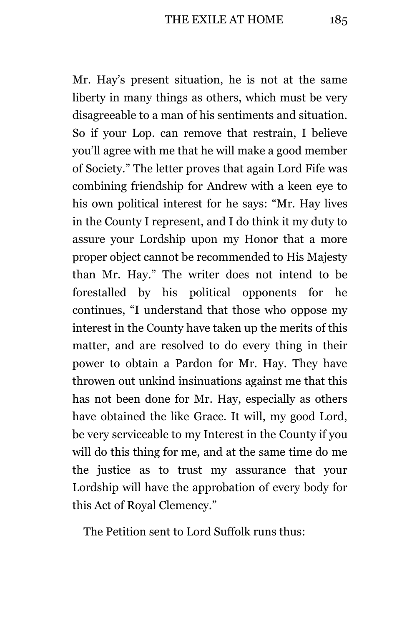Mr. Hay's present situation, he is not at the same liberty in many things as others, which must be very disagreeable to a man of his sentiments and situation. So if your Lop. can remove that restrain, I believe you'll agree with me that he will make a good member of Society." The letter proves that again Lord Fife was combining friendship for Andrew with a keen eye to his own political interest for he says: "Mr. Hay lives in the County I represent, and I do think it my duty to assure your Lordship upon my Honor that a more proper object cannot be recommended to His Majesty than Mr. Hay." The writer does not intend to be forestalled by his political opponents for he continues, "I understand that those who oppose my interest in the County have taken up the merits of this matter, and are resolved to do every thing in their power to obtain a Pardon for Mr. Hay. They have throwen out unkind insinuations against me that this has not been done for Mr. Hay, especially as others have obtained the like Grace. It will, my good Lord, be very serviceable to my Interest in the County if you will do this thing for me, and at the same time do me the justice as to trust my assurance that your Lordship will have the approbation of every body for this Act of Royal Clemency."

The Petition sent to Lord Suffolk runs thus: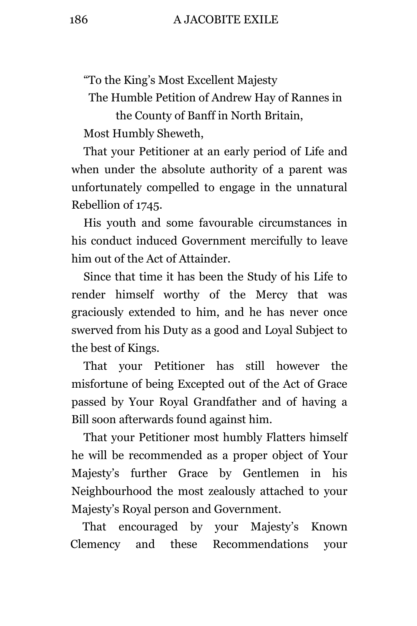"To the King's Most Excellent Majesty

The Humble Petition of Andrew Hay of Rannes in

the County of Banff in North Britain, Most Humbly Sheweth,

That your Petitioner at an early period of Life and when under the absolute authority of a parent was unfortunately compelled to engage in the unnatural Rebellion of 1745.

His youth and some favourable circumstances in his conduct induced Government mercifully to leave him out of the Act of Attainder.

Since that time it has been the Study of his Life to render himself worthy of the Mercy that was graciously extended to him, and he has never once swerved from his Duty as a good and Loyal Subject to the best of Kings.

That your Petitioner has still however the misfortune of being Excepted out of the Act of Grace passed by Your Royal Grandfather and of having a Bill soon afterwards found against him.

That your Petitioner most humbly Flatters himself he will be recommended as a proper object of Your Majesty's further Grace by Gentlemen in his Neighbourhood the most zealously attached to your Majesty's Royal person and Government.

That encouraged by your Majesty's Known Clemency and these Recommendations your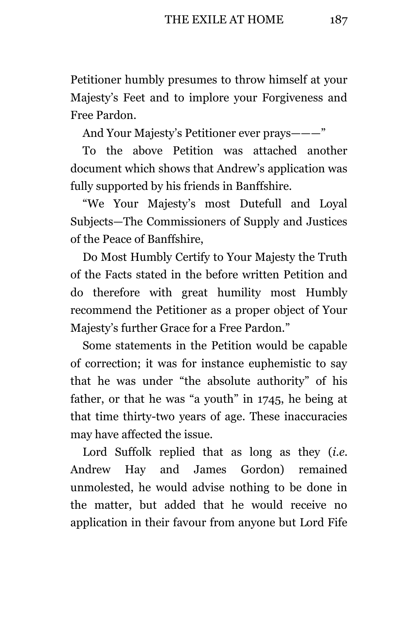Petitioner humbly presumes to throw himself at your Majesty's Feet and to implore your Forgiveness and Free Pardon.

And Your Majesty's Petitioner ever prays———"

To the above Petition was attached another document which shows that Andrew's application was fully supported by his friends in Banffshire.

"We Your Majesty's most Dutefull and Loyal Subjects—The Commissioners of Supply and Justices of the Peace of Banffshire,

Do Most Humbly Certify to Your Majesty the Truth of the Facts stated in the before written Petition and do therefore with great humility most Humbly recommend the Petitioner as a proper object of Your Majesty's further Grace for a Free Pardon."

Some statements in the Petition would be capable of correction; it was for instance euphemistic to say that he was under "the absolute authority" of his father, or that he was "a youth" in 1745, he being at that time thirty-two years of age. These inaccuracies may have affected the issue.

Lord Suffolk replied that as long as they *(i.e.* Andrew Hay and James Gordon) remained unmolested, he would advise nothing to be done in the matter, but added that he would receive no application in their favour from anyone but Lord Fife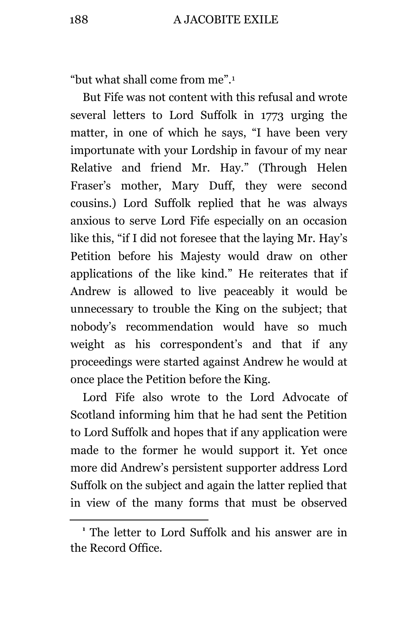"but what shall come from me".<sup>1</sup>

But Fife was not content with this refusal and wrote several letters to Lord Suffolk in 1773 urging the matter, in one of which he says, "I have been very importunate with your Lordship in favour of my near Relative and friend Mr. Hay." (Through Helen Fraser's mother, Mary Duff, they were second cousins.) Lord Suffolk replied that he was always anxious to serve Lord Fife especially on an occasion like this, "if I did not foresee that the laying Mr. Hay's Petition before his Majesty would draw on other applications of the like kind." He reiterates that if Andrew is allowed to live peaceably it would be unnecessary to trouble the King on the subject; that nobody's recommendation would have so much weight as his correspondent's and that if any proceedings were started against Andrew he would at once place the Petition before the King.

Lord Fife also wrote to the Lord Advocate of Scotland informing him that he had sent the Petition to Lord Suffolk and hopes that if any application were made to the former he would support it. Yet once more did Andrew's persistent supporter address Lord Suffolk on the subject and again the latter replied that in view of the many forms that must be observed

**<sup>1</sup>** The letter to Lord Suffolk and his answer are in the Record Office.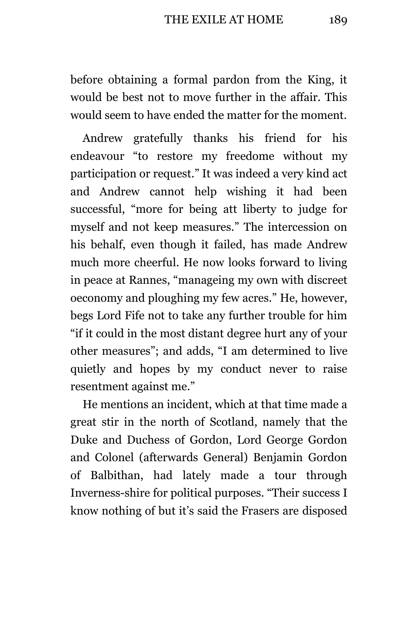before obtaining a formal pardon from the King, it would be best not to move further in the affair. This would seem to have ended the matter for the moment.

Andrew gratefully thanks his friend for his endeavour "to restore my freedome without my participation or request." It was indeed a very kind act and Andrew cannot help wishing it had been successful, "more for being att liberty to judge for myself and not keep measures." The intercession on his behalf, even though it failed, has made Andrew much more cheerful. He now looks forward to living in peace at Rannes, "manageing my own with discreet oeconomy and ploughing my few acres." He, however, begs Lord Fife not to take any further trouble for him "if it could in the most distant degree hurt any of your other measures"; and adds, "I am determined to live quietly and hopes by my conduct never to raise resentment against me."

He mentions an incident, which at that time made a great stir in the north of Scotland, namely that the Duke and Duchess of Gordon, Lord George Gordon and Colonel (afterwards General) Benjamin Gordon of Balbithan, had lately made a tour through Inverness-shire for political purposes. "Their success I know nothing of but it's said the Frasers are disposed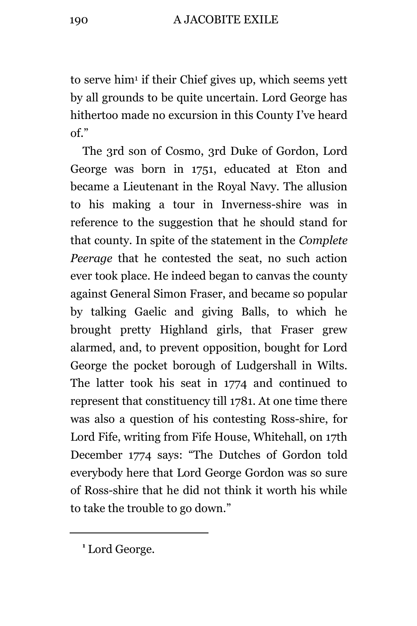to serve him<sup>1</sup> if their Chief gives up, which seems yett by all grounds to be quite uncertain. Lord George has hithertoo made no excursion in this County I've heard of."

The 3rd son of Cosmo, 3rd Duke of Gordon, Lord George was born in 1751, educated at Eton and became a Lieutenant in the Royal Navy. The allusion to his making a tour in Inverness-shire was in reference to the suggestion that he should stand for that county. In spite of the statement in the *Complete Peerage* that he contested the seat, no such action ever took place. He indeed began to canvas the county against General Simon Fraser, and became so popular by talking Gaelic and giving Balls, to which he brought pretty Highland girls, that Fraser grew alarmed, and, to prevent opposition, bought for Lord George the pocket borough of Ludgershall in Wilts. The latter took his seat in 1774 and continued to represent that constituency till 1781. At one time there was also a question of his contesting Ross-shire, for Lord Fife, writing from Fife House, Whitehall, on 17th December 1774 says: "The Dutches of Gordon told everybody here that Lord George Gordon was so sure of Ross-shire that he did not think it worth his while to take the trouble to go down."

<sup>&</sup>lt;sup>1</sup> Lord George.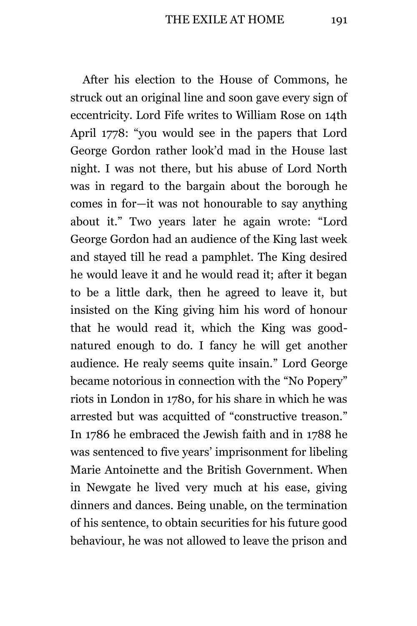After his election to the House of Commons, he struck out an original line and soon gave every sign of eccentricity. Lord Fife writes to William Rose on 14th April 1778: "you would see in the papers that Lord George Gordon rather look'd mad in the House last night. I was not there, but his abuse of Lord North was in regard to the bargain about the borough he comes in for—it was not honourable to say anything about it." Two years later he again wrote: "Lord George Gordon had an audience of the King last week and stayed till he read a pamphlet. The King desired he would leave it and he would read it; after it began to be a little dark, then he agreed to leave it, but insisted on the King giving him his word of honour that he would read it, which the King was goodnatured enough to do. I fancy he will get another audience. He realy seems quite insain." Lord George became notorious in connection with the "No Popery" riots in London in 1780, for his share in which he was arrested but was acquitted of "constructive treason." In 1786 he embraced the Jewish faith and in 1788 he was sentenced to five years' imprisonment for libeling Marie Antoinette and the British Government. When in Newgate he lived very much at his ease, giving dinners and dances. Being unable, on the termination of his sentence, to obtain securities for his future good behaviour, he was not allowed to leave the prison and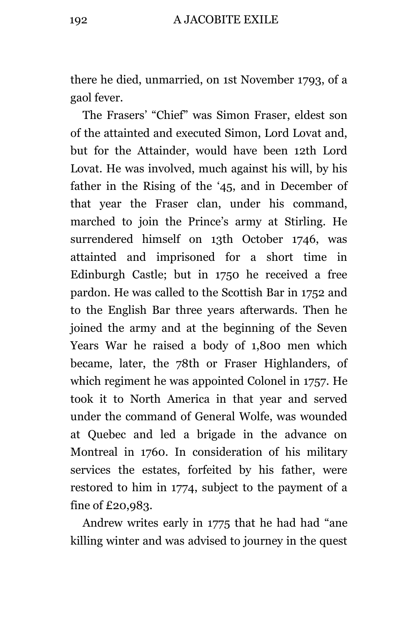there he died, unmarried, on 1st November 1793, of a gaol fever.

The Frasers' "Chief" was Simon Fraser, eldest son of the attainted and executed Simon, Lord Lovat and, but for the Attainder, would have been 12th Lord Lovat. He was involved, much against his will, by his father in the Rising of the '45, and in December of that year the Fraser clan, under his command, marched to join the Prince's army at Stirling. He surrendered himself on 13th October 1746, was attainted and imprisoned for a short time in Edinburgh Castle; but in 1750 he received a free pardon. He was called to the Scottish Bar in 1752 and to the English Bar three years afterwards. Then he joined the army and at the beginning of the Seven Years War he raised a body of 1,800 men which became, later, the 78th or Fraser Highlanders, of which regiment he was appointed Colonel in 1757. He took it to North America in that year and served under the command of General Wolfe, was wounded at Quebec and led a brigade in the advance on Montreal in 1760. In consideration of his military services the estates, forfeited by his father, were restored to him in 1774, subject to the payment of a fine of £20,983.

Andrew writes early in 1775 that he had had "ane killing winter and was advised to journey in the quest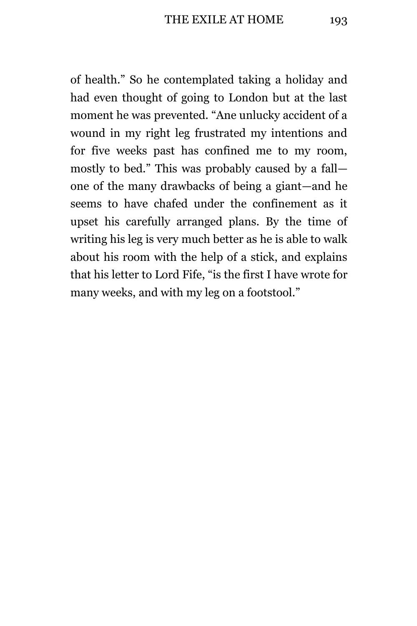of health." So he contemplated taking a holiday and had even thought of going to London but at the last moment he was prevented. "Ane unlucky accident of a wound in my right leg frustrated my intentions and for five weeks past has confined me to my room, mostly to bed." This was probably caused by a fall one of the many drawbacks of being a giant—and he seems to have chafed under the confinement as it upset his carefully arranged plans. By the time of writing his leg is very much better as he is able to walk about his room with the help of a stick, and explains that his letter to Lord Fife, "is the first I have wrote for many weeks, and with my leg on a footstool."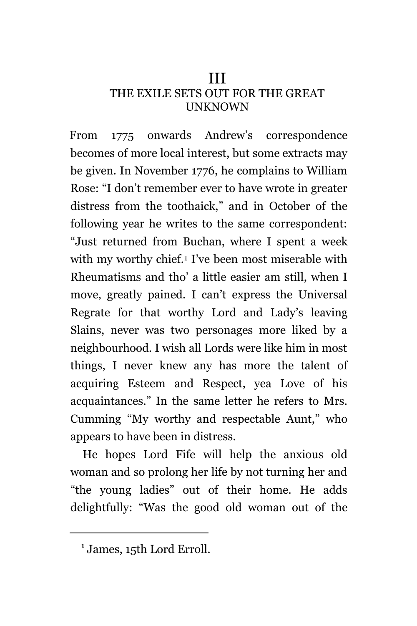### III

### THE EXILE SETS OUT FOR THE GREAT UNKNOWN

From 1775 onwards Andrew's correspondence becomes of more local interest, but some extracts may be given. In November 1776, he complains to William Rose: "I don't remember ever to have wrote in greater distress from the toothaick," and in October of the following year he writes to the same correspondent: "Just returned from Buchan, where I spent a week with my worthy chief.<sup>1</sup> I've been most miserable with Rheumatisms and tho' a little easier am still, when I move, greatly pained. I can't express the Universal Regrate for that worthy Lord and Lady's leaving Slains, never was two personages more liked by a neighbourhood. I wish all Lords were like him in most things, I never knew any has more the talent of acquiring Esteem and Respect, yea Love of his acquaintances." In the same letter he refers to Mrs. Cumming "My worthy and respectable Aunt," who appears to have been in distress.

He hopes Lord Fife will help the anxious old woman and so prolong her life by not turning her and "the young ladies" out of their home. He adds delightfully: "Was the good old woman out of the

**<sup>1</sup>** James, 15th Lord Erroll.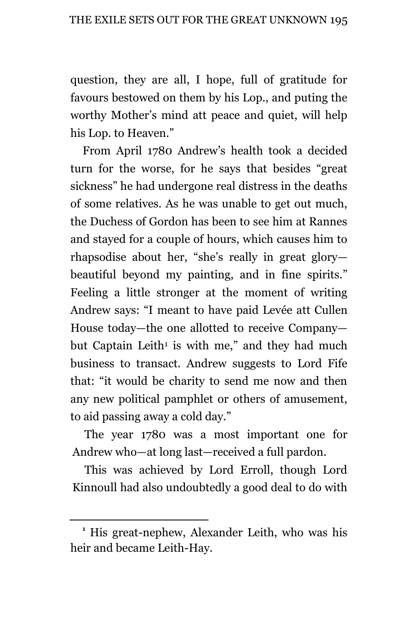question, they are all, I hope, full of gratitude for favours bestowed on them by his Lop., and puting the worthy Mother's mind att peace and quiet, will help his Lop. to Heaven."

From April 1780 Andrew's health took a decided turn for the worse, for he says that besides "great sickness" he had undergone real distress in the deaths of some relatives. As he was unable to get out much, the Duchess of Gordon has been to see him at Rannes and stayed for a couple of hours, which causes him to rhapsodise about her, "she's really in great glory beautiful beyond my painting, and in fine spirits." Feeling a little stronger at the moment of writing Andrew says: "I meant to have paid Levée att Cullen House today—the one allotted to receive Company but Captain Leith<sup>1</sup> is with me," and they had much business to transact. Andrew suggests to Lord Fife that: "it would be charity to send me now and then any new political pamphlet or others of amusement, to aid passing away a cold day."

The year 1780 was a most important one for Andrew who—at long last—received a full pardon.

This was achieved by Lord Erroll, though Lord Kinnoull had also undoubtedly a good deal to do with

**<sup>1</sup>** His great-nephew, Alexander Leith, who was his heir and became Leith-Hay.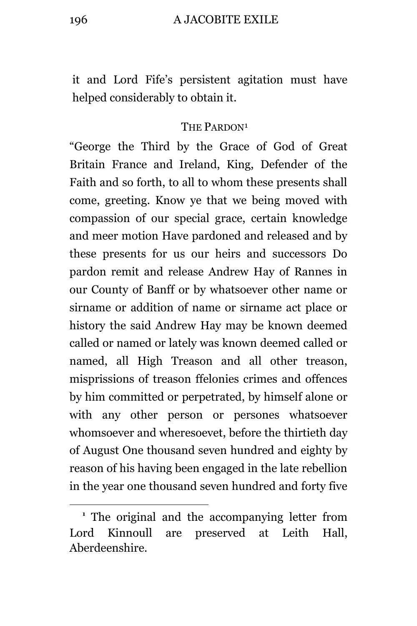#### 196 A JACOBITE EXILE

it and Lord Fife's persistent agitation must have helped considerably to obtain it.

### THE PARDON<sup>1</sup>

"George the Third by the Grace of God of Great Britain France and Ireland, King, Defender of the Faith and so forth, to all to whom these presents shall come, greeting. Know ye that we being moved with compassion of our special grace, certain knowledge and meer motion Have pardoned and released and by these presents for us our heirs and successors Do pardon remit and release Andrew Hay of Rannes in our County of Banff or by whatsoever other name or sirname or addition of name or sirname act place or history the said Andrew Hay may be known deemed called or named or lately was known deemed called or named, all High Treason and all other treason, misprissions of treason ffelonies crimes and offences by him committed or perpetrated, by himself alone or with any other person or persones whatsoever whomsoever and wheresoevet, before the thirtieth day of August One thousand seven hundred and eighty by reason of his having been engaged in the late rebellion in the year one thousand seven hundred and forty five

**<sup>1</sup>** The original and the accompanying letter from Lord Kinnoull are preserved at Leith Hall, Aberdeenshire.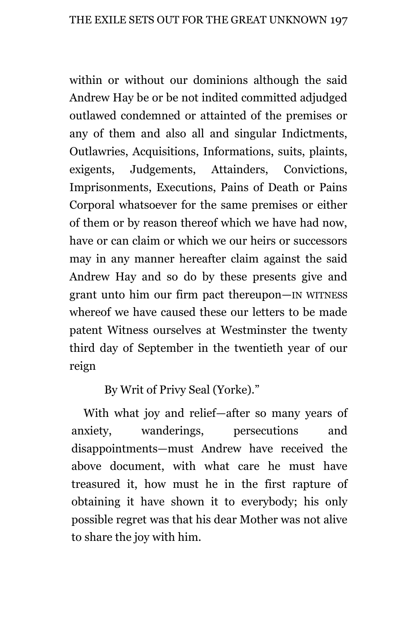within or without our dominions although the said Andrew Hay be or be not indited committed adjudged outlawed condemned or attainted of the premises or any of them and also all and singular Indictments, Outlawries, Acquisitions, Informations, suits, plaints, exigents, Judgements, Attainders, Convictions, Imprisonments, Executions, Pains of Death or Pains Corporal whatsoever for the same premises or either of them or by reason thereof which we have had now, have or can claim or which we our heirs or successors may in any manner hereafter claim against the said Andrew Hay and so do by these presents give and grant unto him our firm pact thereupon—IN WITNESS whereof we have caused these our letters to be made patent Witness ourselves at Westminster the twenty third day of September in the twentieth year of our reign

By Writ of Privy Seal (Yorke)."

With what joy and relief—after so many years of anxiety, wanderings, persecutions and disappointments—must Andrew have received the above document, with what care he must have treasured it, how must he in the first rapture of obtaining it have shown it to everybody; his only possible regret was that his dear Mother was not alive to share the joy with him.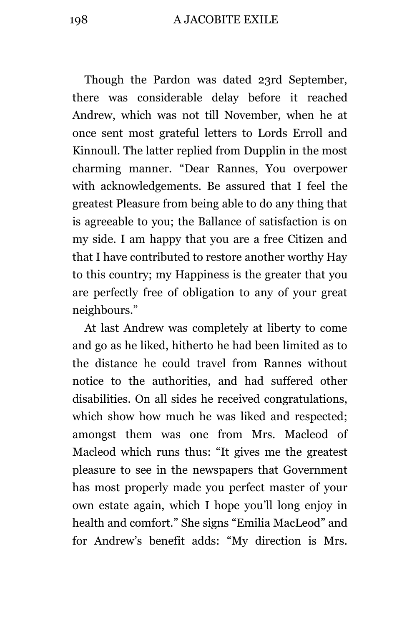Though the Pardon was dated 23rd September, there was considerable delay before it reached Andrew, which was not till November, when he at once sent most grateful letters to Lords Erroll and Kinnoull. The latter replied from Dupplin in the most charming manner. "Dear Rannes, You overpower with acknowledgements. Be assured that I feel the greatest Pleasure from being able to do any thing that is agreeable to you; the Ballance of satisfaction is on my side. I am happy that you are a free Citizen and that I have contributed to restore another worthy Hay to this country; my Happiness is the greater that you are perfectly free of obligation to any of your great neighbours."

At last Andrew was completely at liberty to come and go as he liked, hitherto he had been limited as to the distance he could travel from Rannes without notice to the authorities, and had suffered other disabilities. On all sides he received congratulations, which show how much he was liked and respected; amongst them was one from Mrs. Macleod of Macleod which runs thus: "It gives me the greatest pleasure to see in the newspapers that Government has most properly made you perfect master of your own estate again, which I hope you'll long enjoy in health and comfort." She signs "Emilia MacLeod" and for Andrew's benefit adds: "My direction is Mrs.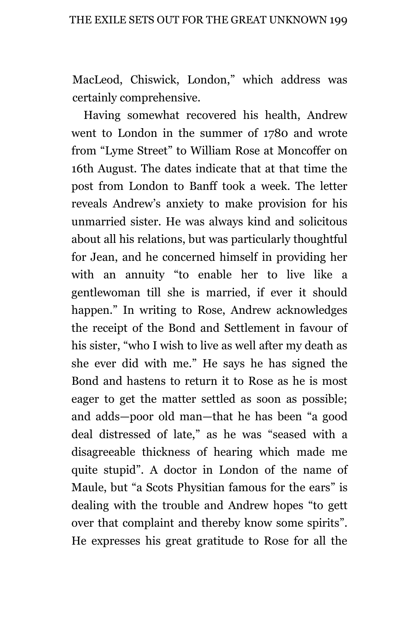MacLeod, Chiswick, London," which address was certainly comprehensive.

Having somewhat recovered his health, Andrew went to London in the summer of 1780 and wrote from "Lyme Street" to William Rose at Moncoffer on 16th August. The dates indicate that at that time the post from London to Banff took a week. The letter reveals Andrew's anxiety to make provision for his unmarried sister. He was always kind and solicitous about all his relations, but was particularly thoughtful for Jean, and he concerned himself in providing her with an annuity "to enable her to live like a gentlewoman till she is married, if ever it should happen." In writing to Rose, Andrew acknowledges the receipt of the Bond and Settlement in favour of his sister, "who I wish to live as well after my death as she ever did with me." He says he has signed the Bond and hastens to return it to Rose as he is most eager to get the matter settled as soon as possible; and adds—poor old man—that he has been "a good deal distressed of late," as he was "seased with a disagreeable thickness of hearing which made me quite stupid". A doctor in London of the name of Maule, but "a Scots Physitian famous for the ears" is dealing with the trouble and Andrew hopes "to gett over that complaint and thereby know some spirits". He expresses his great gratitude to Rose for all the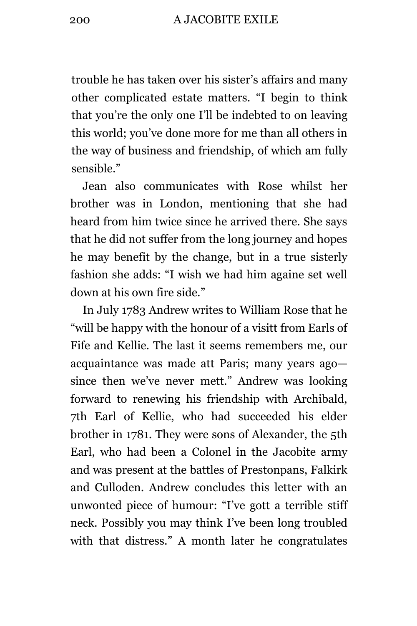trouble he has taken over his sister's affairs and many other complicated estate matters. "I begin to think that you're the only one I'll be indebted to on leaving this world; you've done more for me than all others in the way of business and friendship, of which am fully sensible."

Jean also communicates with Rose whilst her brother was in London, mentioning that she had heard from him twice since he arrived there. She says that he did not suffer from the long journey and hopes he may benefit by the change, but in a true sisterly fashion she adds: "I wish we had him againe set well down at his own fire side."

In July 1783 Andrew writes to William Rose that he "will be happy with the honour of a visitt from Earls of Fife and Kellie. The last it seems remembers me, our acquaintance was made att Paris; many years ago since then we've never mett." Andrew was looking forward to renewing his friendship with Archibald, 7th Earl of Kellie, who had succeeded his elder brother in 1781. They were sons of Alexander, the 5th Earl, who had been a Colonel in the Jacobite army and was present at the battles of Prestonpans, Falkirk and Culloden. Andrew concludes this letter with an unwonted piece of humour: "I've gott a terrible stiff neck. Possibly you may think I've been long troubled with that distress." A month later he congratulates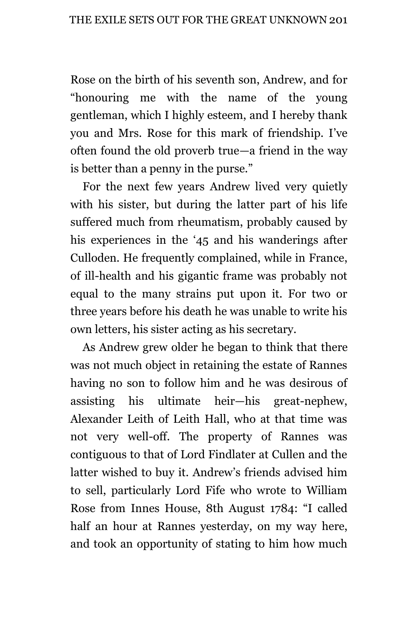Rose on the birth of his seventh son, Andrew, and for "honouring me with the name of the young gentleman, which I highly esteem, and I hereby thank you and Mrs. Rose for this mark of friendship. I've often found the old proverb true—a friend in the way is better than a penny in the purse."

For the next few years Andrew lived very quietly with his sister, but during the latter part of his life suffered much from rheumatism, probably caused by his experiences in the '45 and his wanderings after Culloden. He frequently complained, while in France, of ill-health and his gigantic frame was probably not equal to the many strains put upon it. For two or three years before his death he was unable to write his own letters, his sister acting as his secretary.

As Andrew grew older he began to think that there was not much object in retaining the estate of Rannes having no son to follow him and he was desirous of assisting his ultimate heir—his great-nephew, Alexander Leith of Leith Hall, who at that time was not very well-off. The property of Rannes was contiguous to that of Lord Findlater at Cullen and the latter wished to buy it. Andrew's friends advised him to sell, particularly Lord Fife who wrote to William Rose from Innes House, 8th August 1784: "I called half an hour at Rannes yesterday, on my way here, and took an opportunity of stating to him how much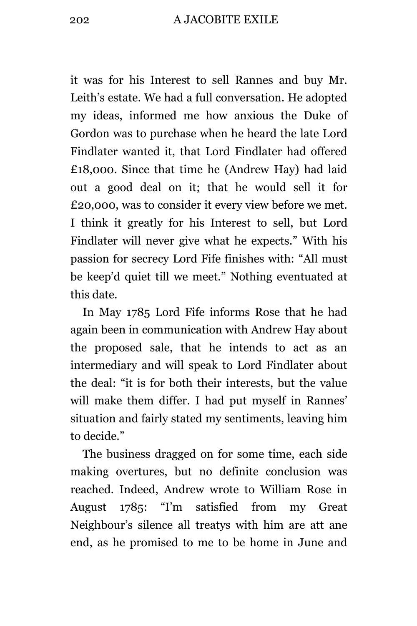it was for his Interest to sell Rannes and buy Mr. Leith's estate. We had a full conversation. He adopted my ideas, informed me how anxious the Duke of Gordon was to purchase when he heard the late Lord Findlater wanted it, that Lord Findlater had offered £18,000. Since that time he (Andrew Hay) had laid out a good deal on it; that he would sell it for £20,000, was to consider it every view before we met. I think it greatly for his Interest to sell, but Lord Findlater will never give what he expects." With his passion for secrecy Lord Fife finishes with: "All must be keep'd quiet till we meet." Nothing eventuated at this date.

In May 1785 Lord Fife informs Rose that he had again been in communication with Andrew Hay about the proposed sale, that he intends to act as an intermediary and will speak to Lord Findlater about the deal: "it is for both their interests, but the value will make them differ. I had put myself in Rannes' situation and fairly stated my sentiments, leaving him to decide."

The business dragged on for some time, each side making overtures, but no definite conclusion was reached. Indeed, Andrew wrote to William Rose in August 1785: "I'm satisfied from my Great Neighbour's silence all treatys with him are att ane end, as he promised to me to be home in June and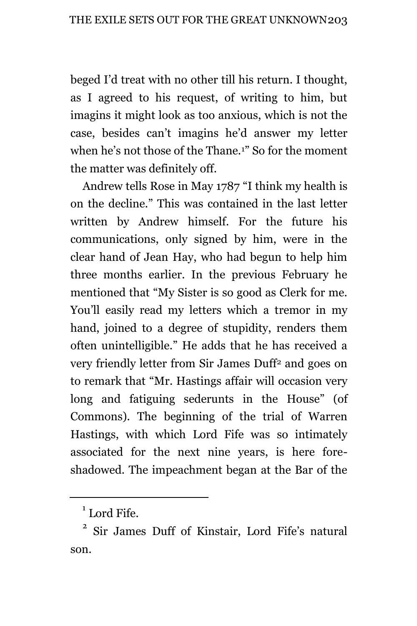beged I'd treat with no other till his return. I thought, as I agreed to his request, of writing to him, but imagins it might look as too anxious, which is not the case, besides can't imagins he'd answer my letter when he's not those of the Thane.1" So for the moment the matter was definitely off.

Andrew tells Rose in May 1787 "I think my health is on the decline." This was contained in the last letter written by Andrew himself. For the future his communications, only signed by him, were in the clear hand of Jean Hay, who had begun to help him three months earlier. In the previous February he mentioned that "My Sister is so good as Clerk for me. You'll easily read my letters which a tremor in my hand, joined to a degree of stupidity, renders them often unintelligible." He adds that he has received a very friendly letter from Sir James Duff<sup>2</sup> and goes on to remark that "Mr. Hastings affair will occasion very long and fatiguing sederunts in the House" (of Commons). The beginning of the trial of Warren Hastings, with which Lord Fife was so intimately associated for the next nine years, is here foreshadowed. The impeachment began at the Bar of the

<sup>&</sup>lt;sup>1</sup> Lord Fife.

<sup>2</sup> Sir James Duff of Kinstair, Lord Fife's natural son.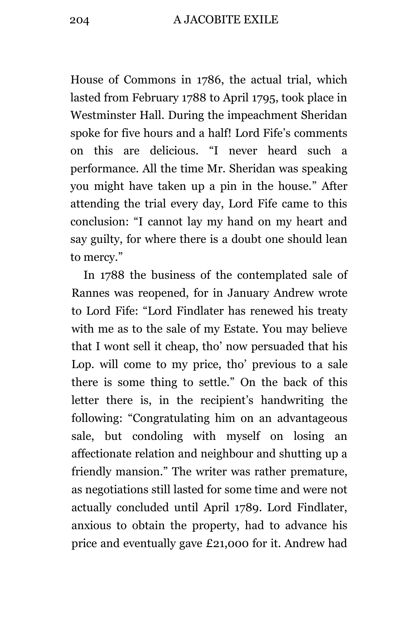House of Commons in 1786, the actual trial, which lasted from February 1788 to April 1795, took place in Westminster Hall. During the impeachment Sheridan spoke for five hours and a half! Lord Fife's comments on this are delicious. "I never heard such a performance. All the time Mr. Sheridan was speaking you might have taken up a pin in the house." After attending the trial every day, Lord Fife came to this conclusion: "I cannot lay my hand on my heart and say guilty, for where there is a doubt one should lean to mercy."

In 1788 the business of the contemplated sale of Rannes was reopened, for in January Andrew wrote to Lord Fife: "Lord Findlater has renewed his treaty with me as to the sale of my Estate. You may believe that I wont sell it cheap, tho' now persuaded that his Lop. will come to my price, tho' previous to a sale there is some thing to settle." On the back of this letter there is, in the recipient's handwriting the following: "Congratulating him on an advantageous sale, but condoling with myself on losing an affectionate relation and neighbour and shutting up a friendly mansion." The writer was rather premature, as negotiations still lasted for some time and were not actually concluded until April 1789. Lord Findlater, anxious to obtain the property, had to advance his price and eventually gave £21,000 for it. Andrew had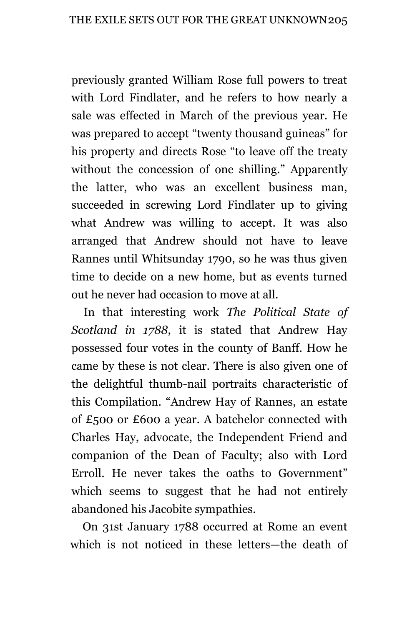previously granted William Rose full powers to treat with Lord Findlater, and he refers to how nearly a sale was effected in March of the previous year. He was prepared to accept "twenty thousand guineas" for his property and directs Rose "to leave off the treaty without the concession of one shilling." Apparently the latter, who was an excellent business man, succeeded in screwing Lord Findlater up to giving what Andrew was willing to accept. It was also arranged that Andrew should not have to leave Rannes until Whitsunday 1790, so he was thus given time to decide on a new home, but as events turned out he never had occasion to move at all.

In that interesting work *The Political State of Scotland in 1788*, it is stated that Andrew Hay possessed four votes in the county of Banff. How he came by these is not clear. There is also given one of the delightful thumb-nail portraits characteristic of this Compilation. "Andrew Hay of Rannes, an estate of £500 or £600 a year. A batchelor connected with Charles Hay, advocate, the Independent Friend and companion of the Dean of Faculty; also with Lord Erroll. He never takes the oaths to Government" which seems to suggest that he had not entirely abandoned his Jacobite sympathies.

On 31st January 1788 occurred at Rome an event which is not noticed in these letters—the death of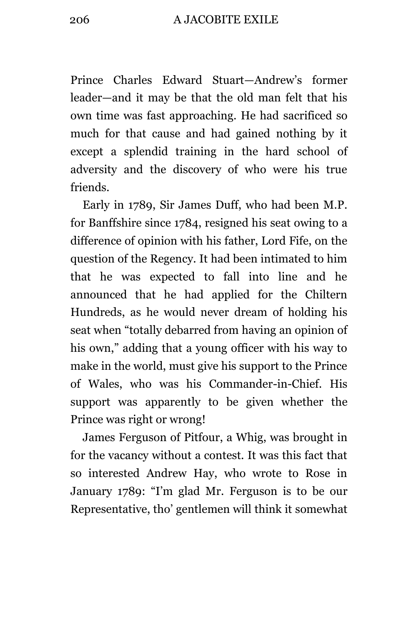206 A JACOBITE EXILE

Prince Charles Edward Stuart—Andrew's former leader—and it may be that the old man felt that his own time was fast approaching. He had sacrificed so much for that cause and had gained nothing by it except a splendid training in the hard school of adversity and the discovery of who were his true friends.

Early in 1789, Sir James Duff, who had been M.P. for Banffshire since 1784, resigned his seat owing to a difference of opinion with his father, Lord Fife, on the question of the Regency. It had been intimated to him that he was expected to fall into line and he announced that he had applied for the Chiltern Hundreds, as he would never dream of holding his seat when "totally debarred from having an opinion of his own," adding that a young officer with his way to make in the world, must give his support to the Prince of Wales, who was his Commander-in-Chief. His support was apparently to be given whether the Prince was right or wrong!

James Ferguson of Pitfour, a Whig, was brought in for the vacancy without a contest. It was this fact that so interested Andrew Hay, who wrote to Rose in January 1789: "I'm glad Mr. Ferguson is to be our Representative, tho' gentlemen will think it somewhat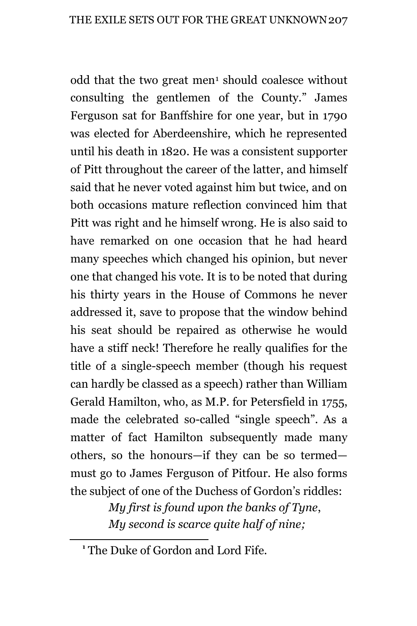odd that the two great men<sup>1</sup> should coalesce without consulting the gentlemen of the County." James Ferguson sat for Banffshire for one year, but in 1790 was elected for Aberdeenshire, which he represented until his death in 1820. He was a consistent supporter of Pitt throughout the career of the latter, and himself said that he never voted against him but twice, and on both occasions mature reflection convinced him that Pitt was right and he himself wrong. He is also said to have remarked on one occasion that he had heard many speeches which changed his opinion, but never one that changed his vote. It is to be noted that during his thirty years in the House of Commons he never addressed it, save to propose that the window behind his seat should be repaired as otherwise he would have a stiff neck! Therefore he really qualifies for the title of a single-speech member (though his request can hardly be classed as a speech) rather than William Gerald Hamilton, who, as M.P. for Petersfield in 1755, made the celebrated so-called "single speech". As a matter of fact Hamilton subsequently made many others, so the honours—if they can be so termed must go to James Ferguson of Pitfour. He also forms the subject of one of the Duchess of Gordon's riddles:

> *My first is found upon the banks of Tyne*, *My second is scarce quite half of nine;*

**<sup>1</sup>** The Duke of Gordon and Lord Fife.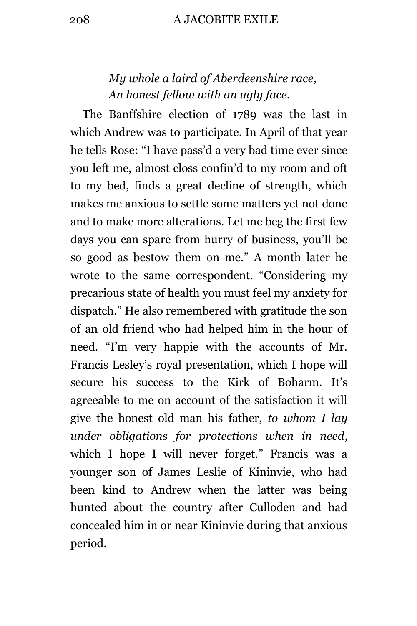## *My whole a laird of Aberdeenshire race*, *An honest fellow with an ugly face.*

The Banffshire election of 1789 was the last in which Andrew was to participate. In April of that year he tells Rose: "I have pass'd a very bad time ever since you left me, almost closs confin'd to my room and oft to my bed, finds a great decline of strength, which makes me anxious to settle some matters yet not done and to make more alterations. Let me beg the first few days you can spare from hurry of business, you'll be so good as bestow them on me." A month later he wrote to the same correspondent. "Considering my precarious state of health you must feel my anxiety for dispatch." He also remembered with gratitude the son of an old friend who had helped him in the hour of need. "I'm very happie with the accounts of Mr. Francis Lesley's royal presentation, which I hope will secure his success to the Kirk of Boharm. It's agreeable to me on account of the satisfaction it will give the honest old man his father, *to whom I lay under obligations for protections when in need*, which I hope I will never forget." Francis was a younger son of James Leslie of Kininvie, who had been kind to Andrew when the latter was being hunted about the country after Culloden and had concealed him in or near Kininvie during that anxious period.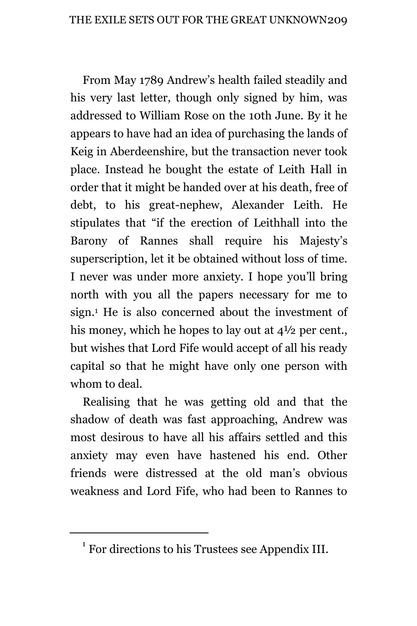From May 1789 Andrew's health failed steadily and his very last letter, though only signed by him, was addressed to William Rose on the 10th June. By it he appears to have had an idea of purchasing the lands of Keig in Aberdeenshire, but the transaction never took place. Instead he bought the estate of Leith Hall in order that it might be handed over at his death, free of debt, to his great-nephew, Alexander Leith. He stipulates that "if the erection of Leithhall into the Barony of Rannes shall require his Majesty's superscription, let it be obtained without loss of time. I never was under more anxiety. I hope you'll bring north with you all the papers necessary for me to sign.<sup>1</sup> He is also concerned about the investment of his money, which he hopes to lay out at  $4\frac{1}{2}$  per cent. but wishes that Lord Fife would accept of all his ready capital so that he might have only one person with whom to deal.

Realising that he was getting old and that the shadow of death was fast approaching, Andrew was most desirous to have all his affairs settled and this anxiety may even have hastened his end. Other friends were distressed at the old man's obvious weakness and Lord Fife, who had been to Rannes to

<sup>&</sup>lt;sup>1</sup> For directions to his Trustees see Appendix III.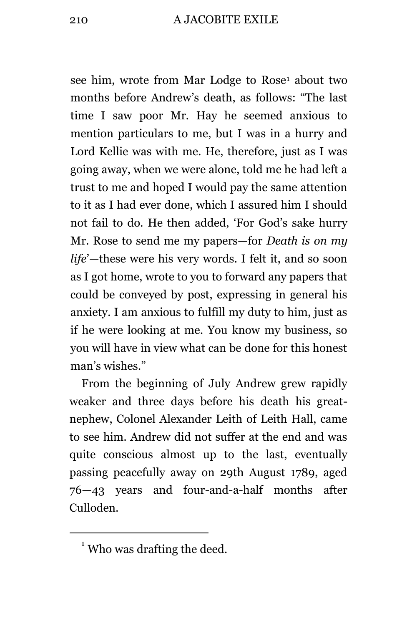see him, wrote from Mar Lodge to Rose<sup>1</sup> about two months before Andrew's death, as follows: "The last time I saw poor Mr. Hay he seemed anxious to mention particulars to me, but I was in a hurry and Lord Kellie was with me. He, therefore, just as I was going away, when we were alone, told me he had left a trust to me and hoped I would pay the same attention to it as I had ever done, which I assured him I should not fail to do. He then added, 'For God's sake hurry Mr. Rose to send me my papers—for *Death is on my life*'—these were his very words. I felt it, and so soon as I got home, wrote to you to forward any papers that could be conveyed by post, expressing in general his anxiety. I am anxious to fulfill my duty to him, just as if he were looking at me. You know my business, so you will have in view what can be done for this honest man's wishes."

From the beginning of July Andrew grew rapidly weaker and three days before his death his greatnephew, Colonel Alexander Leith of Leith Hall, came to see him. Andrew did not suffer at the end and was quite conscious almost up to the last, eventually passing peacefully away on 29th August 1789, aged 76—43 years and four-and-a-half months after Culloden.

 $<sup>1</sup>$  Who was drafting the deed.</sup>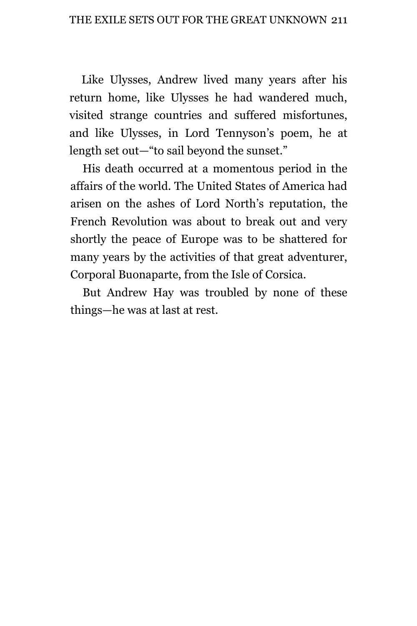Like Ulysses, Andrew lived many years after his return home, like Ulysses he had wandered much, visited strange countries and suffered misfortunes, and like Ulysses, in Lord Tennyson's poem, he at length set out—"to sail beyond the sunset."

His death occurred at a momentous period in the affairs of the world. The United States of America had arisen on the ashes of Lord North's reputation, the French Revolution was about to break out and very shortly the peace of Europe was to be shattered for many years by the activities of that great adventurer, Corporal Buonaparte, from the Isle of Corsica.

But Andrew Hay was troubled by none of these things—he was at last at rest.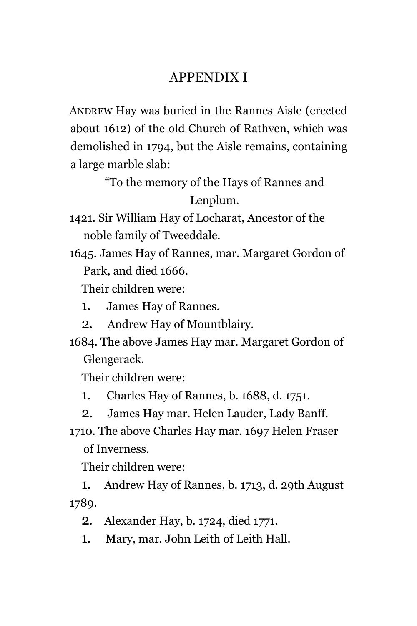# APPENDIX I

ANDREW Hay was buried in the Rannes Aisle (erected about 1612) of the old Church of Rathven, which was demolished in 1794, but the Aisle remains, containing a large marble slab:

> "To the memory of the Hays of Rannes and Lenplum.

1421. Sir William Hay of Locharat, Ancestor of the noble family of Tweeddale.

1645. James Hay of Rannes, mar. Margaret Gordon of Park, and died 1666.

Their children were:

- 1. James Hay of Rannes.
- 2. Andrew Hay of Mountblairy.
- 1684. The above James Hay mar. Margaret Gordon of Glengerack.

Their children were:

- 1. Charles Hay of Rannes, b. 1688, d. 1751.
- 2. James Hay mar. Helen Lauder, Lady Banff.
- 1710. The above Charles Hay mar. 1697 Helen Fraser of Inverness.

Their children were:

1. Andrew Hay of Rannes, b. 1713, d. 29th August 1789.

- 2. Alexander Hay, b. 1724, died 1771.
- 1. Mary, mar. John Leith of Leith Hall.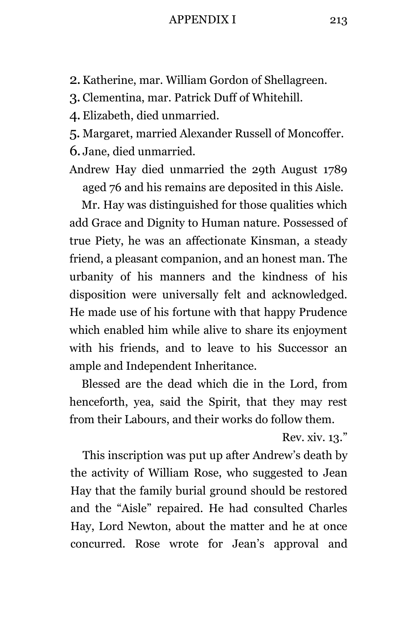#### APPENDIX I 213

- 2.Katherine, mar. William Gordon of Shellagreen.
- 3. Clementina, mar. Patrick Duff of Whitehill.
- 4. Elizabeth, died unmarried.
- 5. Margaret, married Alexander Russell of Moncoffer.
- 6. Jane, died unmarried.
- Andrew Hay died unmarried the 29th August 1789 aged 76 and his remains are deposited in this Aisle.

Mr. Hay was distinguished for those qualities which add Grace and Dignity to Human nature. Possessed of true Piety, he was an affectionate Kinsman, a steady friend, a pleasant companion, and an honest man. The urbanity of his manners and the kindness of his disposition were universally felt and acknowledged. He made use of his fortune with that happy Prudence which enabled him while alive to share its enjoyment with his friends, and to leave to his Successor an ample and Independent Inheritance.

Blessed are the dead which die in the Lord, from henceforth, yea, said the Spirit, that they may rest from their Labours, and their works do follow them.

Rev. xiv. 13."

This inscription was put up after Andrew's death by the activity of William Rose, who suggested to Jean Hay that the family burial ground should be restored and the "Aisle" repaired. He had consulted Charles Hay, Lord Newton, about the matter and he at once concurred. Rose wrote for Jean's approval and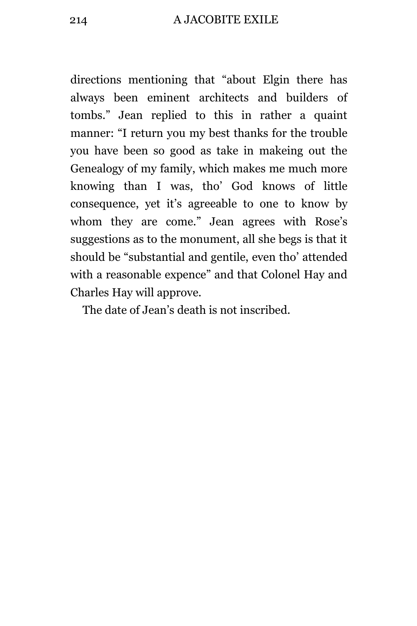directions mentioning that "about Elgin there has always been eminent architects and builders of tombs." Jean replied to this in rather a quaint manner: "I return you my best thanks for the trouble you have been so good as take in makeing out the Genealogy of my family, which makes me much more knowing than I was, tho' God knows of little consequence, yet it's agreeable to one to know by whom they are come." Jean agrees with Rose's suggestions as to the monument, all she begs is that it should be "substantial and gentile, even tho' attended with a reasonable expence" and that Colonel Hay and Charles Hay will approve.

The date of Jean's death is not inscribed.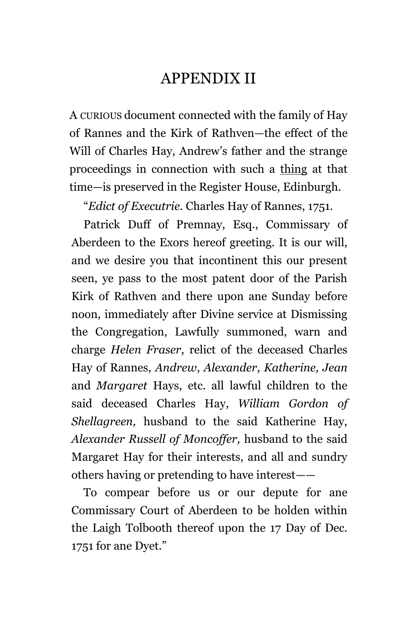# APPENDIX II

A CURIOUS document connected with the family of Hay of Rannes and the Kirk of Rathven—the effect of the Will of Charles Hay, Andrew's father and the strange proceedings in connection with such a thing at that time—is preserved in the Register House, Edinburgh.

"*Edict of Executrie.* Charles Hay of Rannes, 1751.

Patrick Duff of Premnay, Esq., Commissary of Aberdeen to the Exors hereof greeting. It is our will, and we desire you that incontinent this our present seen, ye pass to the most patent door of the Parish Kirk of Rathven and there upon ane Sunday before noon, immediately after Divine service at Dismissing the Congregation, Lawfully summoned, warn and charge *Helen Fraser*, relict of the deceased Charles Hay of Rannes, *Andrew*, *Alexander, Katherine, Jean* and *Margaret* Hays, etc. all lawful children to the said deceased Charles Hay, *William Gordon of Shellagreen,* husband to the said Katherine Hay, *Alexander Russell of Moncoffer,* husband to the said Margaret Hay for their interests, and all and sundry others having or pretending to have interest——

To compear before us or our depute for ane Commissary Court of Aberdeen to be holden within the Laigh Tolbooth thereof upon the 17 Day of Dec. 1751 for ane Dyet."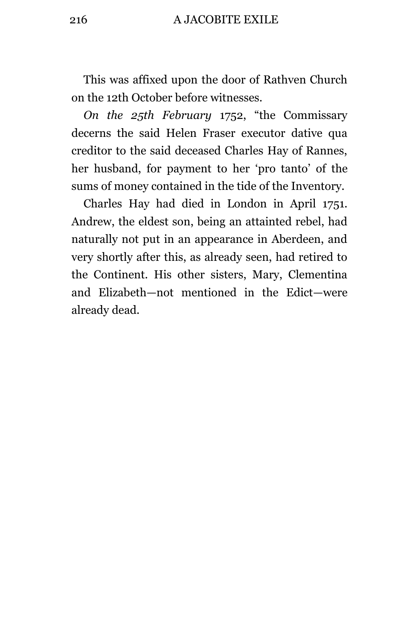216 A JACOBITE EXILE

This was affixed upon the door of Rathven Church on the 12th October before witnesses.

*On the 25th February* 1752, "the Commissary decerns the said Helen Fraser executor dative qua creditor to the said deceased Charles Hay of Rannes, her husband, for payment to her 'pro tanto' of the sums of money contained in the tide of the Inventory.

Charles Hay had died in London in April 1751. Andrew, the eldest son, being an attainted rebel, had naturally not put in an appearance in Aberdeen, and very shortly after this, as already seen, had retired to the Continent. His other sisters, Mary, Clementina and Elizabeth—not mentioned in the Edict—were already dead.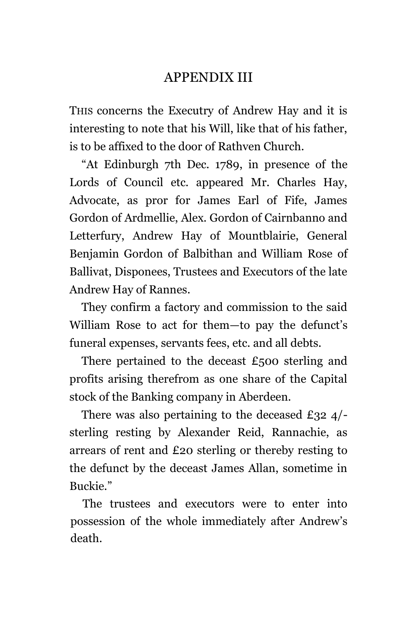# APPENDIX III

THIS concerns the Executry of Andrew Hay and it is interesting to note that his Will, like that of his father, is to be affixed to the door of Rathven Church.

"At Edinburgh 7th Dec. 1789, in presence of the Lords of Council etc. appeared Mr. Charles Hay, Advocate, as pror for James Earl of Fife, James Gordon of Ardmellie, Alex. Gordon of Cairnbanno and Letterfury, Andrew Hay of Mountblairie, General Benjamin Gordon of Balbithan and William Rose of Ballivat, Disponees, Trustees and Executors of the late Andrew Hay of Rannes.

They confirm a factory and commission to the said William Rose to act for them—to pay the defunct's funeral expenses, servants fees, etc. and all debts.

There pertained to the deceast  $£500$  sterling and profits arising therefrom as one share of the Capital stock of the Banking company in Aberdeen.

There was also pertaining to the deceased £32 4/ sterling resting by Alexander Reid, Rannachie, as arrears of rent and £20 sterling or thereby resting to the defunct by the deceast James Allan, sometime in Buckie."

The trustees and executors were to enter into possession of the whole immediately after Andrew's death.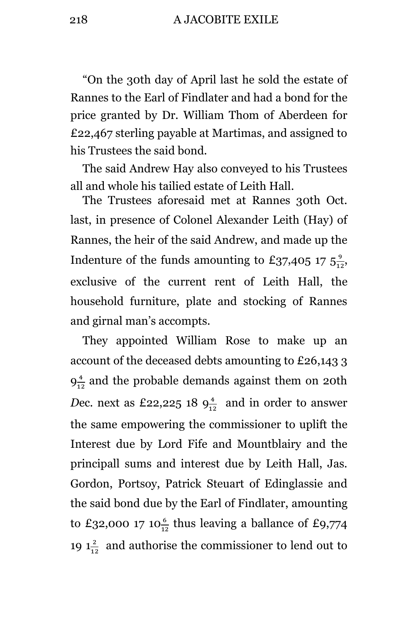218 A JACOBITE EXILE

"On the 30th day of April last he sold the estate of Rannes to the Earl of Findlater and had a bond for the price granted by Dr. William Thom of Aberdeen for £22,467 sterling payable at Martimas, and assigned to his Trustees the said bond.

The said Andrew Hay also conveyed to his Trustees all and whole his tailied estate of Leith Hall.

The Trustees aforesaid met at Rannes 30th Oct. last, in presence of Colonel Alexander Leith (Hay) of Rannes, the heir of the said Andrew, and made up the Indenture of the funds amounting to £37,405 17  $5\frac{9}{12}$ , exclusive of the current rent of Leith Hall, the household furniture, plate and stocking of Rannes and girnal man's accompts.

They appointed William Rose to make up an account of the deceased debts amounting to £26,143 3  $9^{\frac{4}{12}}$  $\frac{4}{12}$  and the probable demands against them on 20th *Dec.* next as £22,225 18  $9^{\frac{4}{12}}$  and in order to answer the same empowering the commissioner to uplift the Interest due by Lord Fife and Mountblairy and the principall sums and interest due by Leith Hall, Jas. Gordon, Portsoy, Patrick Steuart of Edinglassie and the said bond due by the Earl of Findlater, amounting to £32,000 17 10 $\frac{6}{12}$  thus leaving a ballance of £9,774 19  $1\frac{2}{12}$  and authorise the commissioner to lend out to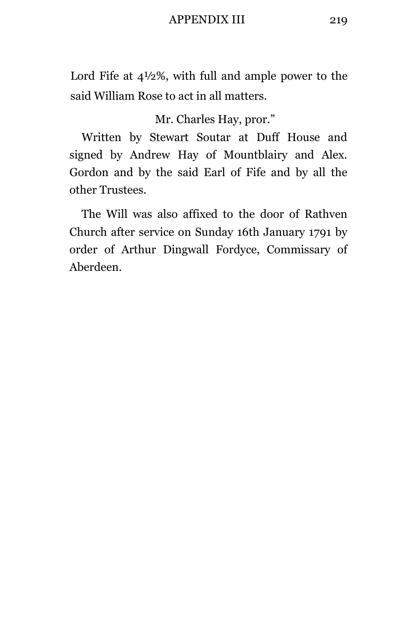### APPENDIX III 219

Lord Fife at 4½%, with full and ample power to the said William Rose to act in all matters.

Mr. Charles Hay, pror."

Written by Stewart Soutar at Duff House and signed by Andrew Hay of Mountblairy and Alex. Gordon and by the said Earl of Fife and by all the other Trustees.

The Will was also affixed to the door of Rathven Church after service on Sunday 16th January 1791 by order of Arthur Dingwall Fordyce, Commissary of Aberdeen.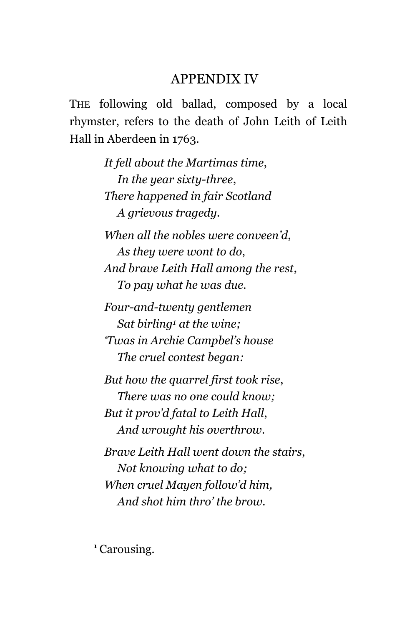## APPENDIX IV

THE following old ballad, composed by a local rhymster, refers to the death of John Leith of Leith Hall in Aberdeen in 1763.

> *It fell about the Martimas time*, *In the year sixty-three*, *There happened in fair Scotland A grievous tragedy.*

*When all the nobles were conveen'd*, *As they were wont to do*, *And brave Leith Hall among the rest*, *To pay what he was due.*

*Four-and-twenty gentlemen Sat birling<sup>1</sup> at the wine; 'Twas in Archie Campbel's house The cruel contest began:*

*But how the quarrel first took rise*, *There was no one could know; But it prov'd fatal to Leith Hall*, *And wrought his overthrow.*

*Brave Leith Hall went down the stairs*, *Not knowing what to do; When cruel Mayen follow'd him, And shot him thro' the brow.*

÷.

**<sup>1</sup>** Carousing.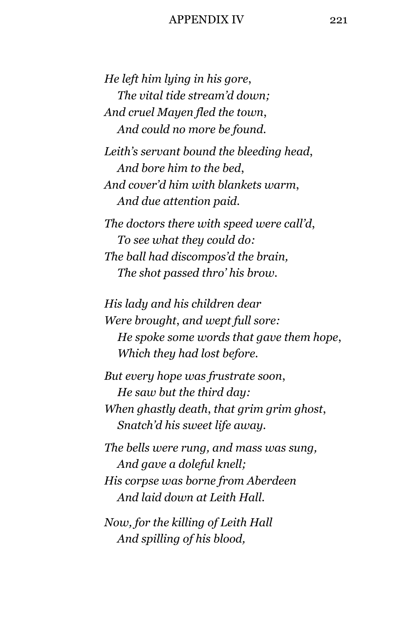### APPENDIX IV 221

*He left him lying in his gore*, *The vital tide stream'd down; And cruel Mayen fled the town*, *And could no more be found.*

*Leith's servant bound the bleeding head*, *And bore him to the bed*, *And cover'd him with blankets warm*, *And due attention paid.*

*The doctors there with speed were call'd*, *To see what they could do: The ball had discompos'd the brain, The shot passed thro' his brow.*

*His lady and his children dear Were brought*, *and wept full sore: He spoke some words that gave them hope*, *Which they had lost before.*

*But every hope was frustrate soon*, *He saw but the third day: When ghastly death*, *that grim grim ghost*, *Snatch'd his sweet life away.*

*The bells were rung, and mass was sung, And gave a doleful knell; His corpse was borne from Aberdeen And laid down at Leith Hall.*

*Now, for the killing of Leith Hall And spilling of his blood,*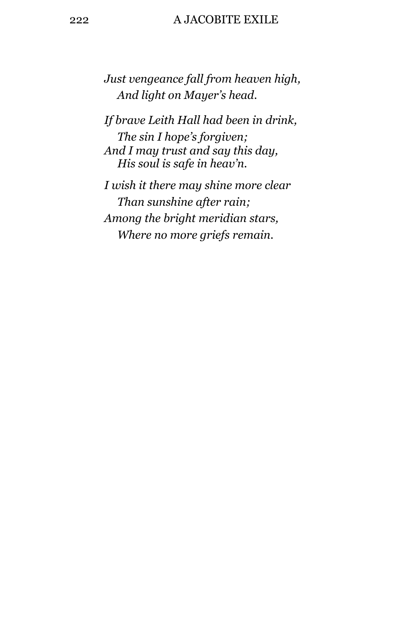### 222 A JACOBITE EXILE

*Just vengeance fall from heaven high, And light on Mayer's head.*

*If brave Leith Hall had been in drink, The sin I hope's forgiven; And I may trust and say this day, His soul is safe in heav'n.*

*I wish it there may shine more clear Than sunshine after rain; Among the bright meridian stars, Where no more griefs remain.*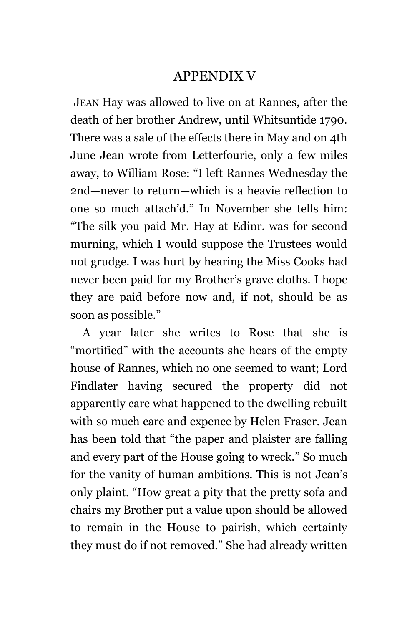# APPENDIX V

JEAN Hay was allowed to live on at Rannes, after the death of her brother Andrew, until Whitsuntide 1790. There was a sale of the effects there in May and on 4th June Jean wrote from Letterfourie, only a few miles away, to William Rose: "I left Rannes Wednesday the 2nd—never to return—which is a heavie reflection to one so much attach'd." In November she tells him: "The silk you paid Mr. Hay at Edinr. was for second murning, which I would suppose the Trustees would not grudge. I was hurt by hearing the Miss Cooks had never been paid for my Brother's grave cloths. I hope they are paid before now and, if not, should be as soon as possible."

A year later she writes to Rose that she is "mortified" with the accounts she hears of the empty house of Rannes, which no one seemed to want; Lord Findlater having secured the property did not apparently care what happened to the dwelling rebuilt with so much care and expence by Helen Fraser. Jean has been told that "the paper and plaister are falling and every part of the House going to wreck." So much for the vanity of human ambitions. This is not Jean's only plaint. "How great a pity that the pretty sofa and chairs my Brother put a value upon should be allowed to remain in the House to pairish, which certainly they must do if not removed." She had already written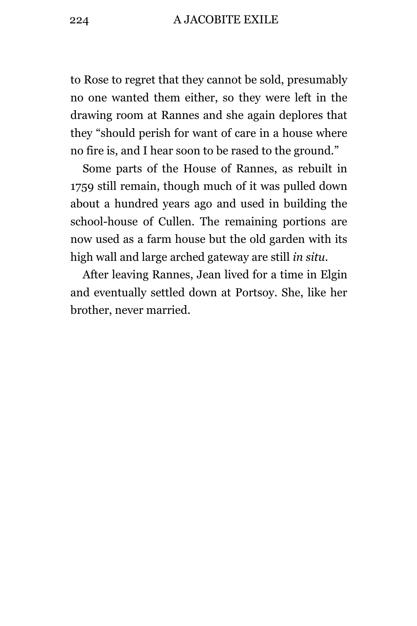### 224 A JACOBITE EXILE

to Rose to regret that they cannot be sold, presumably no one wanted them either, so they were left in the drawing room at Rannes and she again deplores that they "should perish for want of care in a house where no fire is, and I hear soon to be rased to the ground."

Some parts of the House of Rannes, as rebuilt in 1759 still remain, though much of it was pulled down about a hundred years ago and used in building the school-house of Cullen. The remaining portions are now used as a farm house but the old garden with its high wall and large arched gateway are still *in situ.*

After leaving Rannes, Jean lived for a time in Elgin and eventually settled down at Portsoy. She, like her brother, never married.